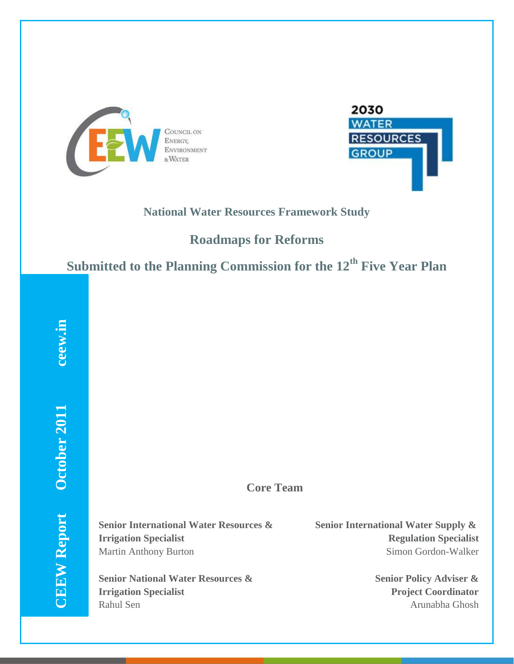



## **National Water Resources Framework Study**

# **Roadmaps for Reforms**

# **Submitted to the Planning Commission for the 12th Five Year Plan**

**Core Team**

**Senior International Water Resources & Irrigation Specialist** Martin Anthony Burton

**Senior National Water Resources & Irrigation Specialist** Rahul Sen

 **Senior International Water Supply & Regulation Specialist** Simon Gordon-Walker

> **Senior Policy Adviser & Project Coordinator** Arunabha Ghosh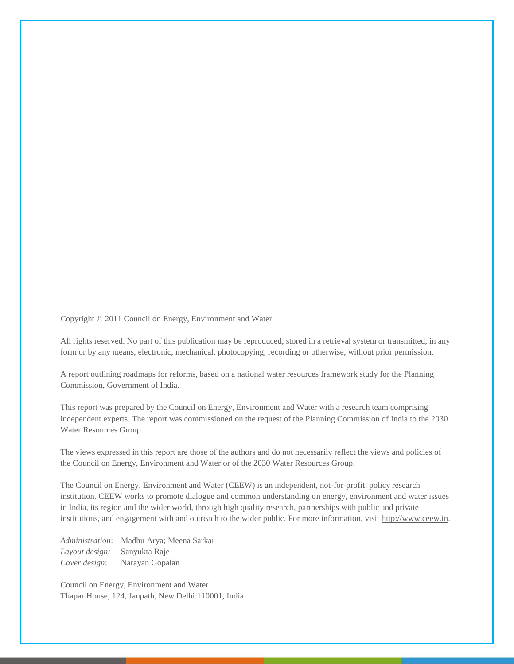Copyright © 2011 Council on Energy, Environment and Water

All rights reserved. No part of this publication may be reproduced, stored in a retrieval system or transmitted, in any form or by any means, electronic, mechanical, photocopying, recording or otherwise, without prior permission.

A report outlining roadmaps for reforms, based on a national water resources framework study for the Planning Commission, Government of India.

This report was prepared by the Council on Energy, Environment and Water with a research team comprising independent experts. The report was commissioned on the request of the Planning Commission of India to the 2030 Water Resources Group.

The views expressed in this report are those of the authors and do not necessarily reflect the views and policies of the Council on Energy, Environment and Water or of the 2030 Water Resources Group.

The Council on Energy, Environment and Water (CEEW) is an independent, not-for-profit, policy research institution. CEEW works to promote dialogue and common understanding on energy, environment and water issues in India, its region and the wider world, through high quality research, partnerships with public and private institutions, and engagement with and outreach to the wider public. For more information, visit [http://www.ceew.in.](http://www.ceew.in/)

*Administration*: Madhu Arya; Meena Sarkar *Layout design:* Sanyukta Raje *Cover design*: Narayan Gopalan

Council on Energy, Environment and Water Thapar House, 124, Janpath, New Delhi 110001, India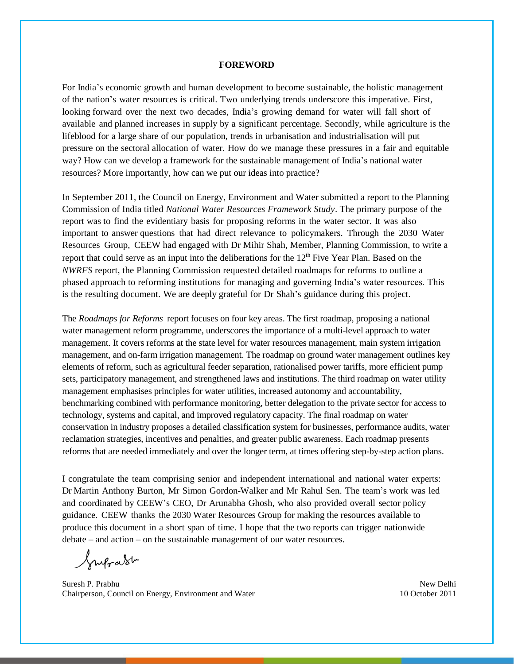#### **FOREWORD**

For India"s economic growth and human development to become sustainable, the holistic management of the nation"s water resources is critical. Two underlying trends underscore this imperative. First, looking forward over the next two decades, India"s growing demand for water will fall short of available and planned increases in supply by a significant percentage. Secondly, while agriculture is the lifeblood for a large share of our population, trends in urbanisation and industrialisation will put pressure on the sectoral allocation of water. How do we manage these pressures in a fair and equitable way? How can we develop a framework for the sustainable management of India"s national water resources? More importantly, how can we put our ideas into practice?

In September 2011, the Council on Energy, Environment and Water submitted a report to the Planning Commission of India titled *National Water Resources Framework Study*. The primary purpose of the report was to find the evidentiary basis for proposing reforms in the water sector. It was also important to answer questions that had direct relevance to policymakers. Through the 2030 Water Resources Group, CEEW had engaged with Dr Mihir Shah, Member, Planning Commission, to write a report that could serve as an input into the deliberations for the  $12<sup>th</sup>$  Five Year Plan. Based on the *NWRFS* report, the Planning Commission requested detailed roadmaps for reforms to outline a phased approach to reforming institutions for managing and governing India"s water resources. This is the resulting document. We are deeply grateful for Dr Shah"s guidance during this project.

The *Roadmaps for Reforms* report focuses on four key areas. The first roadmap, proposing a national water management reform programme, underscores the importance of a multi-level approach to water management. It covers reforms at the state level for water resources management, main system irrigation management, and on-farm irrigation management. The roadmap on ground water management outlines key elements of reform, such as agricultural feeder separation, rationalised power tariffs, more efficient pump sets, participatory management, and strengthened laws and institutions. The third roadmap on water utility management emphasises principles for water utilities, increased autonomy and accountability, benchmarking combined with performance monitoring, better delegation to the private sector for access to technology, systems and capital, and improved regulatory capacity. The final roadmap on water conservation in industry proposes a detailed classification system for businesses, performance audits, water reclamation strategies, incentives and penalties, and greater public awareness. Each roadmap presents reforms that are needed immediately and over the longer term, at times offering step-by-step action plans.

I congratulate the team comprising senior and independent international and national water experts: Dr Martin Anthony Burton, Mr Simon Gordon-Walker and Mr Rahul Sen. The team"s work was led and coordinated by CEEW"s CEO, Dr Arunabha Ghosh, who also provided overall sector policy guidance. CEEW thanks the 2030 Water Resources Group for making the resources available to produce this document in a short span of time. I hope that the two reports can trigger nationwide debate – and action – on the sustainable management of our water resources.

Suprast

Suresh P. Prabhu Chairperson, Council on Energy, Environment and Water

New Delhi 10 October 2011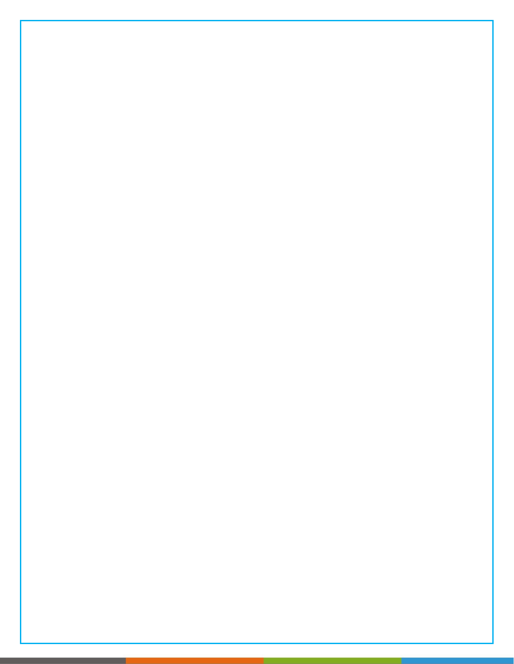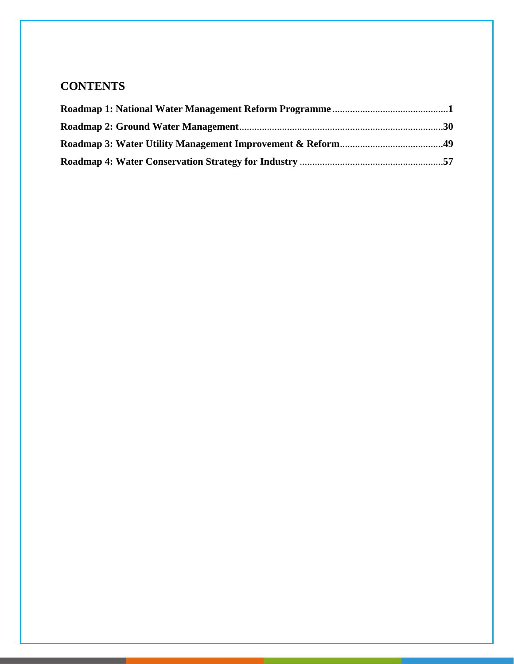# **CONTENTS**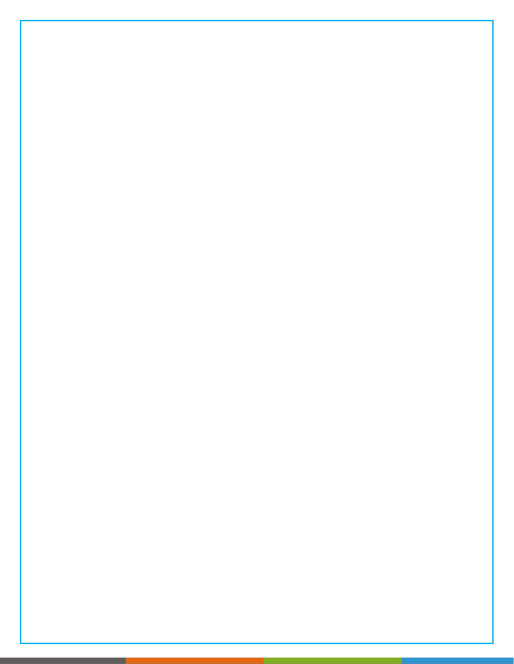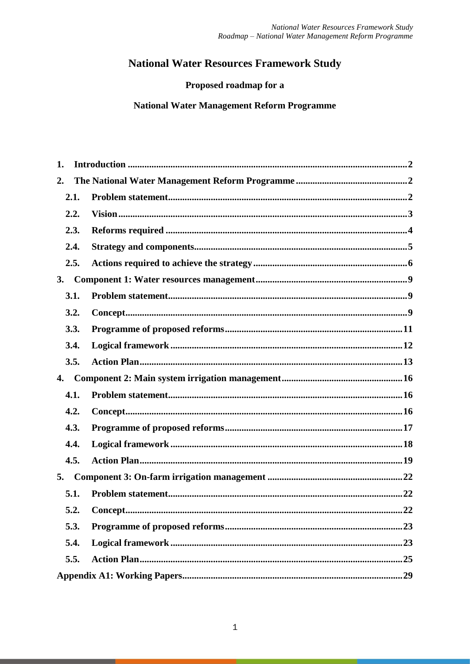# **National Water Resources Framework Study**

# Proposed roadmap for a

## **National Water Management Reform Programme**

| 1. |      |     |
|----|------|-----|
| 2. |      |     |
|    | 2.1. |     |
|    | 2.2. |     |
|    | 2.3. |     |
|    | 2.4. |     |
|    | 2.5. |     |
| 3. |      |     |
|    | 3.1. |     |
|    | 3.2. |     |
|    | 3.3. |     |
|    | 3.4. |     |
|    | 3.5. |     |
| 4. |      |     |
|    | 4.1. |     |
|    | 4.2. |     |
|    | 4.3. |     |
|    | 4.4. |     |
|    | 4.5. |     |
| 5. |      |     |
|    | 5.1. |     |
|    |      | .22 |
|    | 5.3. |     |
|    | 5.4. |     |
|    | 5.5. |     |
|    |      |     |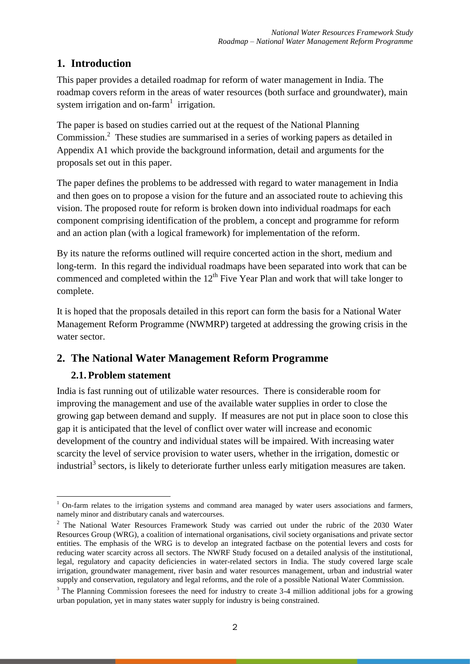# <span id="page-7-0"></span>**1. Introduction**

This paper provides a detailed roadmap for reform of water management in India. The roadmap covers reform in the areas of water resources (both surface and groundwater), main system irrigation and on-farm $1$  irrigation.

The paper is based on studies carried out at the request of the National Planning Commission. $2$  These studies are summarised in a series of working papers as detailed in Appendix A1 which provide the background information, detail and arguments for the proposals set out in this paper.

The paper defines the problems to be addressed with regard to water management in India and then goes on to propose a vision for the future and an associated route to achieving this vision. The proposed route for reform is broken down into individual roadmaps for each component comprising identification of the problem, a concept and programme for reform and an action plan (with a logical framework) for implementation of the reform.

By its nature the reforms outlined will require concerted action in the short, medium and long-term. In this regard the individual roadmaps have been separated into work that can be commenced and completed within the  $12<sup>th</sup>$  Five Year Plan and work that will take longer to complete.

It is hoped that the proposals detailed in this report can form the basis for a National Water Management Reform Programme (NWMRP) targeted at addressing the growing crisis in the water sector.

# <span id="page-7-1"></span>**2. The National Water Management Reform Programme**

# <span id="page-7-2"></span>**2.1. Problem statement**

-

India is fast running out of utilizable water resources. There is considerable room for improving the management and use of the available water supplies in order to close the growing gap between demand and supply. If measures are not put in place soon to close this gap it is anticipated that the level of conflict over water will increase and economic development of the country and individual states will be impaired. With increasing water scarcity the level of service provision to water users, whether in the irrigation, domestic or industrial<sup>3</sup> sectors, is likely to deteriorate further unless early mitigation measures are taken.

<sup>&</sup>lt;sup>1</sup> On-farm relates to the irrigation systems and command area managed by water users associations and farmers, namely minor and distributary canals and watercourses.

<sup>&</sup>lt;sup>2</sup> The National Water Resources Framework Study was carried out under the rubric of the 2030 Water Resources Group (WRG), a coalition of international organisations, civil society organisations and private sector entities. The emphasis of the WRG is to develop an integrated factbase on the potential levers and costs for reducing water scarcity across all sectors. The NWRF Study focused on a detailed analysis of the institutional, legal, regulatory and capacity deficiencies in water-related sectors in India. The study covered large scale irrigation, groundwater management, river basin and water resources management, urban and industrial water supply and conservation, regulatory and legal reforms, and the role of a possible National Water Commission.

<sup>&</sup>lt;sup>3</sup> The Planning Commission foresees the need for industry to create 3-4 million additional jobs for a growing urban population, yet in many states water supply for industry is being constrained.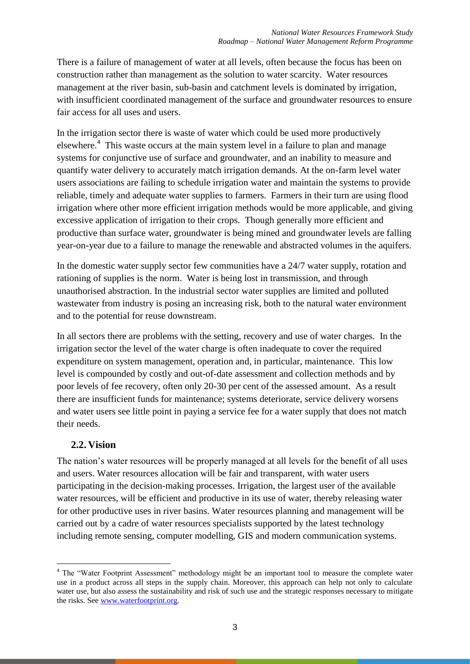There is a failure of management of water at all levels, often because the focus has been on construction rather than management as the solution to water scarcity. Water resources management at the river basin, sub-basin and catchment levels is dominated by irrigation, with insufficient coordinated management of the surface and groundwater resources to ensure fair access for all uses and users.

In the irrigation sector there is waste of water which could be used more productively elsewhere.<sup>4</sup> This waste occurs at the main system level in a failure to plan and manage systems for conjunctive use of surface and groundwater, and an inability to measure and quantify water delivery to accurately match irrigation demands. At the on-farm level water users associations are failing to schedule irrigation water and maintain the systems to provide reliable, timely and adequate water supplies to farmers. Farmers in their turn are using flood irrigation where other more efficient irrigation methods would be more applicable, and giving excessive application of irrigation to their crops. Though generally more efficient and productive than surface water, groundwater is being mined and groundwater levels are falling year-on-year due to a failure to manage the renewable and abstracted volumes in the aquifers.

In the domestic water supply sector few communities have a 24/7 water supply, rotation and rationing of supplies is the norm. Water is being lost in transmission, and through unauthorised abstraction. In the industrial sector water supplies are limited and polluted wastewater from industry is posing an increasing risk, both to the natural water environment and to the potential for reuse downstream.

In all sectors there are problems with the setting, recovery and use of water charges. In the irrigation sector the level of the water charge is often inadequate to cover the required expenditure on system management, operation and, in particular, maintenance. This low level is compounded by costly and out-of-date assessment and collection methods and by poor levels of fee recovery, often only 20-30 per cent of the assessed amount. As a result there are insufficient funds for maintenance; systems deteriorate, service delivery worsens and water users see little point in paying a service fee for a water supply that does not match their needs.

## <span id="page-8-0"></span>**2.2. Vision**

-

The nation"s water resources will be properly managed at all levels for the benefit of all uses and users. Water resources allocation will be fair and transparent, with water users participating in the decision-making processes. Irrigation, the largest user of the available water resources, will be efficient and productive in its use of water, thereby releasing water for other productive uses in river basins. Water resources planning and management will be carried out by a cadre of water resources specialists supported by the latest technology including remote sensing, computer modelling, GIS and modern communication systems.

<sup>&</sup>lt;sup>4</sup> The "Water Footprint Assessment" methodology might be an important tool to measure the complete water use in a product across all steps in the supply chain. Moreover, this approach can help not only to calculate water use, but also assess the sustainability and risk of such use and the strategic responses necessary to mitigate the risks. See [www.waterfootprint.org.](http://www.waterfootprint.org/)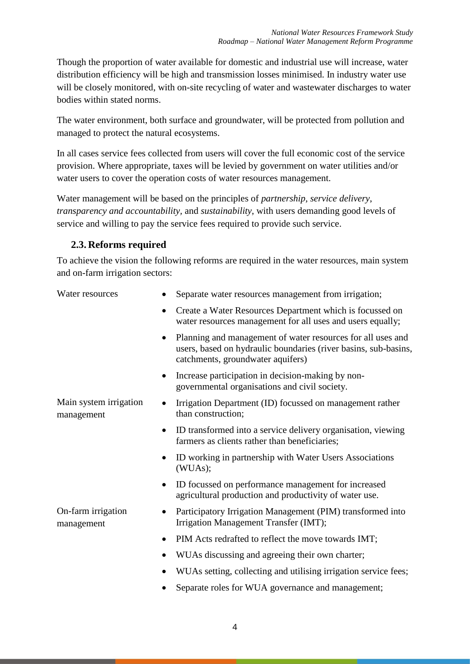Though the proportion of water available for domestic and industrial use will increase, water distribution efficiency will be high and transmission losses minimised. In industry water use will be closely monitored, with on-site recycling of water and wastewater discharges to water bodies within stated norms.

The water environment, both surface and groundwater, will be protected from pollution and managed to protect the natural ecosystems.

In all cases service fees collected from users will cover the full economic cost of the service provision. Where appropriate, taxes will be levied by government on water utilities and/or water users to cover the operation costs of water resources management.

Water management will be based on the principles of *partnership*, *service delivery*, *transparency and accountability,* and *sustainability*, with users demanding good levels of service and willing to pay the service fees required to provide such service.

## <span id="page-9-0"></span>**2.3. Reforms required**

To achieve the vision the following reforms are required in the water resources, main system and on-farm irrigation sectors:

|  | Water resources |
|--|-----------------|
|--|-----------------|

- Separate water resources management from irrigation;
- Create a Water Resources Department which is focussed on water resources management for all uses and users equally;
- Planning and management of water resources for all uses and users, based on hydraulic boundaries (river basins, sub-basins, catchments, groundwater aquifers)
- Increase participation in decision-making by nongovernmental organisations and civil society.
- Irrigation Department (ID) focussed on management rather than construction;
- ID transformed into a service delivery organisation, viewing farmers as clients rather than beneficiaries;
- ID working in partnership with Water Users Associations (WUAs);
- ID focussed on performance management for increased agricultural production and productivity of water use.
- Participatory Irrigation Management (PIM) transformed into Irrigation Management Transfer (IMT);
- PIM Acts redrafted to reflect the move towards IMT;
- WUAs discussing and agreeing their own charter;
- WUAs setting, collecting and utilising irrigation service fees;
- Separate roles for WUA governance and management;

On-farm irrigation management

Main system irrigation

management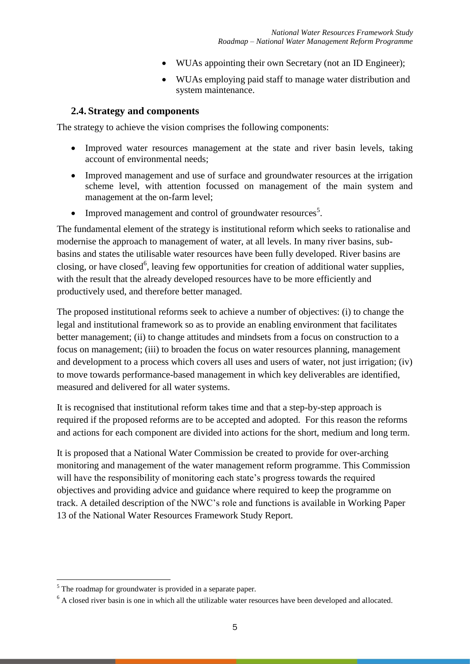- WUAs appointing their own Secretary (not an ID Engineer);
- WUAs employing paid staff to manage water distribution and system maintenance.

#### <span id="page-10-0"></span>**2.4. Strategy and components**

The strategy to achieve the vision comprises the following components:

- Improved water resources management at the state and river basin levels, taking account of environmental needs;
- Improved management and use of surface and groundwater resources at the irrigation scheme level, with attention focussed on management of the main system and management at the on-farm level;
- Improved management and control of groundwater resources<sup>5</sup>.

The fundamental element of the strategy is institutional reform which seeks to rationalise and modernise the approach to management of water, at all levels. In many river basins, subbasins and states the utilisable water resources have been fully developed. River basins are closing, or have closed<sup>6</sup>, leaving few opportunities for creation of additional water supplies, with the result that the already developed resources have to be more efficiently and productively used, and therefore better managed.

The proposed institutional reforms seek to achieve a number of objectives: (i) to change the legal and institutional framework so as to provide an enabling environment that facilitates better management; (ii) to change attitudes and mindsets from a focus on construction to a focus on management; (iii) to broaden the focus on water resources planning, management and development to a process which covers all uses and users of water, not just irrigation; (iv) to move towards performance-based management in which key deliverables are identified, measured and delivered for all water systems.

It is recognised that institutional reform takes time and that a step-by-step approach is required if the proposed reforms are to be accepted and adopted. For this reason the reforms and actions for each component are divided into actions for the short, medium and long term.

It is proposed that a National Water Commission be created to provide for over-arching monitoring and management of the water management reform programme. This Commission will have the responsibility of monitoring each state's progress towards the required objectives and providing advice and guidance where required to keep the programme on track. A detailed description of the NWC"s role and functions is available in Working Paper 13 of the National Water Resources Framework Study Report.

 $\overline{a}$ 

<sup>&</sup>lt;sup>5</sup> The roadmap for groundwater is provided in a separate paper.

<sup>&</sup>lt;sup>6</sup> A closed river basin is one in which all the utilizable water resources have been developed and allocated.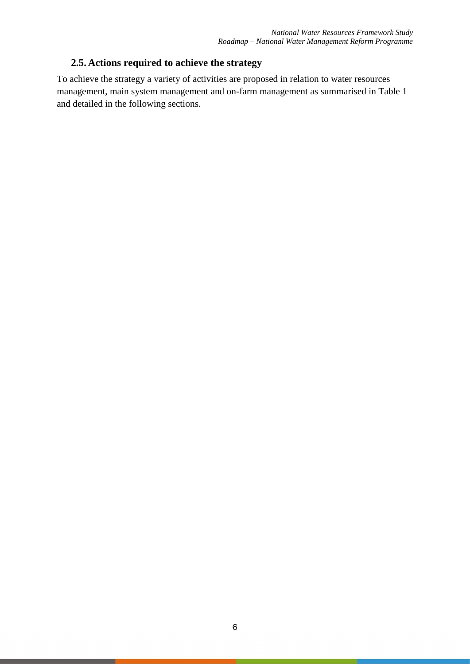## <span id="page-11-0"></span>**2.5. Actions required to achieve the strategy**

To achieve the strategy a variety of activities are proposed in relation to water resources management, main system management and on-farm management as summarised in Table 1 and detailed in the following sections.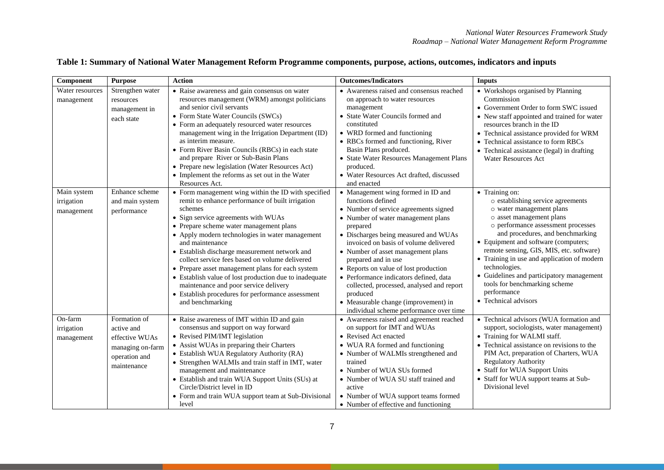| Component                               | <b>Purpose</b>                                                                                   | <b>Action</b>                                                                                                                                                                                                                                                                                                                                                                                                                                                                                                                                                                                                 | <b>Outcomes/Indicators</b>                                                                                                                                                                                                                                                                                                                                                                                                                                                                                                      | <b>Inputs</b>                                                                                                                                                                                                                                                                                                                                                                                                                                                  |
|-----------------------------------------|--------------------------------------------------------------------------------------------------|---------------------------------------------------------------------------------------------------------------------------------------------------------------------------------------------------------------------------------------------------------------------------------------------------------------------------------------------------------------------------------------------------------------------------------------------------------------------------------------------------------------------------------------------------------------------------------------------------------------|---------------------------------------------------------------------------------------------------------------------------------------------------------------------------------------------------------------------------------------------------------------------------------------------------------------------------------------------------------------------------------------------------------------------------------------------------------------------------------------------------------------------------------|----------------------------------------------------------------------------------------------------------------------------------------------------------------------------------------------------------------------------------------------------------------------------------------------------------------------------------------------------------------------------------------------------------------------------------------------------------------|
| Water resources<br>management           | Strengthen water<br>resources<br>management in<br>each state                                     | • Raise awareness and gain consensus on water<br>resources management (WRM) amongst politicians<br>and senior civil servants<br>• Form State Water Councils (SWCs)<br>• Form an adequately resourced water resources<br>management wing in the Irrigation Department (ID)<br>as interim measure.<br>• Form River Basin Councils (RBCs) in each state<br>and prepare River or Sub-Basin Plans<br>• Prepare new legislation (Water Resources Act)<br>• Implement the reforms as set out in the Water                                                                                                            | • Awareness raised and consensus reached<br>on approach to water resources<br>management<br>• State Water Councils formed and<br>constituted<br>• WRD formed and functioning<br>• RBCs formed and functioning, River<br>Basin Plans produced.<br>• State Water Resources Management Plans<br>produced.<br>• Water Resources Act drafted, discussed                                                                                                                                                                              | • Workshops organised by Planning<br>Commission<br>• Government Order to form SWC issued<br>• New staff appointed and trained for water<br>resources branch in the ID<br>• Technical assistance provided for WRM<br>• Technical assistance to form RBCs<br>• Technical assistance (legal) in drafting<br>Water Resources Act                                                                                                                                   |
|                                         |                                                                                                  | Resources Act.                                                                                                                                                                                                                                                                                                                                                                                                                                                                                                                                                                                                | and enacted                                                                                                                                                                                                                                                                                                                                                                                                                                                                                                                     |                                                                                                                                                                                                                                                                                                                                                                                                                                                                |
| Main system<br>irrigation<br>management | Enhance scheme<br>and main system<br>performance                                                 | • Form management wing within the ID with specified<br>remit to enhance performance of built irrigation<br>schemes<br>• Sign service agreements with WUAs<br>• Prepare scheme water management plans<br>• Apply modern technologies in water management<br>and maintenance<br>• Establish discharge measurement network and<br>collect service fees based on volume delivered<br>• Prepare asset management plans for each system<br>• Establish value of lost production due to inadequate<br>maintenance and poor service delivery<br>• Establish procedures for performance assessment<br>and benchmarking | • Management wing formed in ID and<br>functions defined<br>• Number of service agreements signed<br>• Number of water management plans<br>prepared<br>• Discharges being measured and WUAs<br>invoiced on basis of volume delivered<br>• Number of asset management plans<br>prepared and in use<br>• Reports on value of lost production<br>· Performance indicators defined, data<br>collected, processed, analysed and report<br>produced<br>• Measurable change (improvement) in<br>individual scheme performance over time | • Training on:<br>o establishing service agreements<br>o water management plans<br>o asset management plans<br>o performance assessment processes<br>and procedures, and benchmarking<br>• Equipment and software (computers;<br>remote sensing, GIS, MIS, etc. software)<br>• Training in use and application of modern<br>technologies.<br>• Guidelines and participatory management<br>tools for benchmarking scheme<br>performance<br>• Technical advisors |
| On-farm<br>irrigation<br>management     | Formation of<br>active and<br>effective WUAs<br>managing on-farm<br>operation and<br>maintenance | • Raise awareness of IMT within ID and gain<br>consensus and support on way forward<br>• Revised PIM/IMT legislation<br>• Assist WUAs in preparing their Charters<br>• Establish WUA Regulatory Authority (RA)<br>• Strengthen WALMIs and train staff in IMT, water<br>management and maintenance<br>• Establish and train WUA Support Units (SUs) at<br>Circle/District level in ID<br>• Form and train WUA support team at Sub-Divisional<br>level                                                                                                                                                          | • Awareness raised and agreement reached<br>on support for IMT and WUAs<br>• Revised Act enacted<br>• WUA RA formed and functioning<br>• Number of WALMIs strengthened and<br>trained<br>• Number of WUA SUs formed<br>• Number of WUA SU staff trained and<br>active<br>• Number of WUA support teams formed<br>• Number of effective and functioning                                                                                                                                                                          | • Technical advisors (WUA formation and<br>support, sociologists, water management)<br>• Training for WALMI staff.<br>• Technical assistance on revisions to the<br>PIM Act, preparation of Charters, WUA<br><b>Regulatory Authority</b><br>• Staff for WUA Support Units<br>• Staff for WUA support teams at Sub-<br>Divisional level                                                                                                                         |

#### **Table 1: Summary of National Water Management Reform Programme components, purpose, actions, outcomes, indicators and inputs**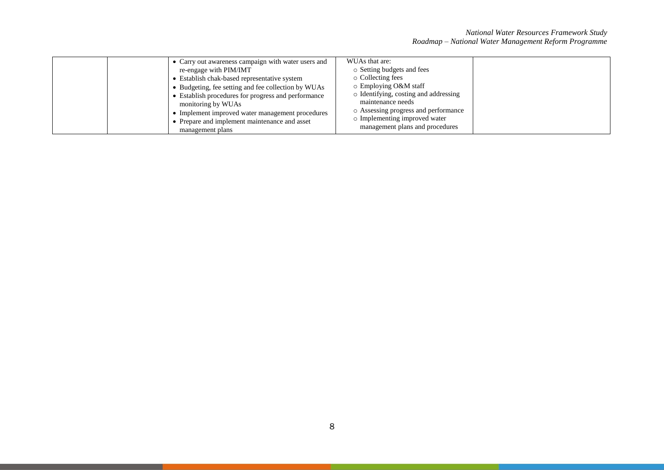| • Carry out awareness campaign with water users and<br>re-engage with PIM/IMT<br>• Establish chak-based representative system<br>• Budgeting, fee setting and fee collection by WUAs<br>• Establish procedures for progress and performance<br>monitoring by WUAs<br>Implement improved water management procedures<br>• Prepare and implement maintenance and asset<br>management plans | WUAs that are:<br>○ Setting budgets and fees<br>$\circ$ Collecting fees<br>$\circ$ Employing O&M staff<br>• Identifying, costing and addressing<br>maintenance needs<br>o Assessing progress and performance<br>o Implementing improved water<br>management plans and procedures |  |
|------------------------------------------------------------------------------------------------------------------------------------------------------------------------------------------------------------------------------------------------------------------------------------------------------------------------------------------------------------------------------------------|----------------------------------------------------------------------------------------------------------------------------------------------------------------------------------------------------------------------------------------------------------------------------------|--|
|------------------------------------------------------------------------------------------------------------------------------------------------------------------------------------------------------------------------------------------------------------------------------------------------------------------------------------------------------------------------------------------|----------------------------------------------------------------------------------------------------------------------------------------------------------------------------------------------------------------------------------------------------------------------------------|--|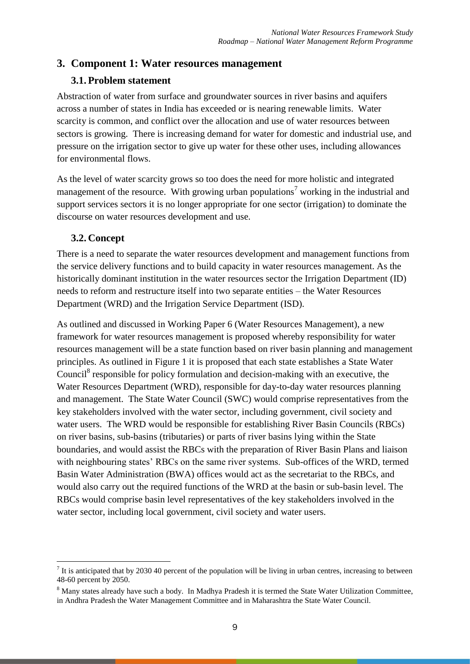## <span id="page-14-0"></span>**3. Component 1: Water resources management**

#### <span id="page-14-1"></span>**3.1. Problem statement**

Abstraction of water from surface and groundwater sources in river basins and aquifers across a number of states in India has exceeded or is nearing renewable limits. Water scarcity is common, and conflict over the allocation and use of water resources between sectors is growing. There is increasing demand for water for domestic and industrial use, and pressure on the irrigation sector to give up water for these other uses, including allowances for environmental flows.

As the level of water scarcity grows so too does the need for more holistic and integrated management of the resource. With growing urban populations<sup>7</sup> working in the industrial and support services sectors it is no longer appropriate for one sector (irrigation) to dominate the discourse on water resources development and use.

### <span id="page-14-2"></span>**3.2. Concept**

-

There is a need to separate the water resources development and management functions from the service delivery functions and to build capacity in water resources management. As the historically dominant institution in the water resources sector the Irrigation Department (ID) needs to reform and restructure itself into two separate entities – the Water Resources Department (WRD) and the Irrigation Service Department (ISD).

As outlined and discussed in Working Paper 6 (Water Resources Management), a new framework for water resources management is proposed whereby responsibility for water resources management will be a state function based on river basin planning and management principles. As outlined in Figure 1 it is proposed that each state establishes a State Water Council<sup>8</sup> responsible for policy formulation and decision-making with an executive, the Water Resources Department (WRD), responsible for day-to-day water resources planning and management. The State Water Council (SWC) would comprise representatives from the key stakeholders involved with the water sector, including government, civil society and water users. The WRD would be responsible for establishing River Basin Councils (RBCs) on river basins, sub-basins (tributaries) or parts of river basins lying within the State boundaries, and would assist the RBCs with the preparation of River Basin Plans and liaison with neighbouring states' RBCs on the same river systems. Sub-offices of the WRD, termed Basin Water Administration (BWA) offices would act as the secretariat to the RBCs, and would also carry out the required functions of the WRD at the basin or sub-basin level. The RBCs would comprise basin level representatives of the key stakeholders involved in the water sector, including local government, civil society and water users.

 $<sup>7</sup>$  It is anticipated that by 2030 40 percent of the population will be living in urban centres, increasing to between</sup> 48-60 percent by 2050.

<sup>&</sup>lt;sup>8</sup> Many states already have such a body. In Madhya Pradesh it is termed the State Water Utilization Committee, in Andhra Pradesh the Water Management Committee and in Maharashtra the State Water Council.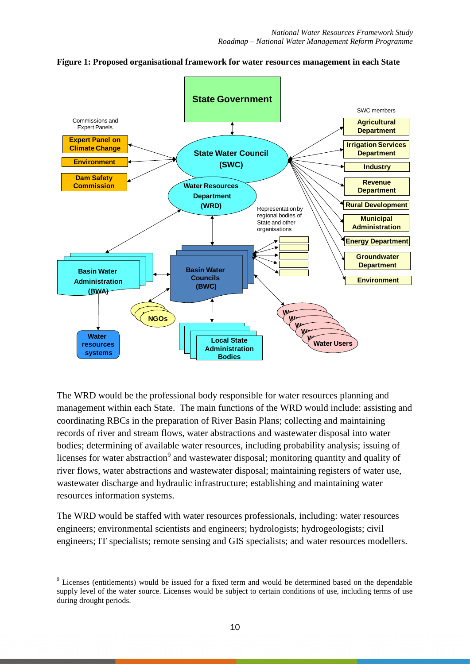

**Figure 1: Proposed organisational framework for water resources management in each State**

The WRD would be the professional body responsible for water resources planning and management within each State. The main functions of the WRD would include: assisting and coordinating RBCs in the preparation of River Basin Plans; collecting and maintaining records of river and stream flows, water abstractions and wastewater disposal into water bodies; determining of available water resources, including probability analysis; issuing of licenses for water abstraction<sup>9</sup> and wastewater disposal; monitoring quantity and quality of river flows, water abstractions and wastewater disposal; maintaining registers of water use, wastewater discharge and hydraulic infrastructure; establishing and maintaining water resources information systems.

The WRD would be staffed with water resources professionals, including: water resources engineers; environmental scientists and engineers; hydrologists; hydrogeologists; civil engineers; IT specialists; remote sensing and GIS specialists; and water resources modellers.

 $\overline{a}$ 

<sup>9</sup> Licenses (entitlements) would be issued for a fixed term and would be determined based on the dependable supply level of the water source. Licenses would be subject to certain conditions of use, including terms of use during drought periods.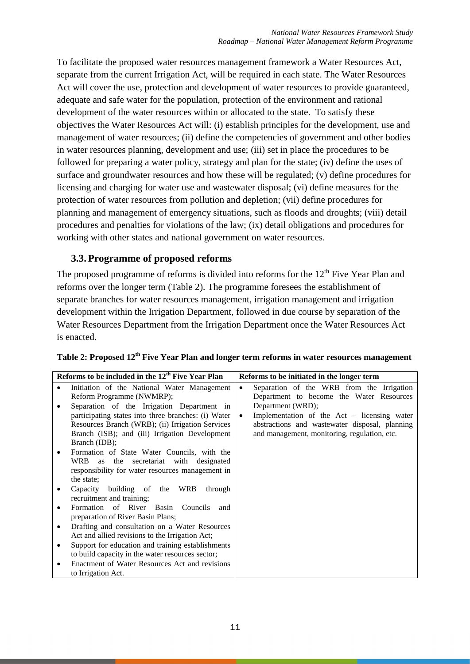To facilitate the proposed water resources management framework a Water Resources Act, separate from the current Irrigation Act, will be required in each state. The Water Resources Act will cover the use, protection and development of water resources to provide guaranteed, adequate and safe water for the population, protection of the environment and rational development of the water resources within or allocated to the state. To satisfy these objectives the Water Resources Act will: (i) establish principles for the development, use and management of water resources; (ii) define the competencies of government and other bodies in water resources planning, development and use; (iii) set in place the procedures to be followed for preparing a water policy, strategy and plan for the state; (iv) define the uses of surface and groundwater resources and how these will be regulated; (v) define procedures for licensing and charging for water use and wastewater disposal; (vi) define measures for the protection of water resources from pollution and depletion; (vii) define procedures for planning and management of emergency situations, such as floods and droughts; (viii) detail procedures and penalties for violations of the law; (ix) detail obligations and procedures for working with other states and national government on water resources.

### **3.3. Programme of proposed reforms**

<span id="page-16-0"></span>The proposed programme of reforms is divided into reforms for the  $12<sup>th</sup>$  Five Year Plan and reforms over the longer term (Table 2). The programme foresees the establishment of separate branches for water resources management, irrigation management and irrigation development within the Irrigation Department, followed in due course by separation of the Water Resources Department from the Irrigation Department once the Water Resources Act is enacted.

|           | Reforms to be included in the 12 <sup>th</sup> Five Year Plan | Reforms to be initiated in the longer term |                                                |  |  |  |  |  |  |
|-----------|---------------------------------------------------------------|--------------------------------------------|------------------------------------------------|--|--|--|--|--|--|
| $\bullet$ | Initiation of the National Water Management                   | $\bullet$                                  | Separation of the WRB from the Irrigation      |  |  |  |  |  |  |
|           | Reform Programme (NWMRP);                                     |                                            | Department to become the Water Resources       |  |  |  |  |  |  |
|           | Separation of the Irrigation Department in                    |                                            | Department (WRD);                              |  |  |  |  |  |  |
|           | participating states into three branches: (i) Water           | $\bullet$                                  | Implementation of the Act - licensing water    |  |  |  |  |  |  |
|           | Resources Branch (WRB); (ii) Irrigation Services              |                                            | abstractions and wastewater disposal, planning |  |  |  |  |  |  |
|           | Branch (ISB); and (iii) Irrigation Development                |                                            | and management, monitoring, regulation, etc.   |  |  |  |  |  |  |
|           | Branch (IDB);                                                 |                                            |                                                |  |  |  |  |  |  |
|           | Formation of State Water Councils, with the                   |                                            |                                                |  |  |  |  |  |  |
|           | WRB as the secretariat with designated                        |                                            |                                                |  |  |  |  |  |  |
|           | responsibility for water resources management in              |                                            |                                                |  |  |  |  |  |  |
|           | the state:                                                    |                                            |                                                |  |  |  |  |  |  |
|           | Capacity building of the WRB<br>through                       |                                            |                                                |  |  |  |  |  |  |
|           | recruitment and training;                                     |                                            |                                                |  |  |  |  |  |  |
|           | Formation of River Basin<br>Councils<br>and                   |                                            |                                                |  |  |  |  |  |  |
|           | preparation of River Basin Plans;                             |                                            |                                                |  |  |  |  |  |  |
| ٠         | Drafting and consultation on a Water Resources                |                                            |                                                |  |  |  |  |  |  |
|           | Act and allied revisions to the Irrigation Act;               |                                            |                                                |  |  |  |  |  |  |
| ٠         | Support for education and training establishments             |                                            |                                                |  |  |  |  |  |  |
|           | to build capacity in the water resources sector;              |                                            |                                                |  |  |  |  |  |  |
|           | Enactment of Water Resources Act and revisions                |                                            |                                                |  |  |  |  |  |  |
|           | to Irrigation Act.                                            |                                            |                                                |  |  |  |  |  |  |

|  | Table 2: Proposed 12 $^{\rm th}$ Five Year Plan and longer term reforms in water resources management |
|--|-------------------------------------------------------------------------------------------------------|
|  |                                                                                                       |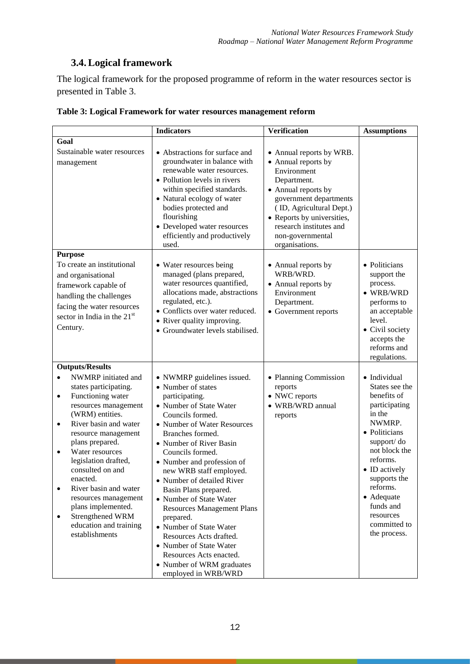# <span id="page-17-0"></span>**3.4.Logical framework**

The logical framework for the proposed programme of reform in the water resources sector is presented in Table 3.

|                                                                                                                                                                                                                                                                                                                                                                                                                                                                                      | <b>Indicators</b>                                                                                                                                                                                                                                                                                                                                                                                                                                                                                                                                                                | <b>Verification</b>                                                                                                                                                                                                                                       | <b>Assumptions</b>                                                                                                                                                                                                                                                  |
|--------------------------------------------------------------------------------------------------------------------------------------------------------------------------------------------------------------------------------------------------------------------------------------------------------------------------------------------------------------------------------------------------------------------------------------------------------------------------------------|----------------------------------------------------------------------------------------------------------------------------------------------------------------------------------------------------------------------------------------------------------------------------------------------------------------------------------------------------------------------------------------------------------------------------------------------------------------------------------------------------------------------------------------------------------------------------------|-----------------------------------------------------------------------------------------------------------------------------------------------------------------------------------------------------------------------------------------------------------|---------------------------------------------------------------------------------------------------------------------------------------------------------------------------------------------------------------------------------------------------------------------|
| Goal<br>Sustainable water resources<br>management                                                                                                                                                                                                                                                                                                                                                                                                                                    | • Abstractions for surface and<br>groundwater in balance with<br>renewable water resources.<br>• Pollution levels in rivers<br>within specified standards.<br>• Natural ecology of water<br>bodies protected and<br>flourishing<br>• Developed water resources<br>efficiently and productively<br>used.                                                                                                                                                                                                                                                                          | • Annual reports by WRB.<br>• Annual reports by<br>Environment<br>Department.<br>• Annual reports by<br>government departments<br>(ID, Agricultural Dept.)<br>• Reports by universities,<br>research institutes and<br>non-governmental<br>organisations. |                                                                                                                                                                                                                                                                     |
| <b>Purpose</b><br>To create an institutional<br>and organisational<br>framework capable of<br>handling the challenges<br>facing the water resources<br>sector in India in the $21st$<br>Century.                                                                                                                                                                                                                                                                                     | • Water resources being<br>managed (plans prepared,<br>water resources quantified,<br>allocations made, abstractions<br>regulated, etc.).<br>• Conflicts over water reduced.<br>• River quality improving.<br>• Groundwater levels stabilised.                                                                                                                                                                                                                                                                                                                                   | • Annual reports by<br>WRB/WRD.<br>• Annual reports by<br>Environment<br>Department.<br>• Government reports                                                                                                                                              | • Politicians<br>support the<br>process.<br>$\bullet$ WRB/WRD<br>performs to<br>an acceptable<br>level.<br>• Civil society<br>accepts the<br>reforms and<br>regulations.                                                                                            |
| <b>Outputs/Results</b><br>NWMRP initiated and<br>states participating.<br>Functioning water<br>$\bullet$<br>resources management<br>(WRM) entities.<br>River basin and water<br>$\bullet$<br>resource management<br>plans prepared.<br>Water resources<br>$\bullet$<br>legislation drafted,<br>consulted on and<br>enacted.<br>River basin and water<br>$\bullet$<br>resources management<br>plans implemented.<br>Strengthened WRM<br>٠<br>education and training<br>establishments | • NWMRP guidelines issued.<br>• Number of states<br>participating.<br>• Number of State Water<br>Councils formed.<br>• Number of Water Resources<br>Branches formed.<br>• Number of River Basin<br>Councils formed.<br>• Number and profession of<br>new WRB staff employed.<br>• Number of detailed River<br>Basin Plans prepared.<br>• Number of State Water<br><b>Resources Management Plans</b><br>prepared.<br>• Number of State Water<br>Resources Acts drafted.<br>• Number of State Water<br>Resources Acts enacted.<br>• Number of WRM graduates<br>employed in WRB/WRD | • Planning Commission<br>reports<br>• NWC reports<br>• WRB/WRD annual<br>reports                                                                                                                                                                          | • Individual<br>States see the<br>benefits of<br>participating<br>in the<br>NWMRP.<br>• Politicians<br>support/do<br>not block the<br>reforms.<br>• ID actively<br>supports the<br>reforms.<br>• Adequate<br>funds and<br>resources<br>committed to<br>the process. |

|  | Table 3: Logical Framework for water resources management reform |
|--|------------------------------------------------------------------|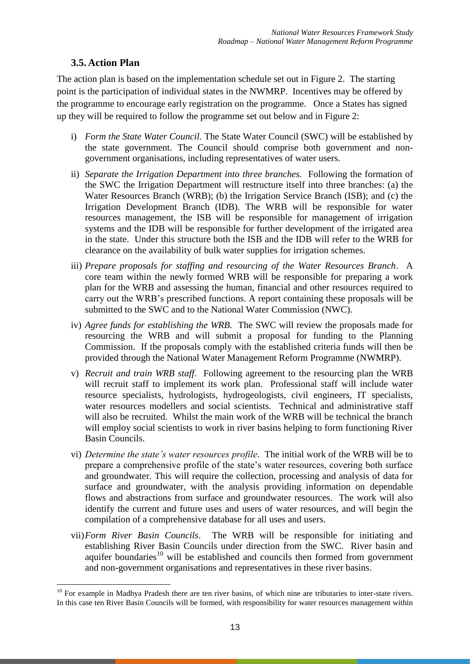## <span id="page-18-0"></span>**3.5. Action Plan**

 $\overline{a}$ 

The action plan is based on the implementation schedule set out in Figure 2. The starting point is the participation of individual states in the NWMRP. Incentives may be offered by the programme to encourage early registration on the programme. Once a States has signed up they will be required to follow the programme set out below and in Figure 2:

- i) *Form the State Water Council.* The State Water Council (SWC) will be established by the state government. The Council should comprise both government and nongovernment organisations, including representatives of water users.
- ii) *Separate the Irrigation Department into three branches.* Following the formation of the SWC the Irrigation Department will restructure itself into three branches: (a) the Water Resources Branch (WRB); (b) the Irrigation Service Branch (ISB); and (c) the Irrigation Development Branch (IDB). The WRB will be responsible for water resources management, the ISB will be responsible for management of irrigation systems and the IDB will be responsible for further development of the irrigated area in the state. Under this structure both the ISB and the IDB will refer to the WRB for clearance on the availability of bulk water supplies for irrigation schemes.
- iii) *Prepare proposals for staffing and resourcing of the Water Resources Branch*. A core team within the newly formed WRB will be responsible for preparing a work plan for the WRB and assessing the human, financial and other resources required to carry out the WRB"s prescribed functions. A report containing these proposals will be submitted to the SWC and to the National Water Commission (NWC).
- iv) *Agree funds for establishing the WRB.* The SWC will review the proposals made for resourcing the WRB and will submit a proposal for funding to the Planning Commission. If the proposals comply with the established criteria funds will then be provided through the National Water Management Reform Programme (NWMRP).
- v) *Recruit and train WRB staff*. Following agreement to the resourcing plan the WRB will recruit staff to implement its work plan. Professional staff will include water resource specialists, hydrologists, hydrogeologists, civil engineers, IT specialists, water resources modellers and social scientists. Technical and administrative staff will also be recruited. Whilst the main work of the WRB will be technical the branch will employ social scientists to work in river basins helping to form functioning River Basin Councils.
- vi) *Determine the state's water resources profile*. The initial work of the WRB will be to prepare a comprehensive profile of the state"s water resources, covering both surface and groundwater. This will require the collection, processing and analysis of data for surface and groundwater, with the analysis providing information on dependable flows and abstractions from surface and groundwater resources. The work will also identify the current and future uses and users of water resources, and will begin the compilation of a comprehensive database for all uses and users.
- vii)*Form River Basin Councils*. The WRB will be responsible for initiating and establishing River Basin Councils under direction from the SWC. River basin and aquifer boundaries<sup>10</sup> will be established and councils then formed from government and non-government organisations and representatives in these river basins.

<sup>&</sup>lt;sup>10</sup> For example in Madhya Pradesh there are ten river basins, of which nine are tributaries to inter-state rivers. In this case ten River Basin Councils will be formed, with responsibility for water resources management within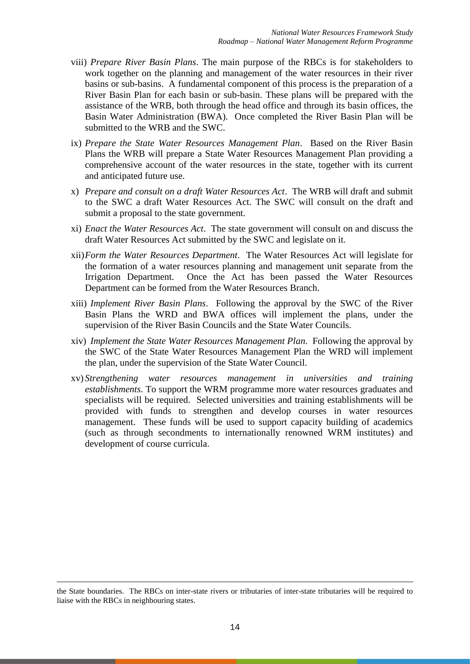- viii) *Prepare River Basin Plans*. The main purpose of the RBCs is for stakeholders to work together on the planning and management of the water resources in their river basins or sub-basins. A fundamental component of this process is the preparation of a River Basin Plan for each basin or sub-basin. These plans will be prepared with the assistance of the WRB, both through the head office and through its basin offices, the Basin Water Administration (BWA). Once completed the River Basin Plan will be submitted to the WRB and the SWC.
- ix) *Prepare the State Water Resources Management Plan*. Based on the River Basin Plans the WRB will prepare a State Water Resources Management Plan providing a comprehensive account of the water resources in the state, together with its current and anticipated future use.
- x) *Prepare and consult on a draft Water Resources Act*. The WRB will draft and submit to the SWC a draft Water Resources Act. The SWC will consult on the draft and submit a proposal to the state government.
- xi) *Enact the Water Resources Act*. The state government will consult on and discuss the draft Water Resources Act submitted by the SWC and legislate on it.
- xii)*Form the Water Resources Department*. The Water Resources Act will legislate for the formation of a water resources planning and management unit separate from the Irrigation Department. Once the Act has been passed the Water Resources Department can be formed from the Water Resources Branch.
- xiii) *Implement River Basin Plans*. Following the approval by the SWC of the River Basin Plans the WRD and BWA offices will implement the plans, under the supervision of the River Basin Councils and the State Water Councils.
- xiv) *Implement the State Water Resources Management Plan*. Following the approval by the SWC of the State Water Resources Management Plan the WRD will implement the plan, under the supervision of the State Water Council.
- xv) *Strengthening water resources management in universities and training establishments*. To support the WRM programme more water resources graduates and specialists will be required. Selected universities and training establishments will be provided with funds to strengthen and develop courses in water resources management. These funds will be used to support capacity building of academics (such as through secondments to internationally renowned WRM institutes) and development of course curricula.

 $\overline{a}$ 

the State boundaries. The RBCs on inter-state rivers or tributaries of inter-state tributaries will be required to liaise with the RBCs in neighbouring states.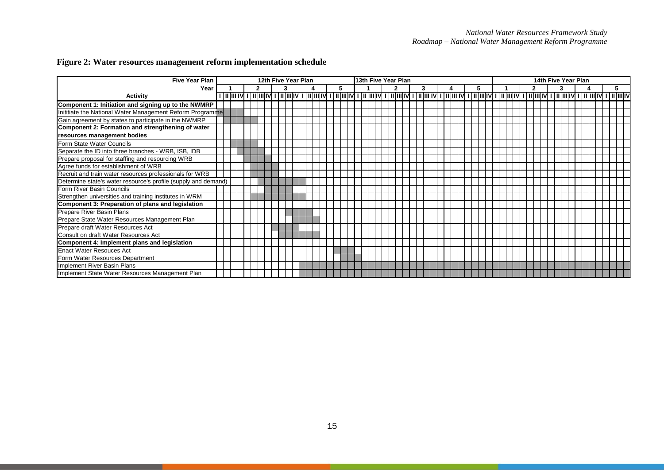#### **Figure 2: Water resources management reform implementation schedule**

| <b>Five Year Plan</b>                                          | 12th Five Year Plan |  |  |                  |  | 13th Five Year Plan |  |  |   |  |  |  |  |  |             |  |  |  | 14th Five Year Plan |                                                 |  |  |  |  |  |  |  |  |              |  |  |  |  |  |  |                                                                                                   |  |
|----------------------------------------------------------------|---------------------|--|--|------------------|--|---------------------|--|--|---|--|--|--|--|--|-------------|--|--|--|---------------------|-------------------------------------------------|--|--|--|--|--|--|--|--|--------------|--|--|--|--|--|--|---------------------------------------------------------------------------------------------------|--|
| Year                                                           |                     |  |  | 2                |  |                     |  |  | 5 |  |  |  |  |  | $\mathbf 2$ |  |  |  |                     |                                                 |  |  |  |  |  |  |  |  | $\mathbf{2}$ |  |  |  |  |  |  |                                                                                                   |  |
| Activity                                                       | T   II   III IV     |  |  | <b>IIIIIII</b> V |  |                     |  |  |   |  |  |  |  |  |             |  |  |  |                     | T   II   III IV  T   II  III IV  T   II  III IV |  |  |  |  |  |  |  |  |              |  |  |  |  |  |  | $\frac{1}{2}$ $\frac{1}{2}$ $\frac{1}{2}$ $\frac{1}{2}$ $\frac{1}{2}$ $\frac{1}{2}$ $\frac{1}{2}$ |  |
| Component 1: Initiation and signing up to the NWMRP            |                     |  |  |                  |  |                     |  |  |   |  |  |  |  |  |             |  |  |  |                     |                                                 |  |  |  |  |  |  |  |  |              |  |  |  |  |  |  |                                                                                                   |  |
| Inititiate the National Water Management Reform Programme      |                     |  |  |                  |  |                     |  |  |   |  |  |  |  |  |             |  |  |  |                     |                                                 |  |  |  |  |  |  |  |  |              |  |  |  |  |  |  |                                                                                                   |  |
| Gain agreement by states to participate in the NWMRP           |                     |  |  |                  |  |                     |  |  |   |  |  |  |  |  |             |  |  |  |                     |                                                 |  |  |  |  |  |  |  |  |              |  |  |  |  |  |  |                                                                                                   |  |
| Component 2: Formation and strengthening of water              |                     |  |  |                  |  |                     |  |  |   |  |  |  |  |  |             |  |  |  |                     |                                                 |  |  |  |  |  |  |  |  |              |  |  |  |  |  |  |                                                                                                   |  |
| resources management bodies                                    |                     |  |  |                  |  |                     |  |  |   |  |  |  |  |  |             |  |  |  |                     |                                                 |  |  |  |  |  |  |  |  |              |  |  |  |  |  |  |                                                                                                   |  |
| Form State Water Councils                                      |                     |  |  |                  |  |                     |  |  |   |  |  |  |  |  |             |  |  |  |                     |                                                 |  |  |  |  |  |  |  |  |              |  |  |  |  |  |  |                                                                                                   |  |
| Separate the ID into three branches - WRB, ISB, IDB            |                     |  |  |                  |  |                     |  |  |   |  |  |  |  |  |             |  |  |  |                     |                                                 |  |  |  |  |  |  |  |  |              |  |  |  |  |  |  |                                                                                                   |  |
| Prepare proposal for staffing and resourcing WRB               |                     |  |  |                  |  |                     |  |  |   |  |  |  |  |  |             |  |  |  |                     |                                                 |  |  |  |  |  |  |  |  |              |  |  |  |  |  |  |                                                                                                   |  |
| Agree funds for establishment of WRB                           |                     |  |  |                  |  |                     |  |  |   |  |  |  |  |  |             |  |  |  |                     |                                                 |  |  |  |  |  |  |  |  |              |  |  |  |  |  |  |                                                                                                   |  |
| Recruit and train water resources professionals for WRB        |                     |  |  |                  |  |                     |  |  |   |  |  |  |  |  |             |  |  |  |                     |                                                 |  |  |  |  |  |  |  |  |              |  |  |  |  |  |  |                                                                                                   |  |
| Determine state's water resource's profile (supply and demand) |                     |  |  |                  |  |                     |  |  |   |  |  |  |  |  |             |  |  |  |                     |                                                 |  |  |  |  |  |  |  |  |              |  |  |  |  |  |  |                                                                                                   |  |
| Form River Basin Councils                                      |                     |  |  |                  |  |                     |  |  |   |  |  |  |  |  |             |  |  |  |                     |                                                 |  |  |  |  |  |  |  |  |              |  |  |  |  |  |  |                                                                                                   |  |
| Strengthen universities and training institutes in WRM         |                     |  |  |                  |  |                     |  |  |   |  |  |  |  |  |             |  |  |  |                     |                                                 |  |  |  |  |  |  |  |  |              |  |  |  |  |  |  |                                                                                                   |  |
| Component 3: Preparation of plans and legislation              |                     |  |  |                  |  |                     |  |  |   |  |  |  |  |  |             |  |  |  |                     |                                                 |  |  |  |  |  |  |  |  |              |  |  |  |  |  |  |                                                                                                   |  |
| Prepare River Basin Plans                                      |                     |  |  |                  |  |                     |  |  |   |  |  |  |  |  |             |  |  |  |                     |                                                 |  |  |  |  |  |  |  |  |              |  |  |  |  |  |  |                                                                                                   |  |
| Prepare State Water Resources Management Plan                  |                     |  |  |                  |  |                     |  |  |   |  |  |  |  |  |             |  |  |  |                     |                                                 |  |  |  |  |  |  |  |  |              |  |  |  |  |  |  |                                                                                                   |  |
| Prepare draft Water Resources Act                              |                     |  |  |                  |  |                     |  |  |   |  |  |  |  |  |             |  |  |  |                     |                                                 |  |  |  |  |  |  |  |  |              |  |  |  |  |  |  |                                                                                                   |  |
| Consult on draft Water Resources Act                           |                     |  |  |                  |  |                     |  |  |   |  |  |  |  |  |             |  |  |  |                     |                                                 |  |  |  |  |  |  |  |  |              |  |  |  |  |  |  |                                                                                                   |  |
| Component 4: Implement plans and legislation                   |                     |  |  |                  |  |                     |  |  |   |  |  |  |  |  |             |  |  |  |                     |                                                 |  |  |  |  |  |  |  |  |              |  |  |  |  |  |  |                                                                                                   |  |
| <b>Enact Water Resouces Act</b>                                |                     |  |  |                  |  |                     |  |  |   |  |  |  |  |  |             |  |  |  |                     |                                                 |  |  |  |  |  |  |  |  |              |  |  |  |  |  |  |                                                                                                   |  |
| Form Water Resources Department                                |                     |  |  |                  |  |                     |  |  |   |  |  |  |  |  |             |  |  |  |                     |                                                 |  |  |  |  |  |  |  |  |              |  |  |  |  |  |  |                                                                                                   |  |
| Implement River Basin Plans                                    |                     |  |  |                  |  |                     |  |  |   |  |  |  |  |  |             |  |  |  |                     |                                                 |  |  |  |  |  |  |  |  |              |  |  |  |  |  |  |                                                                                                   |  |
| Implement State Water Resources Management Plan                |                     |  |  |                  |  |                     |  |  |   |  |  |  |  |  |             |  |  |  |                     |                                                 |  |  |  |  |  |  |  |  |              |  |  |  |  |  |  |                                                                                                   |  |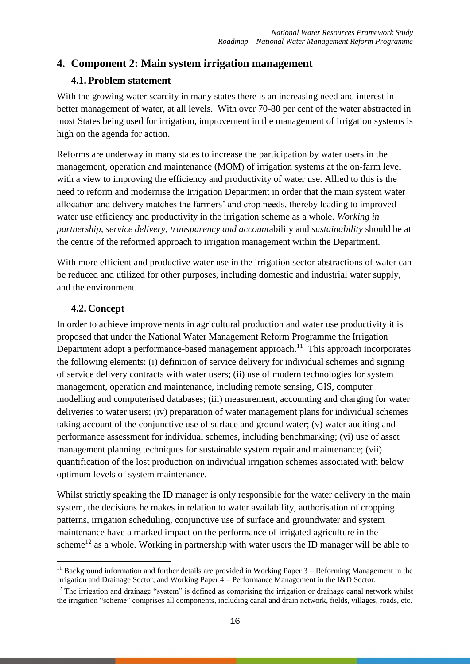# <span id="page-21-0"></span>**4. Component 2: Main system irrigation management**

#### <span id="page-21-1"></span>**4.1. Problem statement**

With the growing water scarcity in many states there is an increasing need and interest in better management of water, at all levels. With over 70-80 per cent of the water abstracted in most States being used for irrigation, improvement in the management of irrigation systems is high on the agenda for action.

Reforms are underway in many states to increase the participation by water users in the management, operation and maintenance (MOM) of irrigation systems at the on-farm level with a view to improving the efficiency and productivity of water use. Allied to this is the need to reform and modernise the Irrigation Department in order that the main system water allocation and delivery matches the farmers" and crop needs, thereby leading to improved water use efficiency and productivity in the irrigation scheme as a whole. *Working in partnership*, *service delivery*, *transparency and account*ability and *sustainability* should be at the centre of the reformed approach to irrigation management within the Department.

With more efficient and productive water use in the irrigation sector abstractions of water can be reduced and utilized for other purposes, including domestic and industrial water supply, and the environment.

### <span id="page-21-2"></span>**4.2. Concept**

-

In order to achieve improvements in agricultural production and water use productivity it is proposed that under the National Water Management Reform Programme the Irrigation Department adopt a performance-based management approach.<sup>11</sup> This approach incorporates the following elements: (i) definition of service delivery for individual schemes and signing of service delivery contracts with water users; (ii) use of modern technologies for system management, operation and maintenance, including remote sensing, GIS, computer modelling and computerised databases; (iii) measurement, accounting and charging for water deliveries to water users; (iv) preparation of water management plans for individual schemes taking account of the conjunctive use of surface and ground water; (v) water auditing and performance assessment for individual schemes, including benchmarking; (vi) use of asset management planning techniques for sustainable system repair and maintenance; (vii) quantification of the lost production on individual irrigation schemes associated with below optimum levels of system maintenance.

Whilst strictly speaking the ID manager is only responsible for the water delivery in the main system, the decisions he makes in relation to water availability, authorisation of cropping patterns, irrigation scheduling, conjunctive use of surface and groundwater and system maintenance have a marked impact on the performance of irrigated agriculture in the scheme<sup>12</sup> as a whole. Working in partnership with water users the ID manager will be able to

<sup>&</sup>lt;sup>11</sup> Background information and further details are provided in Working Paper  $3$  – Reforming Management in the Irrigation and Drainage Sector, and Working Paper 4 – Performance Management in the I&D Sector.

 $12$  The irrigation and drainage "system" is defined as comprising the irrigation or drainage canal network whilst the irrigation "scheme" comprises all components, including canal and drain network, fields, villages, roads, etc.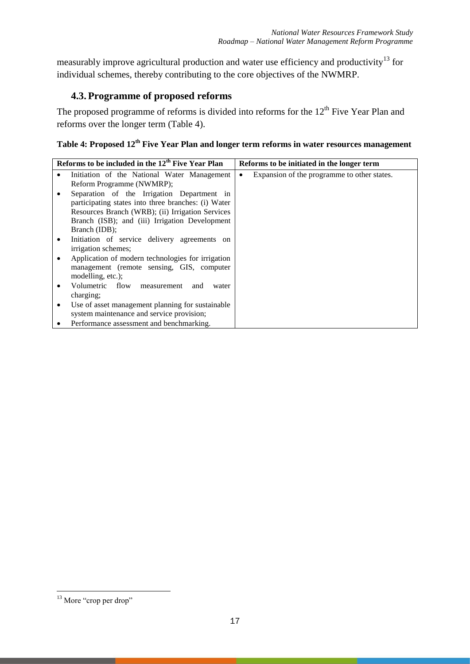measurably improve agricultural production and water use efficiency and productivity<sup>13</sup> for individual schemes, thereby contributing to the core objectives of the NWMRP.

## **4.3. Programme of proposed reforms**

<span id="page-22-0"></span>The proposed programme of reforms is divided into reforms for the 12<sup>th</sup> Five Year Plan and reforms over the longer term (Table 4).

# **Table 4: Proposed 12th Five Year Plan and longer term reforms in water resources management**

|           | Reforms to be included in the 12 <sup>th</sup> Five Year Plan | Reforms to be initiated in the longer term               |
|-----------|---------------------------------------------------------------|----------------------------------------------------------|
| ٠         | Initiation of the National Water Management                   | Expansion of the programme to other states.<br>$\bullet$ |
|           | Reform Programme (NWMRP);                                     |                                                          |
| ٠         | Separation of the Irrigation Department in                    |                                                          |
|           | participating states into three branches: (i) Water           |                                                          |
|           | Resources Branch (WRB); (ii) Irrigation Services              |                                                          |
|           | Branch (ISB); and (iii) Irrigation Development                |                                                          |
|           | Branch (IDB);                                                 |                                                          |
| $\bullet$ | Initiation of service delivery agreements on                  |                                                          |
|           | irrigation schemes;                                           |                                                          |
|           | Application of modern technologies for irrigation             |                                                          |
|           | management (remote sensing, GIS, computer                     |                                                          |
|           | modelling, etc.);                                             |                                                          |
|           | Volumetric flow measurement and<br>water                      |                                                          |
|           | charging;                                                     |                                                          |
| $\bullet$ | Use of asset management planning for sustainable              |                                                          |
|           | system maintenance and service provision;                     |                                                          |
|           | Performance assessment and benchmarking.                      |                                                          |

-

<sup>&</sup>lt;sup>13</sup> More "crop per drop"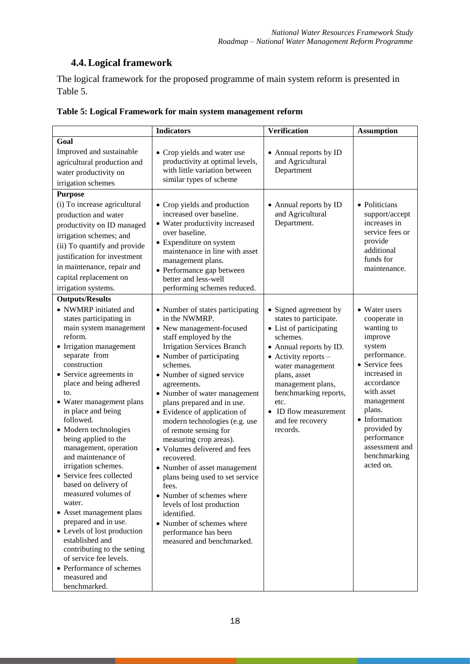# <span id="page-23-0"></span>**4.4.Logical framework**

The logical framework for the proposed programme of main system reform is presented in Table 5.

| <b>Indicators</b>                                                                                                                                                                                                                                                                                                                                                                                                                                                                                                                                                                                                                                                    | <b>Verification</b>                                                                                                                                                                                                                                                         | <b>Assumption</b>                                                                                                                                                                                                                                                    |
|----------------------------------------------------------------------------------------------------------------------------------------------------------------------------------------------------------------------------------------------------------------------------------------------------------------------------------------------------------------------------------------------------------------------------------------------------------------------------------------------------------------------------------------------------------------------------------------------------------------------------------------------------------------------|-----------------------------------------------------------------------------------------------------------------------------------------------------------------------------------------------------------------------------------------------------------------------------|----------------------------------------------------------------------------------------------------------------------------------------------------------------------------------------------------------------------------------------------------------------------|
|                                                                                                                                                                                                                                                                                                                                                                                                                                                                                                                                                                                                                                                                      |                                                                                                                                                                                                                                                                             |                                                                                                                                                                                                                                                                      |
| • Crop yields and water use<br>productivity at optimal levels,<br>with little variation between<br>similar types of scheme                                                                                                                                                                                                                                                                                                                                                                                                                                                                                                                                           | • Annual reports by ID<br>and Agricultural<br>Department                                                                                                                                                                                                                    |                                                                                                                                                                                                                                                                      |
|                                                                                                                                                                                                                                                                                                                                                                                                                                                                                                                                                                                                                                                                      |                                                                                                                                                                                                                                                                             |                                                                                                                                                                                                                                                                      |
| • Crop yields and production<br>increased over baseline.<br>• Water productivity increased<br>over baseline.<br>• Expenditure on system<br>maintenance in line with asset<br>management plans.<br>• Performance gap between<br>better and less-well<br>performing schemes reduced.                                                                                                                                                                                                                                                                                                                                                                                   | • Annual reports by ID<br>and Agricultural<br>Department.                                                                                                                                                                                                                   | • Politicians<br>support/accept<br>increases in<br>service fees or<br>provide<br>additional<br>funds for<br>maintenance.                                                                                                                                             |
|                                                                                                                                                                                                                                                                                                                                                                                                                                                                                                                                                                                                                                                                      |                                                                                                                                                                                                                                                                             |                                                                                                                                                                                                                                                                      |
| in the NWMRP.<br>• New management-focused<br>staff employed by the<br><b>Irrigation Services Branch</b><br>• Number of participating<br>schemes.<br>• Number of signed service<br>agreements.<br>• Number of water management<br>plans prepared and in use.<br>• Evidence of application of<br>modern technologies (e.g. use<br>of remote sensing for<br>measuring crop areas).<br>• Volumes delivered and fees<br>recovered.<br>• Number of asset management<br>plans being used to set service<br>fees.<br>• Number of schemes where<br>levels of lost production<br>identified.<br>• Number of schemes where<br>performance has been<br>measured and benchmarked. | states to participate.<br>• List of participating<br>schemes.<br>• Annual reports by ID.<br>$\bullet$ Activity reports -<br>water management<br>plans, asset<br>management plans,<br>benchmarking reports,<br>etc.<br>• ID flow measurement<br>and fee recovery<br>records. | • Water users<br>cooperate in<br>wanting to<br>improve<br>system<br>performance.<br>• Service fees<br>increased in<br>accordance<br>with asset<br>management<br>plans.<br>• Information<br>provided by<br>performance<br>assessment and<br>benchmarking<br>acted on. |
|                                                                                                                                                                                                                                                                                                                                                                                                                                                                                                                                                                                                                                                                      | • Number of states participating                                                                                                                                                                                                                                            | • Signed agreement by                                                                                                                                                                                                                                                |

#### **Table 5: Logical Framework for main system management reform**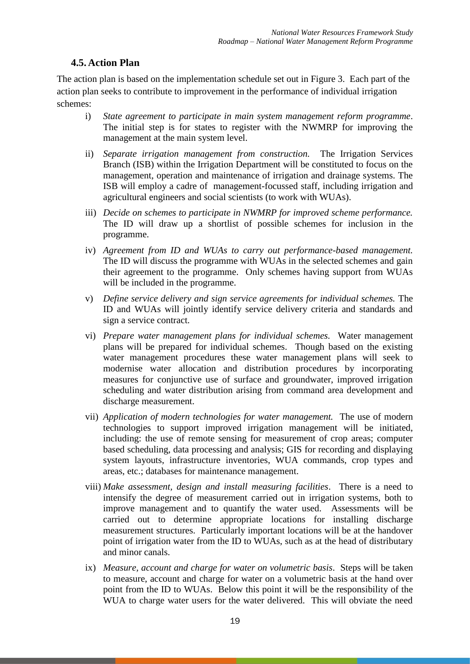## <span id="page-24-0"></span>**4.5. Action Plan**

The action plan is based on the implementation schedule set out in Figure 3. Each part of the action plan seeks to contribute to improvement in the performance of individual irrigation schemes:

- i) *State agreement to participate in main system management reform programme*. The initial step is for states to register with the NWMRP for improving the management at the main system level.
- ii) *Separate irrigation management from construction.* The Irrigation Services Branch (ISB) within the Irrigation Department will be constituted to focus on the management, operation and maintenance of irrigation and drainage systems. The ISB will employ a cadre of management-focussed staff, including irrigation and agricultural engineers and social scientists (to work with WUAs).
- iii) *Decide on schemes to participate in NWMRP for improved scheme performance.* The ID will draw up a shortlist of possible schemes for inclusion in the programme.
- iv) *Agreement from ID and WUAs to carry out performance-based management.* The ID will discuss the programme with WUAs in the selected schemes and gain their agreement to the programme. Only schemes having support from WUAs will be included in the programme.
- v) *Define service delivery and sign service agreements for individual schemes.* The ID and WUAs will jointly identify service delivery criteria and standards and sign a service contract.
- vi) *Prepare water management plans for individual schemes.* Water management plans will be prepared for individual schemes. Though based on the existing water management procedures these water management plans will seek to modernise water allocation and distribution procedures by incorporating measures for conjunctive use of surface and groundwater, improved irrigation scheduling and water distribution arising from command area development and discharge measurement.
- vii) *Application of modern technologies for water management.* The use of modern technologies to support improved irrigation management will be initiated, including: the use of remote sensing for measurement of crop areas; computer based scheduling, data processing and analysis; GIS for recording and displaying system layouts, infrastructure inventories, WUA commands, crop types and areas, etc.; databases for maintenance management.
- viii) *Make assessment, design and install measuring facilities*. There is a need to intensify the degree of measurement carried out in irrigation systems, both to improve management and to quantify the water used. Assessments will be carried out to determine appropriate locations for installing discharge measurement structures. Particularly important locations will be at the handover point of irrigation water from the ID to WUAs, such as at the head of distributary and minor canals.
- ix) *Measure, account and charge for water on volumetric basis*. Steps will be taken to measure, account and charge for water on a volumetric basis at the hand over point from the ID to WUAs. Below this point it will be the responsibility of the WUA to charge water users for the water delivered. This will obviate the need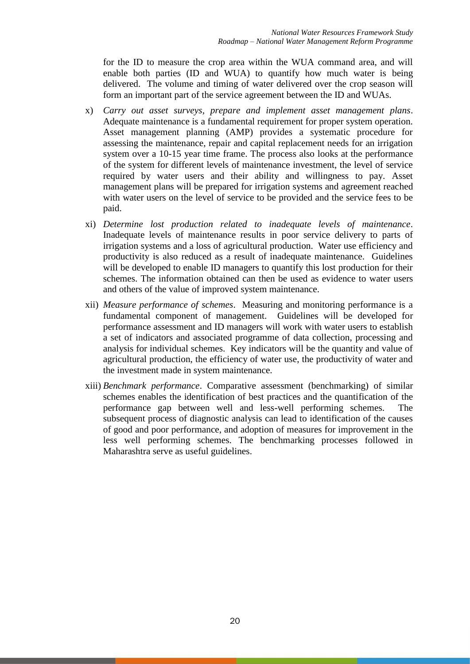for the ID to measure the crop area within the WUA command area, and will enable both parties (ID and WUA) to quantify how much water is being delivered. The volume and timing of water delivered over the crop season will form an important part of the service agreement between the ID and WUAs.

- x) *Carry out asset surveys, prepare and implement asset management plans*. Adequate maintenance is a fundamental requirement for proper system operation. Asset management planning (AMP) provides a systematic procedure for assessing the maintenance, repair and capital replacement needs for an irrigation system over a 10-15 year time frame. The process also looks at the performance of the system for different levels of maintenance investment, the level of service required by water users and their ability and willingness to pay. Asset management plans will be prepared for irrigation systems and agreement reached with water users on the level of service to be provided and the service fees to be paid.
- xi) *Determine lost production related to inadequate levels of maintenance*. Inadequate levels of maintenance results in poor service delivery to parts of irrigation systems and a loss of agricultural production. Water use efficiency and productivity is also reduced as a result of inadequate maintenance. Guidelines will be developed to enable ID managers to quantify this lost production for their schemes. The information obtained can then be used as evidence to water users and others of the value of improved system maintenance.
- xii) *Measure performance of schemes*. Measuring and monitoring performance is a fundamental component of management. Guidelines will be developed for performance assessment and ID managers will work with water users to establish a set of indicators and associated programme of data collection, processing and analysis for individual schemes. Key indicators will be the quantity and value of agricultural production, the efficiency of water use, the productivity of water and the investment made in system maintenance.
- xiii) *Benchmark performance*. Comparative assessment (benchmarking) of similar schemes enables the identification of best practices and the quantification of the performance gap between well and less-well performing schemes. The subsequent process of diagnostic analysis can lead to identification of the causes of good and poor performance, and adoption of measures for improvement in the less well performing schemes. The benchmarking processes followed in Maharashtra serve as useful guidelines.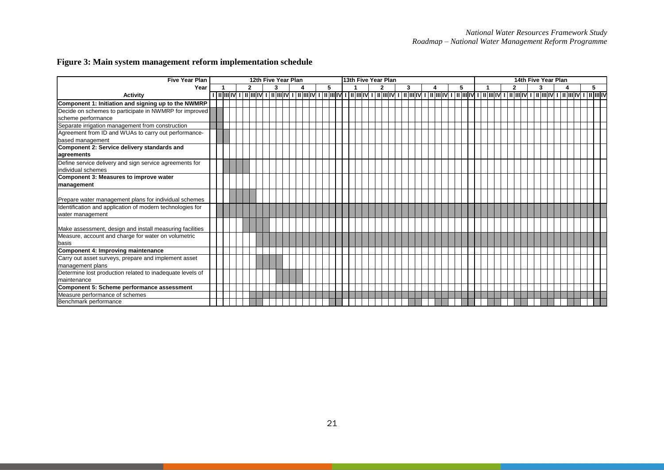#### **Figure 3: Main system management reform implementation schedule**

۰

| <b>Five Year Plan</b>                                     |                                                                                                                | 12th Five Year Plan |  |  |  |  |        |  |  |  |  |  | 13th Five Year Plan |  |  |  |              |  |  |   |  |  |  |  |   |  |  |  |  | 14th Five Year Plan |              |  |  |   |  |  |  |  |  |  |  |
|-----------------------------------------------------------|----------------------------------------------------------------------------------------------------------------|---------------------|--|--|--|--|--------|--|--|--|--|--|---------------------|--|--|--|--------------|--|--|---|--|--|--|--|---|--|--|--|--|---------------------|--------------|--|--|---|--|--|--|--|--|--|--|
| Year                                                      |                                                                                                                | $\mathbf{2}$        |  |  |  |  | 3<br>4 |  |  |  |  |  | 5                   |  |  |  | $\mathbf{2}$ |  |  | 3 |  |  |  |  | 5 |  |  |  |  |                     | $\mathbf{2}$ |  |  | 3 |  |  |  |  |  |  |  |
| <b>Activity</b>                                           | ի իլորի ի խվակով է խվակով է խվակով է խվակով է խվակով է խվակով է խվակով է խվակով է խվակով է խվակով է խվակով է խ |                     |  |  |  |  |        |  |  |  |  |  |                     |  |  |  |              |  |  |   |  |  |  |  |   |  |  |  |  |                     |              |  |  |   |  |  |  |  |  |  |  |
| Component 1: Initiation and signing up to the NWMRP       |                                                                                                                |                     |  |  |  |  |        |  |  |  |  |  |                     |  |  |  |              |  |  |   |  |  |  |  |   |  |  |  |  |                     |              |  |  |   |  |  |  |  |  |  |  |
| Decide on schemes to participate in NWMRP for improved    |                                                                                                                |                     |  |  |  |  |        |  |  |  |  |  |                     |  |  |  |              |  |  |   |  |  |  |  |   |  |  |  |  |                     |              |  |  |   |  |  |  |  |  |  |  |
| scheme performance                                        |                                                                                                                |                     |  |  |  |  |        |  |  |  |  |  |                     |  |  |  |              |  |  |   |  |  |  |  |   |  |  |  |  |                     |              |  |  |   |  |  |  |  |  |  |  |
| Separate irrigation management from construction          |                                                                                                                |                     |  |  |  |  |        |  |  |  |  |  |                     |  |  |  |              |  |  |   |  |  |  |  |   |  |  |  |  |                     |              |  |  |   |  |  |  |  |  |  |  |
| Agreement from ID and WUAs to carry out performance-      |                                                                                                                |                     |  |  |  |  |        |  |  |  |  |  |                     |  |  |  |              |  |  |   |  |  |  |  |   |  |  |  |  |                     |              |  |  |   |  |  |  |  |  |  |  |
| based management                                          |                                                                                                                |                     |  |  |  |  |        |  |  |  |  |  |                     |  |  |  |              |  |  |   |  |  |  |  |   |  |  |  |  |                     |              |  |  |   |  |  |  |  |  |  |  |
| Component 2: Service delivery standards and               |                                                                                                                |                     |  |  |  |  |        |  |  |  |  |  |                     |  |  |  |              |  |  |   |  |  |  |  |   |  |  |  |  |                     |              |  |  |   |  |  |  |  |  |  |  |
| agreements                                                |                                                                                                                |                     |  |  |  |  |        |  |  |  |  |  |                     |  |  |  |              |  |  |   |  |  |  |  |   |  |  |  |  |                     |              |  |  |   |  |  |  |  |  |  |  |
| Define service delivery and sign service agreements for   |                                                                                                                |                     |  |  |  |  |        |  |  |  |  |  |                     |  |  |  |              |  |  |   |  |  |  |  |   |  |  |  |  |                     |              |  |  |   |  |  |  |  |  |  |  |
| individual schemes                                        |                                                                                                                |                     |  |  |  |  |        |  |  |  |  |  |                     |  |  |  |              |  |  |   |  |  |  |  |   |  |  |  |  |                     |              |  |  |   |  |  |  |  |  |  |  |
| Component 3: Measures to improve water                    |                                                                                                                |                     |  |  |  |  |        |  |  |  |  |  |                     |  |  |  |              |  |  |   |  |  |  |  |   |  |  |  |  |                     |              |  |  |   |  |  |  |  |  |  |  |
| management                                                |                                                                                                                |                     |  |  |  |  |        |  |  |  |  |  |                     |  |  |  |              |  |  |   |  |  |  |  |   |  |  |  |  |                     |              |  |  |   |  |  |  |  |  |  |  |
|                                                           |                                                                                                                |                     |  |  |  |  |        |  |  |  |  |  |                     |  |  |  |              |  |  |   |  |  |  |  |   |  |  |  |  |                     |              |  |  |   |  |  |  |  |  |  |  |
| Prepare water management plans for individual schemes     |                                                                                                                |                     |  |  |  |  |        |  |  |  |  |  |                     |  |  |  |              |  |  |   |  |  |  |  |   |  |  |  |  |                     |              |  |  |   |  |  |  |  |  |  |  |
| Identification and application of modern technologies for |                                                                                                                |                     |  |  |  |  |        |  |  |  |  |  |                     |  |  |  |              |  |  |   |  |  |  |  |   |  |  |  |  |                     |              |  |  |   |  |  |  |  |  |  |  |
| water management                                          |                                                                                                                |                     |  |  |  |  |        |  |  |  |  |  |                     |  |  |  |              |  |  |   |  |  |  |  |   |  |  |  |  |                     |              |  |  |   |  |  |  |  |  |  |  |
| Make assessment, design and install measuring facilities  |                                                                                                                |                     |  |  |  |  |        |  |  |  |  |  |                     |  |  |  |              |  |  |   |  |  |  |  |   |  |  |  |  |                     |              |  |  |   |  |  |  |  |  |  |  |
| Measure, account and charge for water on volumetric       |                                                                                                                |                     |  |  |  |  |        |  |  |  |  |  |                     |  |  |  |              |  |  |   |  |  |  |  |   |  |  |  |  |                     |              |  |  |   |  |  |  |  |  |  |  |
| basis                                                     |                                                                                                                |                     |  |  |  |  |        |  |  |  |  |  |                     |  |  |  |              |  |  |   |  |  |  |  |   |  |  |  |  |                     |              |  |  |   |  |  |  |  |  |  |  |
| Component 4: Improving maintenance                        |                                                                                                                |                     |  |  |  |  |        |  |  |  |  |  |                     |  |  |  |              |  |  |   |  |  |  |  |   |  |  |  |  |                     |              |  |  |   |  |  |  |  |  |  |  |
| Carry out asset surveys, prepare and implement asset      |                                                                                                                |                     |  |  |  |  |        |  |  |  |  |  |                     |  |  |  |              |  |  |   |  |  |  |  |   |  |  |  |  |                     |              |  |  |   |  |  |  |  |  |  |  |
| management plans                                          |                                                                                                                |                     |  |  |  |  |        |  |  |  |  |  |                     |  |  |  |              |  |  |   |  |  |  |  |   |  |  |  |  |                     |              |  |  |   |  |  |  |  |  |  |  |
| Determine lost production related to inadequate levels of |                                                                                                                |                     |  |  |  |  |        |  |  |  |  |  |                     |  |  |  |              |  |  |   |  |  |  |  |   |  |  |  |  |                     |              |  |  |   |  |  |  |  |  |  |  |
| maintenance                                               |                                                                                                                |                     |  |  |  |  |        |  |  |  |  |  |                     |  |  |  |              |  |  |   |  |  |  |  |   |  |  |  |  |                     |              |  |  |   |  |  |  |  |  |  |  |
| Component 5: Scheme performance assessment                |                                                                                                                |                     |  |  |  |  |        |  |  |  |  |  |                     |  |  |  |              |  |  |   |  |  |  |  |   |  |  |  |  |                     |              |  |  |   |  |  |  |  |  |  |  |
| Measure performance of schemes                            |                                                                                                                |                     |  |  |  |  |        |  |  |  |  |  |                     |  |  |  |              |  |  |   |  |  |  |  |   |  |  |  |  |                     |              |  |  |   |  |  |  |  |  |  |  |
| Benchmark performance                                     |                                                                                                                |                     |  |  |  |  |        |  |  |  |  |  |                     |  |  |  |              |  |  |   |  |  |  |  |   |  |  |  |  |                     |              |  |  |   |  |  |  |  |  |  |  |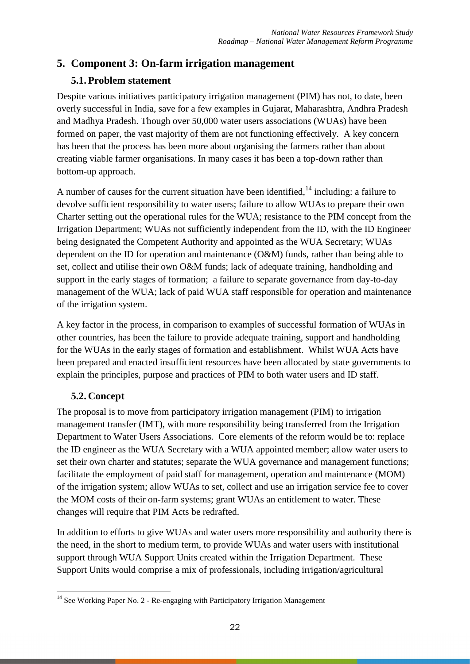# <span id="page-27-0"></span>**5. Component 3: On-farm irrigation management**

## **5.1. Problem statement**

<span id="page-27-1"></span>Despite various initiatives participatory irrigation management (PIM) has not, to date, been overly successful in India, save for a few examples in Gujarat, Maharashtra, Andhra Pradesh and Madhya Pradesh. Though over 50,000 water users associations (WUAs) have been formed on paper, the vast majority of them are not functioning effectively. A key concern has been that the process has been more about organising the farmers rather than about creating viable farmer organisations. In many cases it has been a top-down rather than bottom-up approach.

A number of causes for the current situation have been identified,  $^{14}$  including: a failure to devolve sufficient responsibility to water users; failure to allow WUAs to prepare their own Charter setting out the operational rules for the WUA; resistance to the PIM concept from the Irrigation Department; WUAs not sufficiently independent from the ID, with the ID Engineer being designated the Competent Authority and appointed as the WUA Secretary; WUAs dependent on the ID for operation and maintenance (O&M) funds, rather than being able to set, collect and utilise their own O&M funds; lack of adequate training, handholding and support in the early stages of formation; a failure to separate governance from day-to-day management of the WUA; lack of paid WUA staff responsible for operation and maintenance of the irrigation system.

A key factor in the process, in comparison to examples of successful formation of WUAs in other countries, has been the failure to provide adequate training, support and handholding for the WUAs in the early stages of formation and establishment. Whilst WUA Acts have been prepared and enacted insufficient resources have been allocated by state governments to explain the principles, purpose and practices of PIM to both water users and ID staff.

# <span id="page-27-2"></span>**5.2. Concept**

-

The proposal is to move from participatory irrigation management (PIM) to irrigation management transfer (IMT), with more responsibility being transferred from the Irrigation Department to Water Users Associations. Core elements of the reform would be to: replace the ID engineer as the WUA Secretary with a WUA appointed member; allow water users to set their own charter and statutes; separate the WUA governance and management functions; facilitate the employment of paid staff for management, operation and maintenance (MOM) of the irrigation system; allow WUAs to set, collect and use an irrigation service fee to cover the MOM costs of their on-farm systems; grant WUAs an entitlement to water. These changes will require that PIM Acts be redrafted.

In addition to efforts to give WUAs and water users more responsibility and authority there is the need, in the short to medium term, to provide WUAs and water users with institutional support through WUA Support Units created within the Irrigation Department. These Support Units would comprise a mix of professionals, including irrigation/agricultural

<sup>&</sup>lt;sup>14</sup> See Working Paper No. 2 - Re-engaging with Participatory Irrigation Management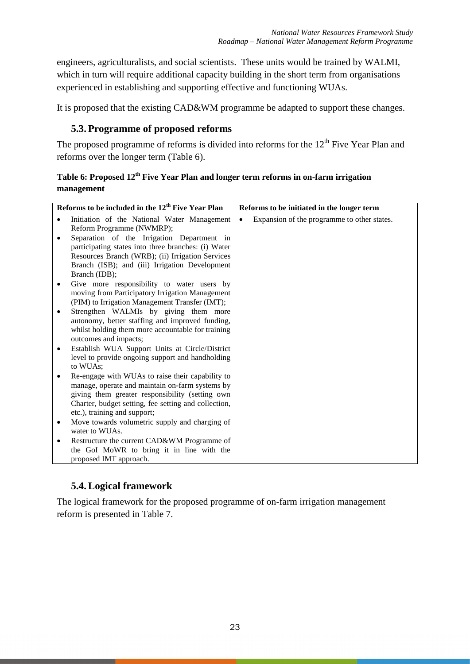engineers, agriculturalists, and social scientists. These units would be trained by WALMI, which in turn will require additional capacity building in the short term from organisations experienced in establishing and supporting effective and functioning WUAs.

It is proposed that the existing CAD&WM programme be adapted to support these changes.

## **5.3. Programme of proposed reforms**

<span id="page-28-0"></span>The proposed programme of reforms is divided into reforms for the  $12<sup>th</sup>$  Five Year Plan and reforms over the longer term (Table 6).

#### **Table 6: Proposed 12th Five Year Plan and longer term reforms in on-farm irrigation management**

|           | Reforms to be included in the 12 <sup>th</sup> Five Year Plan                                        | Reforms to be initiated in the longer term               |
|-----------|------------------------------------------------------------------------------------------------------|----------------------------------------------------------|
| $\bullet$ | Initiation of the National Water Management                                                          | Expansion of the programme to other states.<br>$\bullet$ |
|           | Reform Programme (NWMRP);                                                                            |                                                          |
|           | Separation of the Irrigation Department in                                                           |                                                          |
|           | participating states into three branches: (i) Water                                                  |                                                          |
|           | Resources Branch (WRB); (ii) Irrigation Services                                                     |                                                          |
|           | Branch (ISB); and (iii) Irrigation Development                                                       |                                                          |
|           | Branch (IDB);                                                                                        |                                                          |
|           | Give more responsibility to water users by                                                           |                                                          |
|           | moving from Participatory Irrigation Management                                                      |                                                          |
|           | (PIM) to Irrigation Management Transfer (IMT);                                                       |                                                          |
|           | Strengthen WALMIs by giving them more                                                                |                                                          |
|           | autonomy, better staffing and improved funding,<br>whilst holding them more accountable for training |                                                          |
|           | outcomes and impacts;                                                                                |                                                          |
|           | Establish WUA Support Units at Circle/District                                                       |                                                          |
|           | level to provide ongoing support and handholding                                                     |                                                          |
|           | to WUAs;                                                                                             |                                                          |
|           | Re-engage with WUAs to raise their capability to                                                     |                                                          |
|           | manage, operate and maintain on-farm systems by                                                      |                                                          |
|           | giving them greater responsibility (setting own                                                      |                                                          |
|           | Charter, budget setting, fee setting and collection,                                                 |                                                          |
|           | etc.), training and support;                                                                         |                                                          |
| ٠         | Move towards volumetric supply and charging of                                                       |                                                          |
|           | water to WUAs.                                                                                       |                                                          |
| ٠         | Restructure the current CAD&WM Programme of                                                          |                                                          |
|           | the GoI MoWR to bring it in line with the                                                            |                                                          |
|           | proposed IMT approach.                                                                               |                                                          |

# <span id="page-28-1"></span>**5.4.Logical framework**

The logical framework for the proposed programme of on-farm irrigation management reform is presented in Table 7.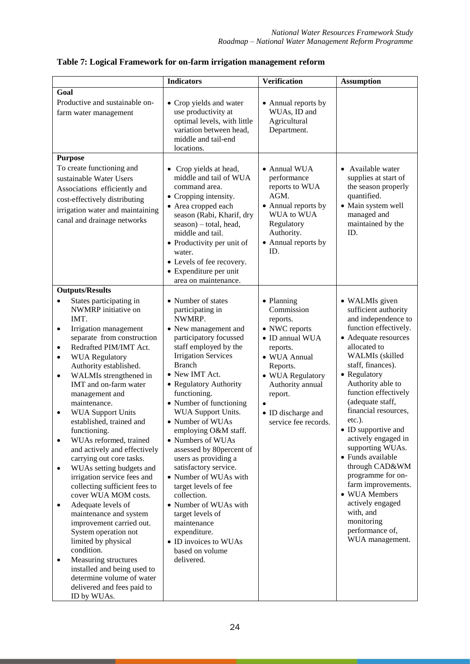|                                                                                                                                                                                                                                                                                                                                                                                                                                                                                                                                                                                                                                                                                                                                                                                                                                                              | <b>Indicators</b>                                                                                                                                                                                                                                                                                                                                                                                                                                                                                                                                                                                                                                  | <b>Verification</b>                                                                                                                                                                                               | <b>Assumption</b>                                                                                                                                                                                                                                                                                                                                                                                                                                                                                                                                             |
|--------------------------------------------------------------------------------------------------------------------------------------------------------------------------------------------------------------------------------------------------------------------------------------------------------------------------------------------------------------------------------------------------------------------------------------------------------------------------------------------------------------------------------------------------------------------------------------------------------------------------------------------------------------------------------------------------------------------------------------------------------------------------------------------------------------------------------------------------------------|----------------------------------------------------------------------------------------------------------------------------------------------------------------------------------------------------------------------------------------------------------------------------------------------------------------------------------------------------------------------------------------------------------------------------------------------------------------------------------------------------------------------------------------------------------------------------------------------------------------------------------------------------|-------------------------------------------------------------------------------------------------------------------------------------------------------------------------------------------------------------------|---------------------------------------------------------------------------------------------------------------------------------------------------------------------------------------------------------------------------------------------------------------------------------------------------------------------------------------------------------------------------------------------------------------------------------------------------------------------------------------------------------------------------------------------------------------|
| Goal                                                                                                                                                                                                                                                                                                                                                                                                                                                                                                                                                                                                                                                                                                                                                                                                                                                         |                                                                                                                                                                                                                                                                                                                                                                                                                                                                                                                                                                                                                                                    |                                                                                                                                                                                                                   |                                                                                                                                                                                                                                                                                                                                                                                                                                                                                                                                                               |
| Productive and sustainable on-<br>farm water management                                                                                                                                                                                                                                                                                                                                                                                                                                                                                                                                                                                                                                                                                                                                                                                                      | • Crop yields and water<br>use productivity at<br>optimal levels, with little<br>variation between head,<br>middle and tail-end<br>locations.                                                                                                                                                                                                                                                                                                                                                                                                                                                                                                      | • Annual reports by<br>WUAs, ID and<br>Agricultural<br>Department.                                                                                                                                                |                                                                                                                                                                                                                                                                                                                                                                                                                                                                                                                                                               |
| <b>Purpose</b><br>To create functioning and<br>sustainable Water Users<br>Associations efficiently and<br>cost-effectively distributing<br>irrigation water and maintaining<br>canal and drainage networks                                                                                                                                                                                                                                                                                                                                                                                                                                                                                                                                                                                                                                                   | • Crop yields at head,<br>middle and tail of WUA<br>command area.<br>• Cropping intensity.<br>• Area cropped each<br>season (Rabi, Kharif, dry<br>season) – total, head,<br>middle and tail.<br>• Productivity per unit of<br>water.<br>• Levels of fee recovery.<br>$\bullet$ Expenditure per unit<br>area on maintenance.                                                                                                                                                                                                                                                                                                                        | • Annual WUA<br>performance<br>reports to WUA<br>AGM.<br>• Annual reports by<br><b>WUA</b> to WUA<br>Regulatory<br>Authority.<br>• Annual reports by<br>ID.                                                       | Available water<br>$\bullet$<br>supplies at start of<br>the season properly<br>quantified.<br>• Main system well<br>managed and<br>maintained by the<br>ID.                                                                                                                                                                                                                                                                                                                                                                                                   |
| <b>Outputs/Results</b>                                                                                                                                                                                                                                                                                                                                                                                                                                                                                                                                                                                                                                                                                                                                                                                                                                       |                                                                                                                                                                                                                                                                                                                                                                                                                                                                                                                                                                                                                                                    |                                                                                                                                                                                                                   |                                                                                                                                                                                                                                                                                                                                                                                                                                                                                                                                                               |
| States participating in<br>$\bullet$<br>NWMRP initiative on<br>IMT.<br>Irrigation management<br>$\bullet$<br>separate from construction<br>Redrafted PIM/IMT Act.<br>$\bullet$<br><b>WUA Regulatory</b><br>$\bullet$<br>Authority established.<br>WALMIs strengthened in<br>$\bullet$<br>IMT and on-farm water<br>management and<br>maintenance.<br><b>WUA Support Units</b><br>$\bullet$<br>established, trained and<br>functioning.<br>WUAs reformed, trained<br>$\bullet$<br>and actively and effectively<br>carrying out core tasks.<br>WUAs setting budgets and<br>$\bullet$<br>irrigation service fees and<br>collecting sufficient fees to<br>cover WUA MOM costs.<br>Adequate levels of<br>$\bullet$<br>maintenance and system<br>improvement carried out.<br>System operation not<br>limited by physical<br>condition.<br>Measuring structures<br>٠ | • Number of states<br>participating in<br>NWMRP.<br>• New management and<br>participatory focussed<br>staff employed by the<br><b>Irrigation Services</b><br><b>Branch</b><br>• New IMT Act.<br>• Regulatory Authority<br>functioning.<br>• Number of functioning<br><b>WUA Support Units.</b><br>• Number of WUAs<br>employing O&M staff.<br>• Numbers of WUAs<br>assessed by 80percent of<br>users as providing a<br>satisfactory service.<br>• Number of WUAs with<br>target levels of fee<br>collection.<br>• Number of WUAs with<br>target levels of<br>maintenance<br>expenditure.<br>• ID invoices to WUAs<br>based on volume<br>delivered. | • Planning<br>Commission<br>reports.<br>• NWC reports<br>• ID annual WUA<br>reports.<br>• WUA Annual<br>Reports.<br>• WUA Regulatory<br>Authority annual<br>report.<br>• ID discharge and<br>service fee records. | • WALMIs given<br>sufficient authority<br>and independence to<br>function effectively.<br>• Adequate resources<br>allocated to<br><b>WALMIs</b> (skilled<br>staff, finances).<br>• Regulatory<br>Authority able to<br>function effectively<br>(adequate staff,<br>financial resources,<br>$etc.$ ).<br>• ID supportive and<br>actively engaged in<br>supporting WUAs.<br>· Funds available<br>through CAD&WM<br>programme for on-<br>farm improvements.<br>• WUA Members<br>actively engaged<br>with, and<br>monitoring<br>performance of,<br>WUA management. |

## **Table 7: Logical Framework for on-farm irrigation management reform**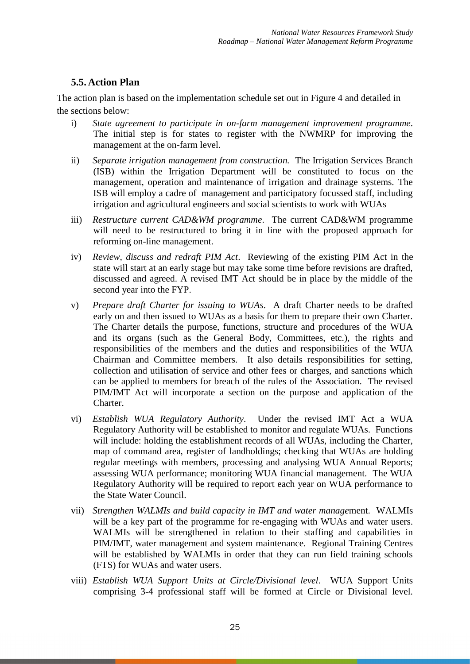### <span id="page-30-0"></span>**5.5. Action Plan**

The action plan is based on the implementation schedule set out in Figure 4 and detailed in the sections below:

- i) *State agreement to participate in on-farm management improvement programme*. The initial step is for states to register with the NWMRP for improving the management at the on-farm level.
- ii) *Separate irrigation management from construction.* The Irrigation Services Branch (ISB) within the Irrigation Department will be constituted to focus on the management, operation and maintenance of irrigation and drainage systems. The ISB will employ a cadre of management and participatory focussed staff, including irrigation and agricultural engineers and social scientists to work with WUAs
- iii) *Restructure current CAD&WM programme*. The current CAD&WM programme will need to be restructured to bring it in line with the proposed approach for reforming on-line management.
- iv) *Review, discuss and redraft PIM Act*. Reviewing of the existing PIM Act in the state will start at an early stage but may take some time before revisions are drafted, discussed and agreed. A revised IMT Act should be in place by the middle of the second year into the FYP.
- v) *Prepare draft Charter for issuing to WUAs*. A draft Charter needs to be drafted early on and then issued to WUAs as a basis for them to prepare their own Charter. The Charter details the purpose, functions, structure and procedures of the WUA and its organs (such as the General Body, Committees, etc.), the rights and responsibilities of the members and the duties and responsibilities of the WUA Chairman and Committee members. It also details responsibilities for setting, collection and utilisation of service and other fees or charges, and sanctions which can be applied to members for breach of the rules of the Association. The revised PIM/IMT Act will incorporate a section on the purpose and application of the Charter.
- vi) *Establish WUA Regulatory Authority*. Under the revised IMT Act a WUA Regulatory Authority will be established to monitor and regulate WUAs. Functions will include: holding the establishment records of all WUAs, including the Charter, map of command area, register of landholdings; checking that WUAs are holding regular meetings with members, processing and analysing WUA Annual Reports; assessing WUA performance; monitoring WUA financial management. The WUA Regulatory Authority will be required to report each year on WUA performance to the State Water Council.
- vii) *Strengthen WALMIs and build capacity in IMT and water manage*ment. WALMIs will be a key part of the programme for re-engaging with WUAs and water users. WALMIs will be strengthened in relation to their staffing and capabilities in PIM/IMT, water management and system maintenance. Regional Training Centres will be established by WALMIs in order that they can run field training schools (FTS) for WUAs and water users.
- viii) *Establish WUA Support Units at Circle/Divisional level*. WUA Support Units comprising 3-4 professional staff will be formed at Circle or Divisional level.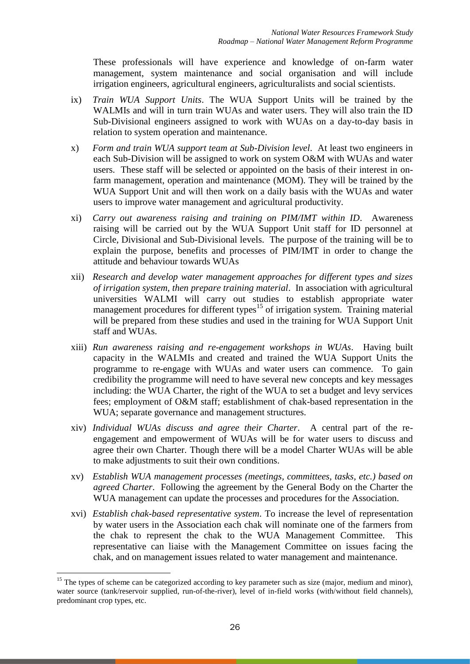These professionals will have experience and knowledge of on-farm water management, system maintenance and social organisation and will include irrigation engineers, agricultural engineers, agriculturalists and social scientists.

- ix) *Train WUA Support Units*. The WUA Support Units will be trained by the WALMIs and will in turn train WUAs and water users. They will also train the ID Sub-Divisional engineers assigned to work with WUAs on a day-to-day basis in relation to system operation and maintenance.
- x) *Form and train WUA support team at Sub-Division level*. At least two engineers in each Sub-Division will be assigned to work on system O&M with WUAs and water users. These staff will be selected or appointed on the basis of their interest in onfarm management, operation and maintenance (MOM). They will be trained by the WUA Support Unit and will then work on a daily basis with the WUAs and water users to improve water management and agricultural productivity.
- xi) *Carry out awareness raising and training on PIM/IMT within ID*. Awareness raising will be carried out by the WUA Support Unit staff for ID personnel at Circle, Divisional and Sub-Divisional levels. The purpose of the training will be to explain the purpose, benefits and processes of PIM/IMT in order to change the attitude and behaviour towards WUAs
- xii) *Research and develop water management approaches for different types and sizes of irrigation system, then prepare training material*. In association with agricultural universities WALMI will carry out studies to establish appropriate water management procedures for different types<sup>15</sup> of irrigation system. Training material will be prepared from these studies and used in the training for WUA Support Unit staff and WUAs.
- xiii) *Run awareness raising and re-engagement workshops in WUAs*. Having built capacity in the WALMIs and created and trained the WUA Support Units the programme to re-engage with WUAs and water users can commence. To gain credibility the programme will need to have several new concepts and key messages including: the WUA Charter, the right of the WUA to set a budget and levy services fees; employment of O&M staff; establishment of chak-based representation in the WUA; separate governance and management structures.
- xiv) *Individual WUAs discuss and agree their Charter*. A central part of the reengagement and empowerment of WUAs will be for water users to discuss and agree their own Charter. Though there will be a model Charter WUAs will be able to make adjustments to suit their own conditions.
- xv) *Establish WUA management processes (meetings, committees, tasks, etc.) based on agreed Charter*. Following the agreement by the General Body on the Charter the WUA management can update the processes and procedures for the Association.
- xvi) *Establish chak-based representative system*. To increase the level of representation by water users in the Association each chak will nominate one of the farmers from the chak to represent the chak to the WUA Management Committee. This representative can liaise with the Management Committee on issues facing the chak, and on management issues related to water management and maintenance.

 $\overline{a}$ 

<sup>&</sup>lt;sup>15</sup> The types of scheme can be categorized according to key parameter such as size (major, medium and minor), water source (tank/reservoir supplied, run-of-the-river), level of in-field works (with/without field channels), predominant crop types, etc.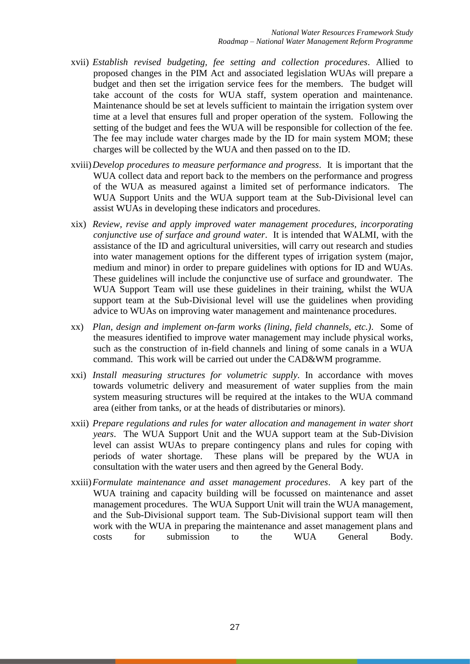- xvii) *Establish revised budgeting, fee setting and collection procedures*. Allied to proposed changes in the PIM Act and associated legislation WUAs will prepare a budget and then set the irrigation service fees for the members. The budget will take account of the costs for WUA staff, system operation and maintenance. Maintenance should be set at levels sufficient to maintain the irrigation system over time at a level that ensures full and proper operation of the system. Following the setting of the budget and fees the WUA will be responsible for collection of the fee. The fee may include water charges made by the ID for main system MOM; these charges will be collected by the WUA and then passed on to the ID.
- xviii)*Develop procedures to measure performance and progress*. It is important that the WUA collect data and report back to the members on the performance and progress of the WUA as measured against a limited set of performance indicators. The WUA Support Units and the WUA support team at the Sub-Divisional level can assist WUAs in developing these indicators and procedures.
- xix) *Review, revise and apply improved water management procedures, incorporating conjunctive use of surface and ground water*. It is intended that WALMI, with the assistance of the ID and agricultural universities, will carry out research and studies into water management options for the different types of irrigation system (major, medium and minor) in order to prepare guidelines with options for ID and WUAs. These guidelines will include the conjunctive use of surface and groundwater. The WUA Support Team will use these guidelines in their training, whilst the WUA support team at the Sub-Divisional level will use the guidelines when providing advice to WUAs on improving water management and maintenance procedures.
- xx) *Plan, design and implement on-farm works (lining, field channels, etc.)*. Some of the measures identified to improve water management may include physical works, such as the construction of in-field channels and lining of some canals in a WUA command. This work will be carried out under the CAD&WM programme.
- xxi) *Install measuring structures for volumetric supply*. In accordance with moves towards volumetric delivery and measurement of water supplies from the main system measuring structures will be required at the intakes to the WUA command area (either from tanks, or at the heads of distributaries or minors).
- xxii) *Prepare regulations and rules for water allocation and management in water short years*. The WUA Support Unit and the WUA support team at the Sub-Division level can assist WUAs to prepare contingency plans and rules for coping with periods of water shortage. These plans will be prepared by the WUA in consultation with the water users and then agreed by the General Body.
- xxiii)*Formulate maintenance and asset management procedures*. A key part of the WUA training and capacity building will be focussed on maintenance and asset management procedures. The WUA Support Unit will train the WUA management, and the Sub-Divisional support team. The Sub-Divisional support team will then work with the WUA in preparing the maintenance and asset management plans and costs for submission to the WUA General Body.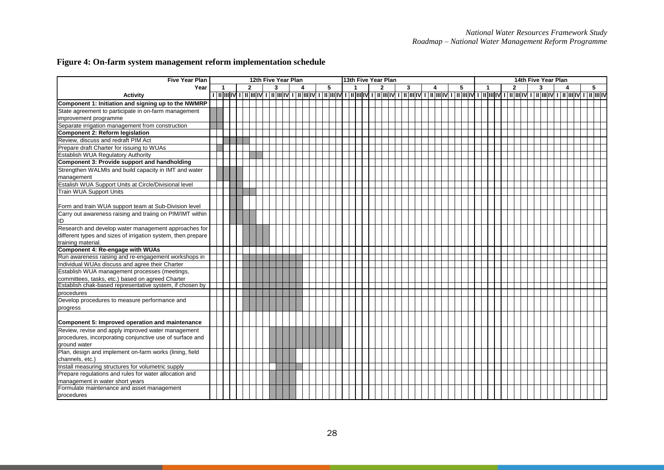#### **Figure 4: On-farm system management reform implementation schedule**

| <b>Five Year Plan</b>                                        |    | 12th Five Year Plan                                                                                            |                |  |  |   |  |   |  |  | 13th Five Year Plan |  |  |  |  |  |                |  |  |  |  |  |   | 14th Five Year Plan |  |   |  |  |              |  |  |                |  |  |   |  |  |  |  |  |  |
|--------------------------------------------------------------|----|----------------------------------------------------------------------------------------------------------------|----------------|--|--|---|--|---|--|--|---------------------|--|--|--|--|--|----------------|--|--|--|--|--|---|---------------------|--|---|--|--|--------------|--|--|----------------|--|--|---|--|--|--|--|--|--|
| Year                                                         | -1 |                                                                                                                | $\overline{2}$ |  |  | 3 |  | 4 |  |  | 5                   |  |  |  |  |  | $\overline{2}$ |  |  |  |  |  | 4 |                     |  | 5 |  |  | $\mathbf{1}$ |  |  | $\overline{2}$ |  |  | 3 |  |  |  |  |  |  |
| <b>Activity</b>                                              |    | ւլսվախ էլ արդել է իրավով է իրավով է իրավով է իրավով է իրավով է իրավով է իրավով է իրավով է իրավով է իրավով է ար |                |  |  |   |  |   |  |  |                     |  |  |  |  |  |                |  |  |  |  |  |   |                     |  |   |  |  |              |  |  |                |  |  |   |  |  |  |  |  |  |
| Component 1: Initiation and signing up to the NWMRP          |    |                                                                                                                |                |  |  |   |  |   |  |  |                     |  |  |  |  |  |                |  |  |  |  |  |   |                     |  |   |  |  |              |  |  |                |  |  |   |  |  |  |  |  |  |
| State agreement to participate in on-farm management         |    |                                                                                                                |                |  |  |   |  |   |  |  |                     |  |  |  |  |  |                |  |  |  |  |  |   |                     |  |   |  |  |              |  |  |                |  |  |   |  |  |  |  |  |  |
| improvement programme                                        |    |                                                                                                                |                |  |  |   |  |   |  |  |                     |  |  |  |  |  |                |  |  |  |  |  |   |                     |  |   |  |  |              |  |  |                |  |  |   |  |  |  |  |  |  |
| Separate irrigation management from construction             |    |                                                                                                                |                |  |  |   |  |   |  |  |                     |  |  |  |  |  |                |  |  |  |  |  |   |                     |  |   |  |  |              |  |  |                |  |  |   |  |  |  |  |  |  |
| Component 2: Reform legislation                              |    |                                                                                                                |                |  |  |   |  |   |  |  |                     |  |  |  |  |  |                |  |  |  |  |  |   |                     |  |   |  |  |              |  |  |                |  |  |   |  |  |  |  |  |  |
| Review, discuss and redraft PIM Act                          |    |                                                                                                                |                |  |  |   |  |   |  |  |                     |  |  |  |  |  |                |  |  |  |  |  |   |                     |  |   |  |  |              |  |  |                |  |  |   |  |  |  |  |  |  |
| Prepare draft Charter for issuing to WUAs                    |    |                                                                                                                |                |  |  |   |  |   |  |  |                     |  |  |  |  |  |                |  |  |  |  |  |   |                     |  |   |  |  |              |  |  |                |  |  |   |  |  |  |  |  |  |
| <b>Establish WUA Regulatory Authority</b>                    |    |                                                                                                                |                |  |  |   |  |   |  |  |                     |  |  |  |  |  |                |  |  |  |  |  |   |                     |  |   |  |  |              |  |  |                |  |  |   |  |  |  |  |  |  |
| Component 3: Provide support and handholding                 |    |                                                                                                                |                |  |  |   |  |   |  |  |                     |  |  |  |  |  |                |  |  |  |  |  |   |                     |  |   |  |  |              |  |  |                |  |  |   |  |  |  |  |  |  |
| Strengthen WALMIs and build capacity in IMT and water        |    |                                                                                                                |                |  |  |   |  |   |  |  |                     |  |  |  |  |  |                |  |  |  |  |  |   |                     |  |   |  |  |              |  |  |                |  |  |   |  |  |  |  |  |  |
| management                                                   |    |                                                                                                                |                |  |  |   |  |   |  |  |                     |  |  |  |  |  |                |  |  |  |  |  |   |                     |  |   |  |  |              |  |  |                |  |  |   |  |  |  |  |  |  |
| Estalish WUA Support Units at Circle/Divisional level        |    |                                                                                                                |                |  |  |   |  |   |  |  |                     |  |  |  |  |  |                |  |  |  |  |  |   |                     |  |   |  |  |              |  |  |                |  |  |   |  |  |  |  |  |  |
| Train WUA Support Units                                      |    |                                                                                                                |                |  |  |   |  |   |  |  |                     |  |  |  |  |  |                |  |  |  |  |  |   |                     |  |   |  |  |              |  |  |                |  |  |   |  |  |  |  |  |  |
|                                                              |    |                                                                                                                |                |  |  |   |  |   |  |  |                     |  |  |  |  |  |                |  |  |  |  |  |   |                     |  |   |  |  |              |  |  |                |  |  |   |  |  |  |  |  |  |
| Form and train WUA support team at Sub-Division level        |    |                                                                                                                |                |  |  |   |  |   |  |  |                     |  |  |  |  |  |                |  |  |  |  |  |   |                     |  |   |  |  |              |  |  |                |  |  |   |  |  |  |  |  |  |
| Carry out awareness raising and traiing on PIM/IMT within    |    |                                                                                                                |                |  |  |   |  |   |  |  |                     |  |  |  |  |  |                |  |  |  |  |  |   |                     |  |   |  |  |              |  |  |                |  |  |   |  |  |  |  |  |  |
|                                                              |    |                                                                                                                |                |  |  |   |  |   |  |  |                     |  |  |  |  |  |                |  |  |  |  |  |   |                     |  |   |  |  |              |  |  |                |  |  |   |  |  |  |  |  |  |
| Research and develop water management approaches for         |    |                                                                                                                |                |  |  |   |  |   |  |  |                     |  |  |  |  |  |                |  |  |  |  |  |   |                     |  |   |  |  |              |  |  |                |  |  |   |  |  |  |  |  |  |
| different types and sizes of irrigation system, then prepare |    |                                                                                                                |                |  |  |   |  |   |  |  |                     |  |  |  |  |  |                |  |  |  |  |  |   |                     |  |   |  |  |              |  |  |                |  |  |   |  |  |  |  |  |  |
| training material.                                           |    |                                                                                                                |                |  |  |   |  |   |  |  |                     |  |  |  |  |  |                |  |  |  |  |  |   |                     |  |   |  |  |              |  |  |                |  |  |   |  |  |  |  |  |  |
| Component 4: Re-engage with WUAs                             |    |                                                                                                                |                |  |  |   |  |   |  |  |                     |  |  |  |  |  |                |  |  |  |  |  |   |                     |  |   |  |  |              |  |  |                |  |  |   |  |  |  |  |  |  |
| Run awareness raising and re-engagement workshops in         |    |                                                                                                                |                |  |  |   |  |   |  |  |                     |  |  |  |  |  |                |  |  |  |  |  |   |                     |  |   |  |  |              |  |  |                |  |  |   |  |  |  |  |  |  |
| Individual WUAs discuss and agree their Charter              |    |                                                                                                                |                |  |  |   |  |   |  |  |                     |  |  |  |  |  |                |  |  |  |  |  |   |                     |  |   |  |  |              |  |  |                |  |  |   |  |  |  |  |  |  |
| Establish WUA management processes (meetings,                |    |                                                                                                                |                |  |  |   |  |   |  |  |                     |  |  |  |  |  |                |  |  |  |  |  |   |                     |  |   |  |  |              |  |  |                |  |  |   |  |  |  |  |  |  |
| committees, tasks, etc.) based on agreed Charter             |    |                                                                                                                |                |  |  |   |  |   |  |  |                     |  |  |  |  |  |                |  |  |  |  |  |   |                     |  |   |  |  |              |  |  |                |  |  |   |  |  |  |  |  |  |
| Establish chak-based representative system, if chosen by     |    |                                                                                                                |                |  |  |   |  |   |  |  |                     |  |  |  |  |  |                |  |  |  |  |  |   |                     |  |   |  |  |              |  |  |                |  |  |   |  |  |  |  |  |  |
| procedures                                                   |    |                                                                                                                |                |  |  |   |  |   |  |  |                     |  |  |  |  |  |                |  |  |  |  |  |   |                     |  |   |  |  |              |  |  |                |  |  |   |  |  |  |  |  |  |
| Develop procedures to measure performance and                |    |                                                                                                                |                |  |  |   |  |   |  |  |                     |  |  |  |  |  |                |  |  |  |  |  |   |                     |  |   |  |  |              |  |  |                |  |  |   |  |  |  |  |  |  |
| progress                                                     |    |                                                                                                                |                |  |  |   |  |   |  |  |                     |  |  |  |  |  |                |  |  |  |  |  |   |                     |  |   |  |  |              |  |  |                |  |  |   |  |  |  |  |  |  |
| Component 5: Improved operation and maintenance              |    |                                                                                                                |                |  |  |   |  |   |  |  |                     |  |  |  |  |  |                |  |  |  |  |  |   |                     |  |   |  |  |              |  |  |                |  |  |   |  |  |  |  |  |  |
| Review, revise and apply improved water management           |    |                                                                                                                |                |  |  |   |  |   |  |  |                     |  |  |  |  |  |                |  |  |  |  |  |   |                     |  |   |  |  |              |  |  |                |  |  |   |  |  |  |  |  |  |
| procedures, incorporating conjunctive use of surface and     |    |                                                                                                                |                |  |  |   |  |   |  |  |                     |  |  |  |  |  |                |  |  |  |  |  |   |                     |  |   |  |  |              |  |  |                |  |  |   |  |  |  |  |  |  |
| ground water                                                 |    |                                                                                                                |                |  |  |   |  |   |  |  |                     |  |  |  |  |  |                |  |  |  |  |  |   |                     |  |   |  |  |              |  |  |                |  |  |   |  |  |  |  |  |  |
| Plan, design and implement on-farm works (lining, field      |    |                                                                                                                |                |  |  |   |  |   |  |  |                     |  |  |  |  |  |                |  |  |  |  |  |   |                     |  |   |  |  |              |  |  |                |  |  |   |  |  |  |  |  |  |
| channels, etc.)                                              |    |                                                                                                                |                |  |  |   |  |   |  |  |                     |  |  |  |  |  |                |  |  |  |  |  |   |                     |  |   |  |  |              |  |  |                |  |  |   |  |  |  |  |  |  |
| Install measuring structures for volumetric supply           |    |                                                                                                                |                |  |  |   |  |   |  |  |                     |  |  |  |  |  |                |  |  |  |  |  |   |                     |  |   |  |  |              |  |  |                |  |  |   |  |  |  |  |  |  |
| Prepare regulations and rules for water allocation and       |    |                                                                                                                |                |  |  |   |  |   |  |  |                     |  |  |  |  |  |                |  |  |  |  |  |   |                     |  |   |  |  |              |  |  |                |  |  |   |  |  |  |  |  |  |
| management in water short years                              |    |                                                                                                                |                |  |  |   |  |   |  |  |                     |  |  |  |  |  |                |  |  |  |  |  |   |                     |  |   |  |  |              |  |  |                |  |  |   |  |  |  |  |  |  |
| Formulate maintenance and asset management                   |    |                                                                                                                |                |  |  |   |  |   |  |  |                     |  |  |  |  |  |                |  |  |  |  |  |   |                     |  |   |  |  |              |  |  |                |  |  |   |  |  |  |  |  |  |
| procedures                                                   |    |                                                                                                                |                |  |  |   |  |   |  |  |                     |  |  |  |  |  |                |  |  |  |  |  |   |                     |  |   |  |  |              |  |  |                |  |  |   |  |  |  |  |  |  |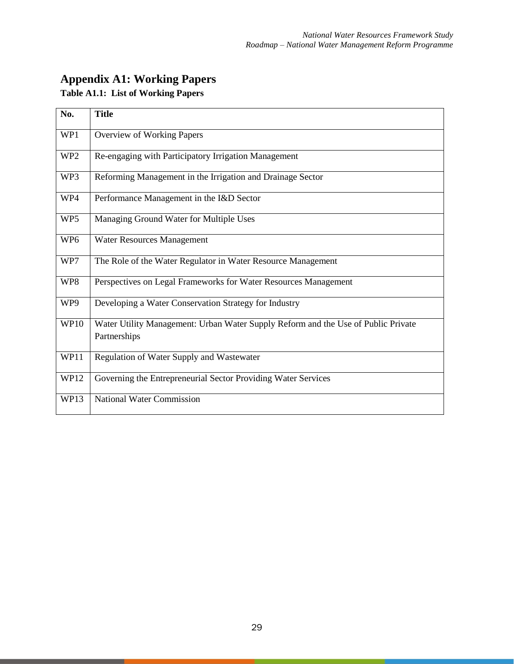# **Appendix A1: Working Papers**

## **Table A1.1: List of Working Papers**

<span id="page-34-0"></span>

| No.             | <b>Title</b>                                                                                      |
|-----------------|---------------------------------------------------------------------------------------------------|
| WP1             | <b>Overview of Working Papers</b>                                                                 |
| WP <sub>2</sub> | Re-engaging with Participatory Irrigation Management                                              |
| WP3             | Reforming Management in the Irrigation and Drainage Sector                                        |
| WP4             | Performance Management in the I&D Sector                                                          |
| WP5             | Managing Ground Water for Multiple Uses                                                           |
| WP <sub>6</sub> | <b>Water Resources Management</b>                                                                 |
| WP7             | The Role of the Water Regulator in Water Resource Management                                      |
| WP8             | Perspectives on Legal Frameworks for Water Resources Management                                   |
| WP9             | Developing a Water Conservation Strategy for Industry                                             |
| <b>WP10</b>     | Water Utility Management: Urban Water Supply Reform and the Use of Public Private<br>Partnerships |
| WP11            | Regulation of Water Supply and Wastewater                                                         |
| <b>WP12</b>     | Governing the Entrepreneurial Sector Providing Water Services                                     |
| <b>WP13</b>     | <b>National Water Commission</b>                                                                  |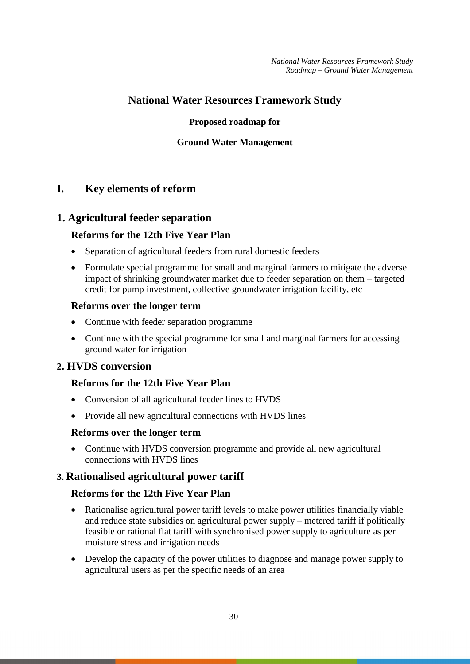# **National Water Resources Framework Study**

#### **Proposed roadmap for**

#### **Ground Water Management**

## **I. Key elements of reform**

### **1. Agricultural feeder separation**

## **Reforms for the 12th Five Year Plan**

- Separation of agricultural feeders from rural domestic feeders
- Formulate special programme for small and marginal farmers to mitigate the adverse impact of shrinking groundwater market due to feeder separation on them – targeted credit for pump investment, collective groundwater irrigation facility, etc

#### **Reforms over the longer term**

- Continue with feeder separation programme
- Continue with the special programme for small and marginal farmers for accessing ground water for irrigation

## **2. HVDS conversion**

#### **Reforms for the 12th Five Year Plan**

- Conversion of all agricultural feeder lines to HVDS
- Provide all new agricultural connections with HVDS lines

#### **Reforms over the longer term**

 Continue with HVDS conversion programme and provide all new agricultural connections with HVDS lines

## **3. Rationalised agricultural power tariff**

#### **Reforms for the 12th Five Year Plan**

- Rationalise agricultural power tariff levels to make power utilities financially viable and reduce state subsidies on agricultural power supply – metered tariff if politically feasible or rational flat tariff with synchronised power supply to agriculture as per moisture stress and irrigation needs
- Develop the capacity of the power utilities to diagnose and manage power supply to agricultural users as per the specific needs of an area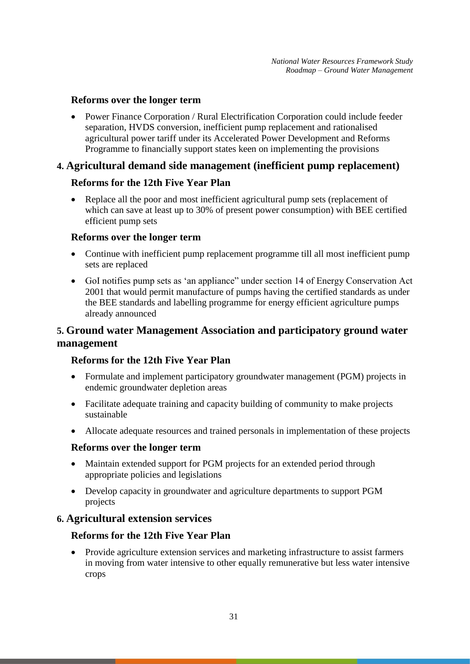#### **Reforms over the longer term**

 Power Finance Corporation / Rural Electrification Corporation could include feeder separation, HVDS conversion, inefficient pump replacement and rationalised agricultural power tariff under its Accelerated Power Development and Reforms Programme to financially support states keen on implementing the provisions

#### **4. Agricultural demand side management (inefficient pump replacement)**

## **Reforms for the 12th Five Year Plan**

• Replace all the poor and most inefficient agricultural pump sets (replacement of which can save at least up to 30% of present power consumption) with BEE certified efficient pump sets

#### **Reforms over the longer term**

- Continue with inefficient pump replacement programme till all most inefficient pump sets are replaced
- GoI notifies pump sets as "an appliance" under section 14 of Energy Conservation Act 2001 that would permit manufacture of pumps having the certified standards as under the BEE standards and labelling programme for energy efficient agriculture pumps already announced

## **5. Ground water Management Association and participatory ground water management**

## **Reforms for the 12th Five Year Plan**

- Formulate and implement participatory groundwater management (PGM) projects in endemic groundwater depletion areas
- Facilitate adequate training and capacity building of community to make projects sustainable
- Allocate adequate resources and trained personals in implementation of these projects

#### **Reforms over the longer term**

- Maintain extended support for PGM projects for an extended period through appropriate policies and legislations
- Develop capacity in groundwater and agriculture departments to support PGM projects

## **6. Agricultural extension services**

#### **Reforms for the 12th Five Year Plan**

 Provide agriculture extension services and marketing infrastructure to assist farmers in moving from water intensive to other equally remunerative but less water intensive crops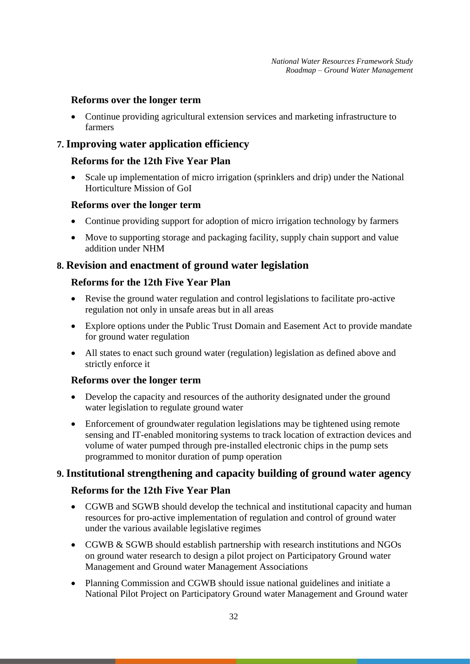#### **Reforms over the longer term**

 Continue providing agricultural extension services and marketing infrastructure to farmers

## **7. Improving water application efficiency**

#### **Reforms for the 12th Five Year Plan**

 Scale up implementation of micro irrigation (sprinklers and drip) under the National Horticulture Mission of GoI

#### **Reforms over the longer term**

- Continue providing support for adoption of micro irrigation technology by farmers
- Move to supporting storage and packaging facility, supply chain support and value addition under NHM

## **8. Revision and enactment of ground water legislation**

#### **Reforms for the 12th Five Year Plan**

- Revise the ground water regulation and control legislations to facilitate pro-active regulation not only in unsafe areas but in all areas
- Explore options under the Public Trust Domain and Easement Act to provide mandate for ground water regulation
- All states to enact such ground water (regulation) legislation as defined above and strictly enforce it

#### **Reforms over the longer term**

- Develop the capacity and resources of the authority designated under the ground water legislation to regulate ground water
- Enforcement of groundwater regulation legislations may be tightened using remote sensing and IT-enabled monitoring systems to track location of extraction devices and volume of water pumped through pre-installed electronic chips in the pump sets programmed to monitor duration of pump operation

## **9. Institutional strengthening and capacity building of ground water agency**

## **Reforms for the 12th Five Year Plan**

- CGWB and SGWB should develop the technical and institutional capacity and human resources for pro-active implementation of regulation and control of ground water under the various available legislative regimes
- CGWB & SGWB should establish partnership with research institutions and NGOs on ground water research to design a pilot project on Participatory Ground water Management and Ground water Management Associations
- Planning Commission and CGWB should issue national guidelines and initiate a National Pilot Project on Participatory Ground water Management and Ground water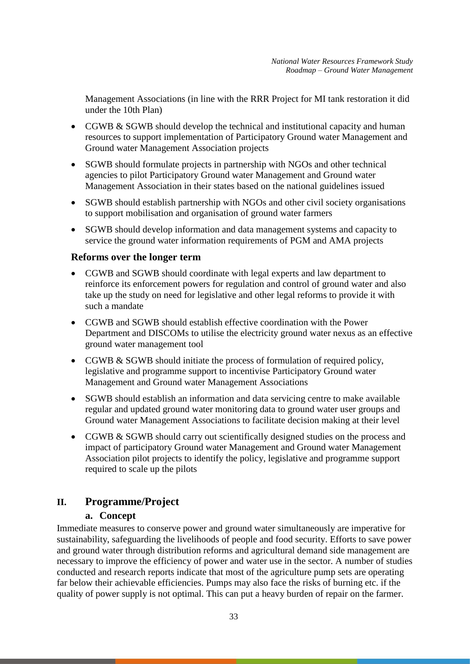Management Associations (in line with the RRR Project for MI tank restoration it did under the 10th Plan)

- CGWB & SGWB should develop the technical and institutional capacity and human resources to support implementation of Participatory Ground water Management and Ground water Management Association projects
- SGWB should formulate projects in partnership with NGOs and other technical agencies to pilot Participatory Ground water Management and Ground water Management Association in their states based on the national guidelines issued
- SGWB should establish partnership with NGOs and other civil society organisations to support mobilisation and organisation of ground water farmers
- SGWB should develop information and data management systems and capacity to service the ground water information requirements of PGM and AMA projects

#### **Reforms over the longer term**

- CGWB and SGWB should coordinate with legal experts and law department to reinforce its enforcement powers for regulation and control of ground water and also take up the study on need for legislative and other legal reforms to provide it with such a mandate
- CGWB and SGWB should establish effective coordination with the Power Department and DISCOMs to utilise the electricity ground water nexus as an effective ground water management tool
- CGWB & SGWB should initiate the process of formulation of required policy, legislative and programme support to incentivise Participatory Ground water Management and Ground water Management Associations
- SGWB should establish an information and data servicing centre to make available regular and updated ground water monitoring data to ground water user groups and Ground water Management Associations to facilitate decision making at their level
- CGWB & SGWB should carry out scientifically designed studies on the process and impact of participatory Ground water Management and Ground water Management Association pilot projects to identify the policy, legislative and programme support required to scale up the pilots

## **II. Programme/Project**

#### **a. Concept**

Immediate measures to conserve power and ground water simultaneously are imperative for sustainability, safeguarding the livelihoods of people and food security. Efforts to save power and ground water through distribution reforms and agricultural demand side management are necessary to improve the efficiency of power and water use in the sector. A number of studies conducted and research reports indicate that most of the agriculture pump sets are operating far below their achievable efficiencies. Pumps may also face the risks of burning etc. if the quality of power supply is not optimal. This can put a heavy burden of repair on the farmer.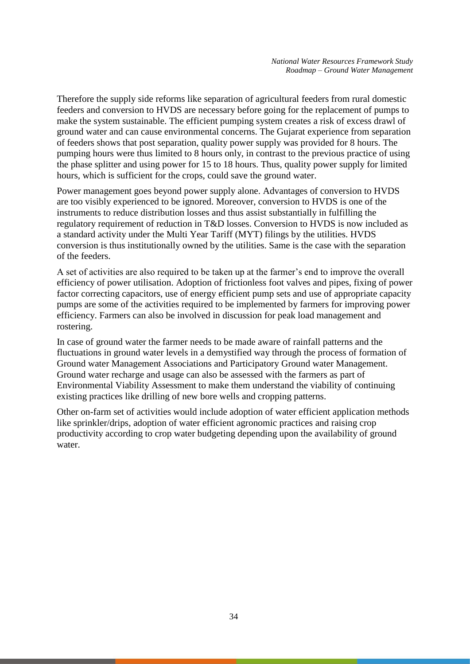Therefore the supply side reforms like separation of agricultural feeders from rural domestic feeders and conversion to HVDS are necessary before going for the replacement of pumps to make the system sustainable. The efficient pumping system creates a risk of excess drawl of ground water and can cause environmental concerns. The Gujarat experience from separation of feeders shows that post separation, quality power supply was provided for 8 hours. The pumping hours were thus limited to 8 hours only, in contrast to the previous practice of using the phase splitter and using power for 15 to 18 hours. Thus, quality power supply for limited hours, which is sufficient for the crops, could save the ground water.

Power management goes beyond power supply alone. Advantages of conversion to HVDS are too visibly experienced to be ignored. Moreover, conversion to HVDS is one of the instruments to reduce distribution losses and thus assist substantially in fulfilling the regulatory requirement of reduction in T&D losses. Conversion to HVDS is now included as a standard activity under the Multi Year Tariff (MYT) filings by the utilities. HVDS conversion is thus institutionally owned by the utilities. Same is the case with the separation of the feeders.

A set of activities are also required to be taken up at the farmer"s end to improve the overall efficiency of power utilisation. Adoption of frictionless foot valves and pipes, fixing of power factor correcting capacitors, use of energy efficient pump sets and use of appropriate capacity pumps are some of the activities required to be implemented by farmers for improving power efficiency. Farmers can also be involved in discussion for peak load management and rostering.

In case of ground water the farmer needs to be made aware of rainfall patterns and the fluctuations in ground water levels in a demystified way through the process of formation of Ground water Management Associations and Participatory Ground water Management. Ground water recharge and usage can also be assessed with the farmers as part of Environmental Viability Assessment to make them understand the viability of continuing existing practices like drilling of new bore wells and cropping patterns.

Other on-farm set of activities would include adoption of water efficient application methods like sprinkler/drips, adoption of water efficient agronomic practices and raising crop productivity according to crop water budgeting depending upon the availability of ground water.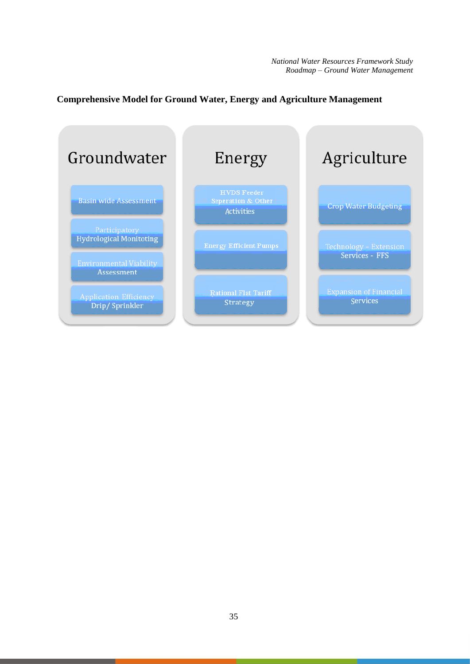#### **Comprehensive Model for Ground Water, Energy and Agriculture Management**

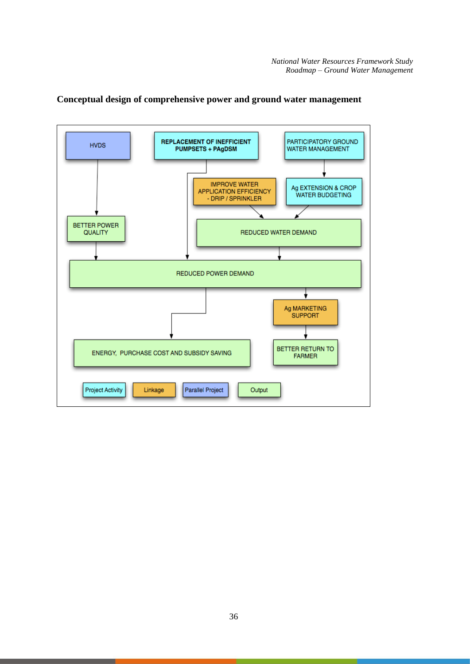

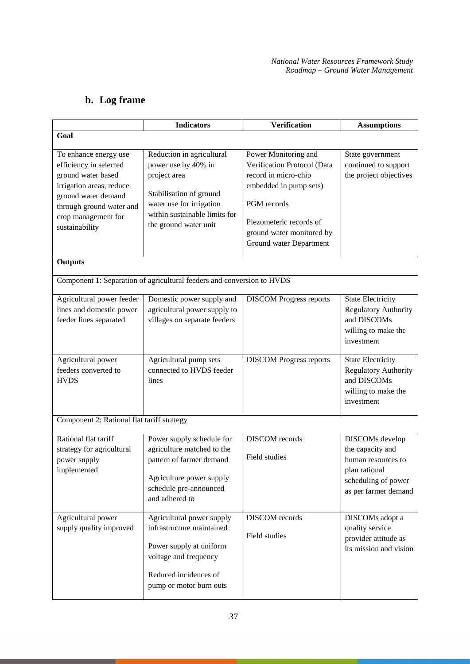# **b. Log frame**

|                                                                                                                                                                                               | <b>Indicators</b>                                                                                                                                                                 | <b>Verification</b>                                                                                                                                                                                     | <b>Assumptions</b>                                                                                                        |  |  |
|-----------------------------------------------------------------------------------------------------------------------------------------------------------------------------------------------|-----------------------------------------------------------------------------------------------------------------------------------------------------------------------------------|---------------------------------------------------------------------------------------------------------------------------------------------------------------------------------------------------------|---------------------------------------------------------------------------------------------------------------------------|--|--|
| Goal                                                                                                                                                                                          |                                                                                                                                                                                   |                                                                                                                                                                                                         |                                                                                                                           |  |  |
| To enhance energy use<br>efficiency in selected<br>ground water based<br>irrigation areas, reduce<br>ground water demand<br>through ground water and<br>crop management for<br>sustainability | Reduction in agricultural<br>power use by 40% in<br>project area<br>Stabilisation of ground<br>water use for irrigation<br>within sustainable limits for<br>the ground water unit | Power Monitoring and<br>Verification Protocol (Data<br>record in micro-chip<br>embedded in pump sets)<br>PGM records<br>Piezometeric records of<br>ground water monitored by<br>Ground water Department | State government<br>continued to support<br>the project objectives                                                        |  |  |
| <b>Outputs</b>                                                                                                                                                                                |                                                                                                                                                                                   |                                                                                                                                                                                                         |                                                                                                                           |  |  |
|                                                                                                                                                                                               | Component 1: Separation of agricultural feeders and conversion to HVDS                                                                                                            |                                                                                                                                                                                                         |                                                                                                                           |  |  |
| Agricultural power feeder<br>lines and domestic power<br>feeder lines separated                                                                                                               | Domestic power supply and<br>agricultural power supply to<br>villages on separate feeders                                                                                         | <b>DISCOM</b> Progress reports                                                                                                                                                                          | <b>State Electricity</b><br><b>Regulatory Authority</b><br>and DISCOMs<br>willing to make the<br>investment               |  |  |
| Agricultural power<br>feeders converted to<br><b>HVDS</b>                                                                                                                                     | Agricultural pump sets<br>connected to HVDS feeder<br>lines                                                                                                                       | <b>DISCOM</b> Progress reports                                                                                                                                                                          | <b>State Electricity</b><br><b>Regulatory Authority</b><br>and DISCOMs<br>willing to make the<br>investment               |  |  |
| Component 2: Rational flat tariff strategy                                                                                                                                                    |                                                                                                                                                                                   |                                                                                                                                                                                                         |                                                                                                                           |  |  |
| Rational flat tariff<br>strategy for agricultural<br>power supply<br>implemented                                                                                                              | Power supply schedule for<br>agriculture matched to the<br>pattern of farmer demand<br>Agriculture power supply<br>schedule pre-announced<br>and adhered to                       | DISCOM records<br>Field studies                                                                                                                                                                         | DISCOMs develop<br>the capacity and<br>human resources to<br>plan rational<br>scheduling of power<br>as per farmer demand |  |  |
| Agricultural power<br>supply quality improved                                                                                                                                                 | Agricultural power supply<br>infrastructure maintained<br>Power supply at uniform<br>voltage and frequency<br>Reduced incidences of<br>pump or motor burn outs                    | <b>DISCOM</b> records<br>Field studies                                                                                                                                                                  | DISCOMs adopt a<br>quality service<br>provider attitude as<br>its mission and vision                                      |  |  |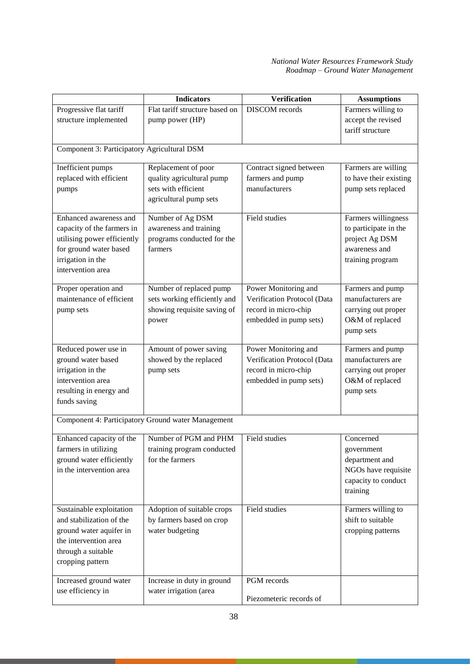|                                             | <b>Indicators</b>                                  | <b>Verification</b>         | <b>Assumptions</b>     |
|---------------------------------------------|----------------------------------------------------|-----------------------------|------------------------|
| Progressive flat tariff                     | Flat tariff structure based on                     | <b>DISCOM</b> records       | Farmers willing to     |
| structure implemented                       | pump power (HP)                                    |                             | accept the revised     |
|                                             |                                                    |                             | tariff structure       |
| Component 3: Participatory Agricultural DSM |                                                    |                             |                        |
|                                             |                                                    |                             |                        |
| Inefficient pumps                           | Replacement of poor                                | Contract signed between     | Farmers are willing    |
| replaced with efficient                     | quality agricultural pump                          | farmers and pump            | to have their existing |
| pumps                                       | sets with efficient                                | manufacturers               | pump sets replaced     |
|                                             | agricultural pump sets                             |                             |                        |
| Enhanced awareness and                      | Number of Ag DSM                                   | <b>Field studies</b>        | Farmers willingness    |
| capacity of the farmers in                  | awareness and training                             |                             | to participate in the  |
| utilising power efficiently                 | programs conducted for the                         |                             | project Ag DSM         |
| for ground water based                      | farmers                                            |                             | awareness and          |
| irrigation in the                           |                                                    |                             | training program       |
| intervention area                           |                                                    |                             |                        |
| Proper operation and                        | Number of replaced pump                            | Power Monitoring and        | Farmers and pump       |
| maintenance of efficient                    | sets working efficiently and                       | Verification Protocol (Data | manufacturers are      |
| pump sets                                   | showing requisite saving of                        | record in micro-chip        | carrying out proper    |
|                                             | power                                              | embedded in pump sets)      | O&M of replaced        |
|                                             |                                                    |                             | pump sets              |
| Reduced power use in                        | Amount of power saving                             | Power Monitoring and        | Farmers and pump       |
| ground water based                          | showed by the replaced                             | Verification Protocol (Data | manufacturers are      |
| irrigation in the                           | pump sets                                          | record in micro-chip        | carrying out proper    |
| intervention area                           |                                                    | embedded in pump sets)      | O&M of replaced        |
| resulting in energy and                     |                                                    |                             | pump sets              |
| funds saving                                |                                                    |                             |                        |
|                                             | Component 4: Participatory Ground water Management |                             |                        |
| Enhanced capacity of the                    | Number of PGM and PHM                              | Field studies               | Concerned              |
| farmers in utilizing                        | training program conducted                         |                             | government             |
| ground water efficiently                    | for the farmers                                    |                             | department and         |
| in the intervention area                    |                                                    |                             | NGOs have requisite    |
|                                             |                                                    |                             | capacity to conduct    |
|                                             |                                                    |                             | training               |
| Sustainable exploitation                    | Adoption of suitable crops                         | Field studies               | Farmers willing to     |
| and stabilization of the                    | by farmers based on crop                           |                             | shift to suitable      |
| ground water aquifer in                     | water budgeting                                    |                             | cropping patterns      |
| the intervention area                       |                                                    |                             |                        |
| through a suitable                          |                                                    |                             |                        |
| cropping pattern                            |                                                    |                             |                        |
| Increased ground water                      | Increase in duty in ground                         | PGM records                 |                        |
| use efficiency in                           | water irrigation (area                             | Piezometeric records of     |                        |
|                                             |                                                    |                             |                        |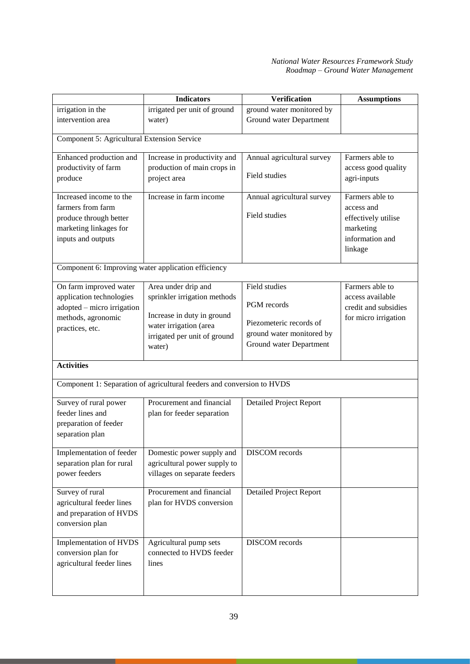|                                                     | <b>Indicators</b>                                                      | <b>Verification</b>            | <b>Assumptions</b>   |
|-----------------------------------------------------|------------------------------------------------------------------------|--------------------------------|----------------------|
| irrigation in the                                   | irrigated per unit of ground                                           | ground water monitored by      |                      |
| intervention area                                   | water)                                                                 | Ground water Department        |                      |
| Component 5: Agricultural Extension Service         |                                                                        |                                |                      |
| Enhanced production and                             | Increase in productivity and                                           | Annual agricultural survey     | Farmers able to      |
| productivity of farm                                | production of main crops in                                            |                                | access good quality  |
| produce                                             | project area                                                           | Field studies                  | agri-inputs          |
| Increased income to the                             | Increase in farm income                                                | Annual agricultural survey     | Farmers able to      |
| farmers from farm                                   |                                                                        |                                | access and           |
| produce through better                              |                                                                        | Field studies                  | effectively utilise  |
| marketing linkages for                              |                                                                        |                                | marketing            |
| inputs and outputs                                  |                                                                        |                                | information and      |
|                                                     |                                                                        |                                | linkage              |
| Component 6: Improving water application efficiency |                                                                        |                                |                      |
| On farm improved water                              | Area under drip and                                                    | <b>Field studies</b>           | Farmers able to      |
| application technologies                            | sprinkler irrigation methods                                           |                                | access available     |
| adopted – micro irrigation                          |                                                                        | PGM records                    | credit and subsidies |
| methods, agronomic                                  | Increase in duty in ground                                             |                                | for micro irrigation |
| practices, etc.                                     | water irrigation (area                                                 | Piezometeric records of        |                      |
|                                                     | irrigated per unit of ground                                           | ground water monitored by      |                      |
|                                                     | water)                                                                 | Ground water Department        |                      |
| <b>Activities</b>                                   |                                                                        |                                |                      |
|                                                     | Component 1: Separation of agricultural feeders and conversion to HVDS |                                |                      |
| Survey of rural power                               | Procurement and financial                                              | <b>Detailed Project Report</b> |                      |
| feeder lines and                                    | plan for feeder separation                                             |                                |                      |
| preparation of feeder                               |                                                                        |                                |                      |
| separation plan                                     |                                                                        |                                |                      |
|                                                     |                                                                        |                                |                      |
| Implementation of feeder                            | Domestic power supply and                                              | <b>DISCOM</b> records          |                      |
| separation plan for rural                           | agricultural power supply to                                           |                                |                      |
| power feeders                                       | villages on separate feeders                                           |                                |                      |
| Survey of rural                                     | Procurement and financial                                              | <b>Detailed Project Report</b> |                      |
| agricultural feeder lines                           | plan for HVDS conversion                                               |                                |                      |
| and preparation of HVDS                             |                                                                        |                                |                      |
| conversion plan                                     |                                                                        |                                |                      |
| Implementation of HVDS                              | Agricultural pump sets                                                 | <b>DISCOM</b> records          |                      |
| conversion plan for                                 | connected to HVDS feeder                                               |                                |                      |
| agricultural feeder lines                           | lines                                                                  |                                |                      |
|                                                     |                                                                        |                                |                      |
|                                                     |                                                                        |                                |                      |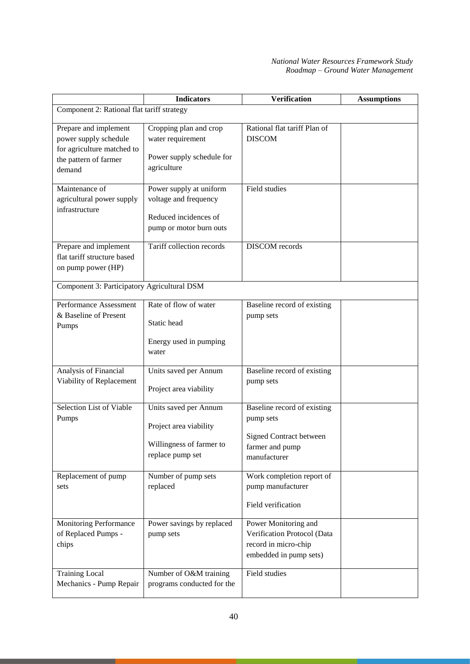|                                                                                                                 | <b>Indicators</b>                                                                                    | Verification                                                                                           | <b>Assumptions</b> |
|-----------------------------------------------------------------------------------------------------------------|------------------------------------------------------------------------------------------------------|--------------------------------------------------------------------------------------------------------|--------------------|
| Component 2: Rational flat tariff strategy                                                                      |                                                                                                      |                                                                                                        |                    |
| Prepare and implement<br>power supply schedule<br>for agriculture matched to<br>the pattern of farmer<br>demand | Cropping plan and crop<br>water requirement<br>Power supply schedule for<br>agriculture              | Rational flat tariff Plan of<br><b>DISCOM</b>                                                          |                    |
| Maintenance of<br>agricultural power supply<br>infrastructure                                                   | Power supply at uniform<br>voltage and frequency<br>Reduced incidences of<br>pump or motor burn outs | <b>Field studies</b>                                                                                   |                    |
| Prepare and implement<br>flat tariff structure based<br>on pump power (HP)                                      | Tariff collection records                                                                            | <b>DISCOM</b> records                                                                                  |                    |
| Component 3: Participatory Agricultural DSM                                                                     |                                                                                                      |                                                                                                        |                    |
| Performance Assessment<br>& Baseline of Present<br>Pumps                                                        | Rate of flow of water<br>Static head<br>Energy used in pumping<br>water                              | Baseline record of existing<br>pump sets                                                               |                    |
| Analysis of Financial<br>Viability of Replacement                                                               | Units saved per Annum<br>Project area viability                                                      | Baseline record of existing<br>pump sets                                                               |                    |
| Selection List of Viable<br>Pumps                                                                               | Units saved per Annum<br>Project area viability<br>Willingness of farmer to<br>replace pump set      | Baseline record of existing<br>pump sets<br>Signed Contract between<br>farmer and pump<br>manufacturer |                    |
| Replacement of pump<br>sets                                                                                     | Number of pump sets<br>replaced                                                                      | Work completion report of<br>pump manufacturer<br>Field verification                                   |                    |
| Monitoring Performance<br>of Replaced Pumps -<br>chips                                                          | Power savings by replaced<br>pump sets                                                               | Power Monitoring and<br>Verification Protocol (Data<br>record in micro-chip<br>embedded in pump sets)  |                    |
| <b>Training Local</b><br>Mechanics - Pump Repair                                                                | Number of O&M training<br>programs conducted for the                                                 | Field studies                                                                                          |                    |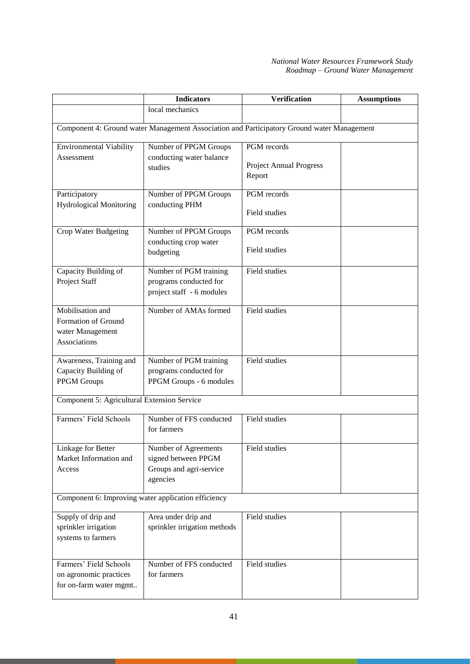|                                                     | <b>Indicators</b>                                                                          | Verification                   | <b>Assumptions</b> |
|-----------------------------------------------------|--------------------------------------------------------------------------------------------|--------------------------------|--------------------|
|                                                     | local mechanics                                                                            |                                |                    |
|                                                     | Component 4: Ground water Management Association and Participatory Ground water Management |                                |                    |
|                                                     |                                                                                            |                                |                    |
| <b>Environmental Viability</b>                      | Number of PPGM Groups                                                                      | PGM records                    |                    |
| Assessment                                          | conducting water balance<br>studies                                                        | <b>Project Annual Progress</b> |                    |
|                                                     |                                                                                            | Report                         |                    |
| Participatory                                       | Number of PPGM Groups                                                                      | PGM records                    |                    |
| <b>Hydrological Monitoring</b>                      | conducting PHM                                                                             |                                |                    |
|                                                     |                                                                                            | Field studies                  |                    |
| Crop Water Budgeting                                | Number of PPGM Groups                                                                      | PGM records                    |                    |
|                                                     | conducting crop water                                                                      | Field studies                  |                    |
|                                                     | budgeting                                                                                  |                                |                    |
| Capacity Building of                                | Number of PGM training                                                                     | <b>Field studies</b>           |                    |
| Project Staff                                       | programs conducted for<br>project staff - 6 modules                                        |                                |                    |
|                                                     |                                                                                            |                                |                    |
| Mobilisation and                                    | Number of AMAs formed                                                                      | <b>Field studies</b>           |                    |
| Formation of Ground<br>water Management             |                                                                                            |                                |                    |
| Associations                                        |                                                                                            |                                |                    |
|                                                     |                                                                                            |                                |                    |
| Awareness, Training and<br>Capacity Building of     | Number of PGM training<br>programs conducted for                                           | <b>Field studies</b>           |                    |
| <b>PPGM</b> Groups                                  | PPGM Groups - 6 modules                                                                    |                                |                    |
|                                                     |                                                                                            |                                |                    |
| Component 5: Agricultural Extension Service         |                                                                                            |                                |                    |
| Farmers' Field Schools                              | Number of FFS conducted                                                                    | <b>Field studies</b>           |                    |
|                                                     | for farmers                                                                                |                                |                    |
| Linkage for Better                                  | Number of Agreements                                                                       | Field studies                  |                    |
| Market Information and                              | signed between PPGM                                                                        |                                |                    |
| Access                                              | Groups and agri-service<br>agencies                                                        |                                |                    |
|                                                     |                                                                                            |                                |                    |
| Component 6: Improving water application efficiency |                                                                                            |                                |                    |
| Supply of drip and                                  | Area under drip and                                                                        | Field studies                  |                    |
| sprinkler irrigation                                | sprinkler irrigation methods                                                               |                                |                    |
| systems to farmers                                  |                                                                                            |                                |                    |
| Farmers' Field Schools                              | Number of FFS conducted                                                                    | Field studies                  |                    |
| on agronomic practices                              | for farmers                                                                                |                                |                    |
| for on-farm water mgmt                              |                                                                                            |                                |                    |
|                                                     |                                                                                            |                                |                    |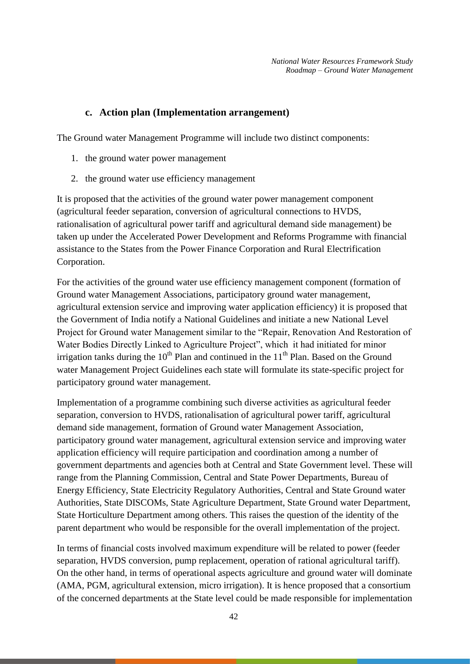#### **c. Action plan (Implementation arrangement)**

The Ground water Management Programme will include two distinct components:

- 1. the ground water power management
- 2. the ground water use efficiency management

It is proposed that the activities of the ground water power management component (agricultural feeder separation, conversion of agricultural connections to HVDS, rationalisation of agricultural power tariff and agricultural demand side management) be taken up under the Accelerated Power Development and Reforms Programme with financial assistance to the States from the Power Finance Corporation and Rural Electrification Corporation.

For the activities of the ground water use efficiency management component (formation of Ground water Management Associations, participatory ground water management, agricultural extension service and improving water application efficiency) it is proposed that the Government of India notify a National Guidelines and initiate a new National Level Project for Ground water Management similar to the "Repair, Renovation And Restoration of Water Bodies Directly Linked to Agriculture Project", which it had initiated for minor irrigation tanks during the  $10<sup>th</sup>$  Plan and continued in the  $11<sup>th</sup>$  Plan. Based on the Ground water Management Project Guidelines each state will formulate its state-specific project for participatory ground water management.

Implementation of a programme combining such diverse activities as agricultural feeder separation, conversion to HVDS, rationalisation of agricultural power tariff, agricultural demand side management, formation of Ground water Management Association, participatory ground water management, agricultural extension service and improving water application efficiency will require participation and coordination among a number of government departments and agencies both at Central and State Government level. These will range from the Planning Commission, Central and State Power Departments, Bureau of Energy Efficiency, State Electricity Regulatory Authorities, Central and State Ground water Authorities, State DISCOMs, State Agriculture Department, State Ground water Department, State Horticulture Department among others. This raises the question of the identity of the parent department who would be responsible for the overall implementation of the project.

In terms of financial costs involved maximum expenditure will be related to power (feeder separation, HVDS conversion, pump replacement, operation of rational agricultural tariff). On the other hand, in terms of operational aspects agriculture and ground water will dominate (AMA, PGM, agricultural extension, micro irrigation). It is hence proposed that a consortium of the concerned departments at the State level could be made responsible for implementation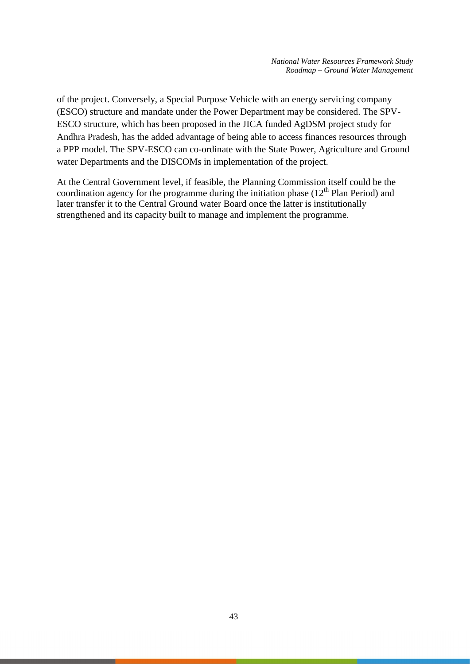of the project. Conversely, a Special Purpose Vehicle with an energy servicing company (ESCO) structure and mandate under the Power Department may be considered. The SPV-ESCO structure, which has been proposed in the JICA funded AgDSM project study for Andhra Pradesh, has the added advantage of being able to access finances resources through a PPP model. The SPV-ESCO can co-ordinate with the State Power, Agriculture and Ground water Departments and the DISCOMs in implementation of the project.

At the Central Government level, if feasible, the Planning Commission itself could be the coordination agency for the programme during the initiation phase  $(12<sup>th</sup>$  Plan Period) and later transfer it to the Central Ground water Board once the latter is institutionally strengthened and its capacity built to manage and implement the programme.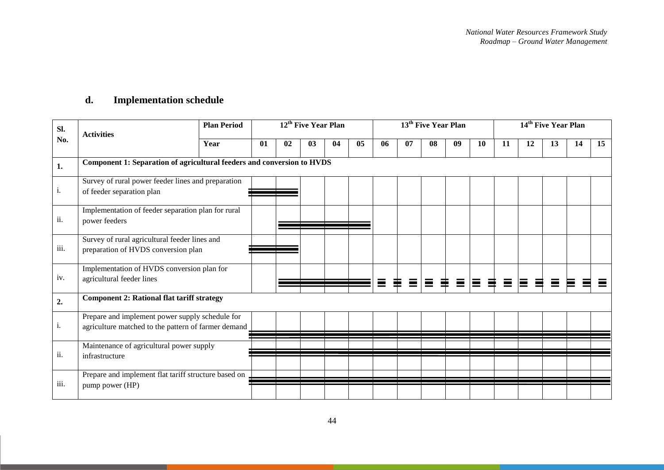# **d. Implementation schedule**

| Sl.  | <b>Activities</b>                                                                                      | <b>Plan Period</b> | 12 <sup>th</sup> Five Year Plan |    |    |    | 13 <sup>th</sup> Five Year Plan |    |    |    |    | 14 <sup>th</sup> Five Year Plan |    |        |    |    |    |
|------|--------------------------------------------------------------------------------------------------------|--------------------|---------------------------------|----|----|----|---------------------------------|----|----|----|----|---------------------------------|----|--------|----|----|----|
| No.  |                                                                                                        | Year               | 01                              | 02 | 03 | 04 | 05                              | 06 | 07 | 08 | 09 | 10                              | 11 | 12     | 13 | 14 | 15 |
| 1.   | Component 1: Separation of agricultural feeders and conversion to HVDS                                 |                    |                                 |    |    |    |                                 |    |    |    |    |                                 |    |        |    |    |    |
| 1.   | Survey of rural power feeder lines and preparation<br>of feeder separation plan                        |                    |                                 |    |    |    |                                 |    |    |    |    |                                 |    |        |    |    |    |
| ii.  | Implementation of feeder separation plan for rural<br>power feeders                                    |                    |                                 |    |    |    |                                 |    |    |    |    |                                 |    |        |    |    |    |
| iii. | Survey of rural agricultural feeder lines and<br>preparation of HVDS conversion plan                   |                    |                                 |    |    |    |                                 |    |    |    |    |                                 |    |        |    |    |    |
| iv.  | Implementation of HVDS conversion plan for<br>agricultural feeder lines                                |                    |                                 |    |    |    |                                 | Ξ  | Ξ. | 三  | Ξ  | 三                               | ≡  | ≡<br>Ξ | =  |    |    |
| 2.   | <b>Component 2: Rational flat tariff strategy</b>                                                      |                    |                                 |    |    |    |                                 |    |    |    |    |                                 |    |        |    |    |    |
| 1.   | Prepare and implement power supply schedule for<br>agriculture matched to the pattern of farmer demand |                    |                                 |    |    |    |                                 |    |    |    |    |                                 |    |        |    |    |    |
|      | Maintenance of agricultural power supply                                                               |                    |                                 |    |    |    |                                 |    |    |    |    |                                 |    |        |    |    |    |
| ii.  | infrastructure                                                                                         |                    |                                 |    |    |    |                                 |    |    |    |    |                                 |    |        |    |    |    |
| iii. | Prepare and implement flat tariff structure based on                                                   |                    |                                 |    |    |    |                                 |    |    |    |    |                                 |    |        |    |    |    |
|      | pump power (HP)                                                                                        |                    |                                 |    |    |    |                                 |    |    |    |    |                                 |    |        |    |    |    |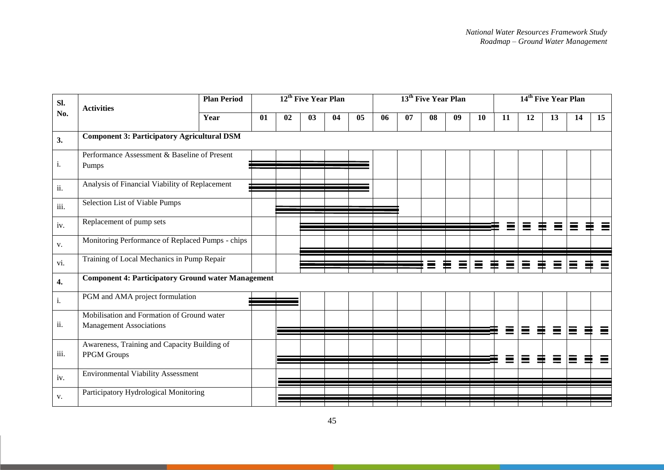| Sl.            | <b>Activities</b>                                                            | <b>Plan Period</b> |    |    | 12 <sup>th</sup> Five Year Plan |    |    | 13 <sup>th</sup> Five Year Plan |    |    |        |           |        | 14 <sup>th</sup> Five Year Plan |    |    |    |
|----------------|------------------------------------------------------------------------------|--------------------|----|----|---------------------------------|----|----|---------------------------------|----|----|--------|-----------|--------|---------------------------------|----|----|----|
| No.            |                                                                              | Year               | 01 | 02 | 03                              | 04 | 05 | 06                              | 07 | 08 | 09     | <b>10</b> | 11     | 12                              | 13 | 14 | 15 |
| 3.             | <b>Component 3: Participatory Agricultural DSM</b>                           |                    |    |    |                                 |    |    |                                 |    |    |        |           |        |                                 |    |    |    |
| $\mathbf{1}$ . | Performance Assessment & Baseline of Present<br>Pumps                        |                    |    |    |                                 |    |    |                                 |    |    |        |           |        |                                 |    |    |    |
| ii.            | Analysis of Financial Viability of Replacement                               |                    |    |    |                                 |    |    |                                 |    |    |        |           |        |                                 |    |    |    |
| iii.           | Selection List of Viable Pumps                                               |                    |    |    |                                 |    |    |                                 |    |    |        |           |        |                                 |    |    |    |
| iv.            | Replacement of pump sets                                                     |                    |    |    |                                 |    |    |                                 |    |    |        |           | Ξ      | Ξ                               | ≡  |    |    |
| V.             | Monitoring Performance of Replaced Pumps - chips                             |                    |    |    |                                 |    |    |                                 |    |    |        |           |        |                                 |    |    |    |
| vi.            | Training of Local Mechanics in Pump Repair                                   |                    |    |    |                                 |    |    |                                 |    | Ξ  | 差<br>Ξ | Ξ         | Ξ<br>€ | Ξ                               | Ξ  | Ξ  | Ξ  |
| 4.             | <b>Component 4: Participatory Ground water Management</b>                    |                    |    |    |                                 |    |    |                                 |    |    |        |           |        |                                 |    |    |    |
| $\mathbf{i}$ . | PGM and AMA project formulation                                              |                    |    |    |                                 |    |    |                                 |    |    |        |           |        |                                 |    |    |    |
| ii.            | Mobilisation and Formation of Ground water<br><b>Management Associations</b> |                    |    |    |                                 |    |    |                                 |    |    |        |           | ≡      | Ξ                               | ▬  |    | Ξ  |
| iii.           | Awareness, Training and Capacity Building of<br><b>PPGM</b> Groups           |                    |    |    |                                 |    |    |                                 |    |    |        |           | Ξ      | Ξ                               | Ξ  | ▬  | Ξ  |
| iv.            | <b>Environmental Viability Assessment</b>                                    |                    |    |    |                                 |    |    |                                 |    |    |        |           |        |                                 |    |    |    |
| V.             | Participatory Hydrological Monitoring                                        |                    |    |    |                                 |    |    |                                 |    |    |        |           |        |                                 |    |    |    |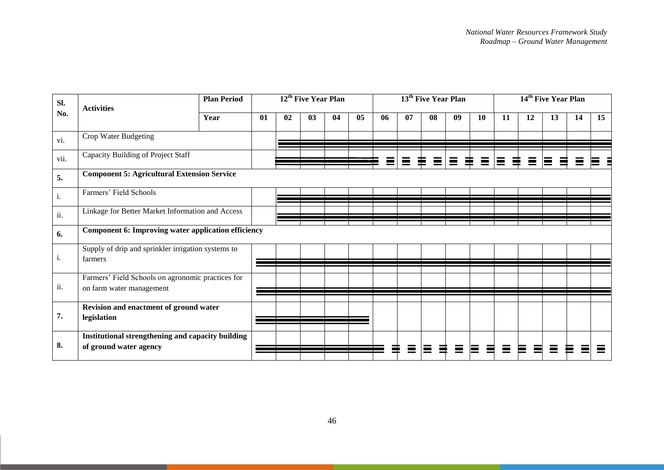| Sl.<br><b>Activities</b> |                                                                               | <b>Plan Period</b> | 12 <sup>th</sup> Five Year Plan |    |    |    | 13 <sup>th</sup> Five Year Plan |    |    |    |    | 14 <sup>th</sup> Five Year Plan |               |    |    |    |    |
|--------------------------|-------------------------------------------------------------------------------|--------------------|---------------------------------|----|----|----|---------------------------------|----|----|----|----|---------------------------------|---------------|----|----|----|----|
| No.                      |                                                                               | Year               | 01                              | 02 | 03 | 04 | 05                              | 06 | 07 | 08 | 09 | 10                              | 11            | 12 | 13 | 14 | 15 |
| vi.                      | Crop Water Budgeting                                                          |                    |                                 |    |    |    |                                 |    |    |    |    |                                 |               |    |    |    |    |
| vii.                     | Capacity Building of Project Staff                                            |                    |                                 |    |    |    |                                 | Ξ  | Ξ  | Ξ  | 三  | Ξ                               | $\equiv$<br>٠ | Ξ  | Ξ  | Ξ  | Ξ  |
| 5.                       | <b>Component 5: Agricultural Extension Service</b>                            |                    |                                 |    |    |    |                                 |    |    |    |    |                                 |               |    |    |    |    |
| i.                       | Farmers' Field Schools                                                        |                    |                                 |    |    |    |                                 |    |    |    |    |                                 |               |    |    |    |    |
| ii.                      | Linkage for Better Market Information and Access                              |                    |                                 |    |    |    |                                 |    |    |    |    |                                 |               |    |    |    |    |
| 6.                       | Component 6: Improving water application efficiency                           |                    |                                 |    |    |    |                                 |    |    |    |    |                                 |               |    |    |    |    |
| i.                       | Supply of drip and sprinkler irrigation systems to<br>farmers                 |                    |                                 |    |    |    |                                 |    |    |    |    |                                 |               |    |    |    |    |
|                          |                                                                               |                    |                                 |    |    |    |                                 |    |    |    |    |                                 |               |    |    |    |    |
| ii.                      | Farmers' Field Schools on agronomic practices for<br>on farm water management |                    |                                 |    |    |    |                                 |    |    |    |    |                                 |               |    |    |    |    |
| 7.                       | Revision and enactment of ground water<br>legislation                         |                    |                                 |    |    |    |                                 |    |    |    |    |                                 |               |    |    |    |    |
| 8.                       | Institutional strengthening and capacity building<br>of ground water agency   |                    |                                 |    |    |    |                                 |    |    |    |    |                                 |               |    |    |    |    |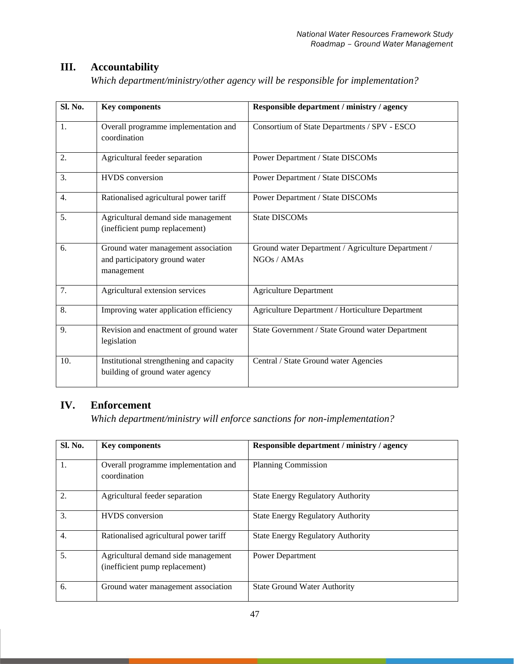## **III. Accountability**

*Which department/ministry/other agency will be responsible for implementation?*

| Sl. No. | <b>Key components</b>                                                               | Responsible department / ministry / agency                        |
|---------|-------------------------------------------------------------------------------------|-------------------------------------------------------------------|
| 1.      | Overall programme implementation and<br>coordination                                | Consortium of State Departments / SPV - ESCO                      |
| 2.      | Agricultural feeder separation                                                      | Power Department / State DISCOMs                                  |
| 3.      | <b>HVDS</b> conversion                                                              | Power Department / State DISCOMs                                  |
| 4.      | Rationalised agricultural power tariff                                              | Power Department / State DISCOMs                                  |
| 5.      | Agricultural demand side management<br>(inefficient pump replacement)               | <b>State DISCOMs</b>                                              |
| 6.      | Ground water management association<br>and participatory ground water<br>management | Ground water Department / Agriculture Department /<br>NGOs / AMAs |
| 7.      | Agricultural extension services                                                     | <b>Agriculture Department</b>                                     |
| 8.      | Improving water application efficiency                                              | Agriculture Department / Horticulture Department                  |
| 9.      | Revision and enactment of ground water<br>legislation                               | State Government / State Ground water Department                  |
| 10.     | Institutional strengthening and capacity<br>building of ground water agency         | Central / State Ground water Agencies                             |

#### **IV. Enforcement**

*Which department/ministry will enforce sanctions for non-implementation?*

| Sl. No.          | <b>Key components</b>                                                 | Responsible department / ministry / agency |
|------------------|-----------------------------------------------------------------------|--------------------------------------------|
| 1.               | Overall programme implementation and<br>coordination                  | <b>Planning Commission</b>                 |
| 2.               | Agricultural feeder separation                                        | <b>State Energy Regulatory Authority</b>   |
| 3.               | <b>HVDS</b> conversion                                                | <b>State Energy Regulatory Authority</b>   |
| $\overline{4}$ . | Rationalised agricultural power tariff                                | <b>State Energy Regulatory Authority</b>   |
| 5.               | Agricultural demand side management<br>(inefficient pump replacement) | <b>Power Department</b>                    |
| 6.               | Ground water management association                                   | <b>State Ground Water Authority</b>        |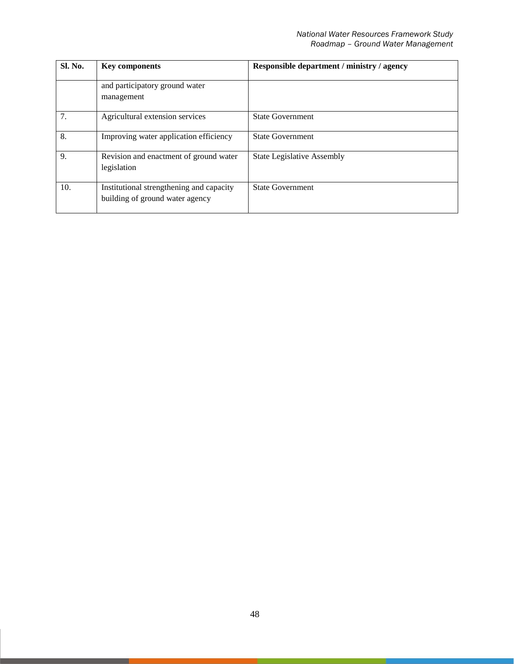| Sl. No. | <b>Key components</b>                                                       | Responsible department / ministry / agency |
|---------|-----------------------------------------------------------------------------|--------------------------------------------|
|         | and participatory ground water<br>management                                |                                            |
| 7.      | Agricultural extension services                                             | <b>State Government</b>                    |
| 8.      | Improving water application efficiency                                      | <b>State Government</b>                    |
| 9.      | Revision and enactment of ground water<br>legislation                       | <b>State Legislative Assembly</b>          |
| 10.     | Institutional strengthening and capacity<br>building of ground water agency | <b>State Government</b>                    |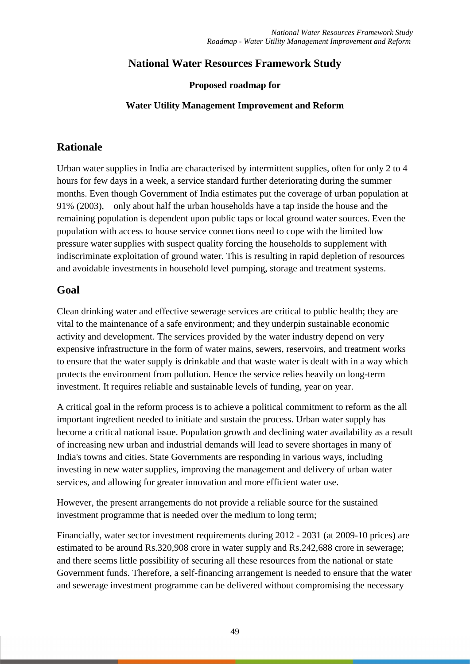# **National Water Resources Framework Study**

#### **Proposed roadmap for**

#### **Water Utility Management Improvement and Reform**

## **Rationale**

Urban water supplies in India are characterised by intermittent supplies, often for only 2 to 4 hours for few days in a week, a service standard further deteriorating during the summer months. Even though Government of India estimates put the coverage of urban population at 91% (2003), only about half the urban households have a tap inside the house and the remaining population is dependent upon public taps or local ground water sources. Even the population with access to house service connections need to cope with the limited low pressure water supplies with suspect quality forcing the households to supplement with indiscriminate exploitation of ground water. This is resulting in rapid depletion of resources and avoidable investments in household level pumping, storage and treatment systems.

## **Goal**

Clean drinking water and effective sewerage services are critical to public health; they are vital to the maintenance of a safe environment; and they underpin sustainable economic activity and development. The services provided by the water industry depend on very expensive infrastructure in the form of water mains, sewers, reservoirs, and treatment works to ensure that the water supply is drinkable and that waste water is dealt with in a way which protects the environment from pollution. Hence the service relies heavily on long-term investment. It requires reliable and sustainable levels of funding, year on year.

A critical goal in the reform process is to achieve a political commitment to reform as the all important ingredient needed to initiate and sustain the process. Urban water supply has become a critical national issue. Population growth and declining water availability as a result of increasing new urban and industrial demands will lead to severe shortages in many of India's towns and cities. State Governments are responding in various ways, including investing in new water supplies, improving the management and delivery of urban water services, and allowing for greater innovation and more efficient water use.

However, the present arrangements do not provide a reliable source for the sustained investment programme that is needed over the medium to long term;

Financially, water sector investment requirements during 2012 - 2031 (at 2009-10 prices) are estimated to be around Rs.320,908 crore in water supply and Rs.242,688 crore in sewerage; and there seems little possibility of securing all these resources from the national or state Government funds. Therefore, a self-financing arrangement is needed to ensure that the water and sewerage investment programme can be delivered without compromising the necessary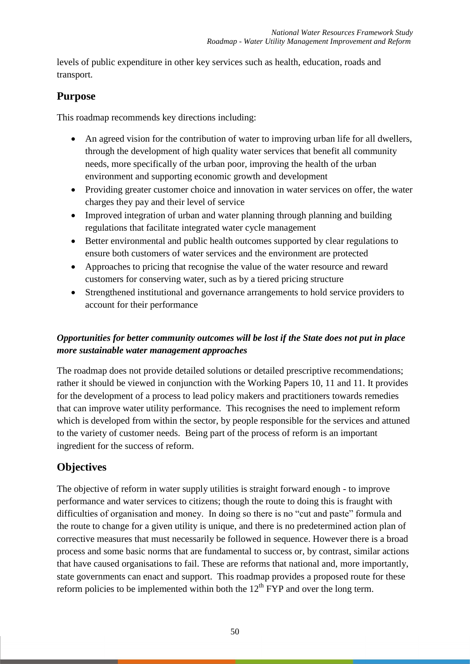levels of public expenditure in other key services such as health, education, roads and transport.

## **Purpose**

This roadmap recommends key directions including:

- An agreed vision for the contribution of water to improving urban life for all dwellers, through the development of high quality water services that benefit all community needs, more specifically of the urban poor, improving the health of the urban environment and supporting economic growth and development
- Providing greater customer choice and innovation in water services on offer, the water charges they pay and their level of service
- Improved integration of urban and water planning through planning and building regulations that facilitate integrated water cycle management
- Better environmental and public health outcomes supported by clear regulations to ensure both customers of water services and the environment are protected
- Approaches to pricing that recognise the value of the water resource and reward customers for conserving water, such as by a tiered pricing structure
- Strengthened institutional and governance arrangements to hold service providers to account for their performance

## *Opportunities for better community outcomes will be lost if the State does not put in place more sustainable water management approaches*

The roadmap does not provide detailed solutions or detailed prescriptive recommendations; rather it should be viewed in conjunction with the Working Papers 10, 11 and 11. It provides for the development of a process to lead policy makers and practitioners towards remedies that can improve water utility performance. This recognises the need to implement reform which is developed from within the sector, by people responsible for the services and attuned to the variety of customer needs. Being part of the process of reform is an important ingredient for the success of reform.

# **Objectives**

The objective of reform in water supply utilities is straight forward enough - to improve performance and water services to citizens; though the route to doing this is fraught with difficulties of organisation and money. In doing so there is no "cut and paste" formula and the route to change for a given utility is unique, and there is no predetermined action plan of corrective measures that must necessarily be followed in sequence. However there is a broad process and some basic norms that are fundamental to success or, by contrast, similar actions that have caused organisations to fail. These are reforms that national and, more importantly, state governments can enact and support. This roadmap provides a proposed route for these reform policies to be implemented within both the  $12<sup>th</sup> FYP$  and over the long term.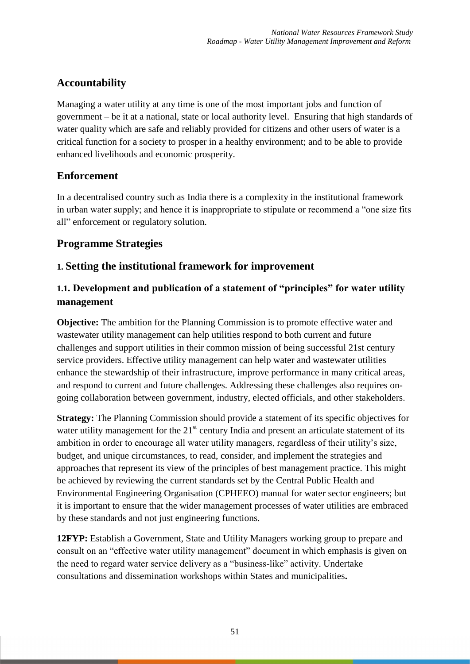# **Accountability**

Managing a water utility at any time is one of the most important jobs and function of government – be it at a national, state or local authority level. Ensuring that high standards of water quality which are safe and reliably provided for citizens and other users of water is a critical function for a society to prosper in a healthy environment; and to be able to provide enhanced livelihoods and economic prosperity.

# **Enforcement**

In a decentralised country such as India there is a complexity in the institutional framework in urban water supply; and hence it is inappropriate to stipulate or recommend a "one size fits all" enforcement or regulatory solution.

# **Programme Strategies**

# **1. Setting the institutional framework for improvement**

# **1.1. Development and publication of a statement of "principles" for water utility management**

**Objective:** The ambition for the Planning Commission is to promote effective water and wastewater utility management can help utilities respond to both current and future challenges and support utilities in their common mission of being successful 21st century service providers. Effective utility management can help water and wastewater utilities enhance the stewardship of their infrastructure, improve performance in many critical areas, and respond to current and future challenges. Addressing these challenges also requires ongoing collaboration between government, industry, elected officials, and other stakeholders.

**Strategy:** The Planning Commission should provide a statement of its specific objectives for water utility management for the  $21<sup>st</sup>$  century India and present an articulate statement of its ambition in order to encourage all water utility managers, regardless of their utility"s size, budget, and unique circumstances, to read, consider, and implement the strategies and approaches that represent its view of the principles of best management practice. This might be achieved by reviewing the current standards set by the Central Public Health and Environmental Engineering Organisation (CPHEEO) manual for water sector engineers; but it is important to ensure that the wider management processes of water utilities are embraced by these standards and not just engineering functions.

**12FYP:** Establish a Government, State and Utility Managers working group to prepare and consult on an "effective water utility management" document in which emphasis is given on the need to regard water service delivery as a "business-like" activity. Undertake consultations and dissemination workshops within States and municipalities**.**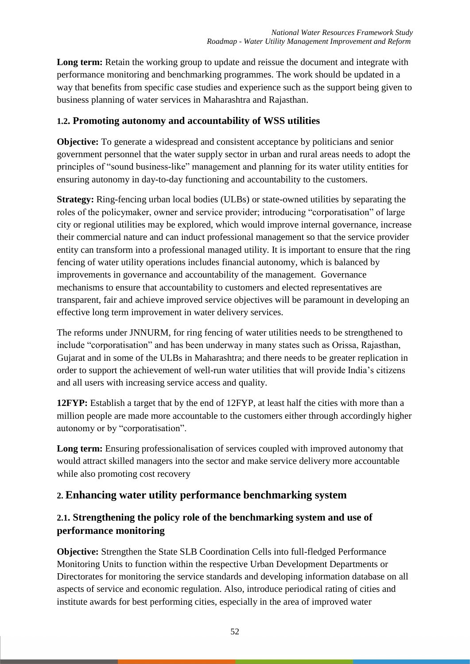Long term: Retain the working group to update and reissue the document and integrate with performance monitoring and benchmarking programmes. The work should be updated in a way that benefits from specific case studies and experience such as the support being given to business planning of water services in Maharashtra and Rajasthan.

## **1.2. Promoting autonomy and accountability of WSS utilities**

**Objective:** To generate a widespread and consistent acceptance by politicians and senior government personnel that the water supply sector in urban and rural areas needs to adopt the principles of "sound business-like" management and planning for its water utility entities for ensuring autonomy in day-to-day functioning and accountability to the customers.

**Strategy:** Ring-fencing urban local bodies (ULBs) or state-owned utilities by separating the roles of the policymaker, owner and service provider; introducing "corporatisation" of large city or regional utilities may be explored, which would improve internal governance, increase their commercial nature and can induct professional management so that the service provider entity can transform into a professional managed utility. It is important to ensure that the ring fencing of water utility operations includes financial autonomy, which is balanced by improvements in governance and accountability of the management. Governance mechanisms to ensure that accountability to customers and elected representatives are transparent, fair and achieve improved service objectives will be paramount in developing an effective long term improvement in water delivery services.

The reforms under JNNURM, for ring fencing of water utilities needs to be strengthened to include "corporatisation" and has been underway in many states such as Orissa, Rajasthan, Gujarat and in some of the ULBs in Maharashtra; and there needs to be greater replication in order to support the achievement of well-run water utilities that will provide India"s citizens and all users with increasing service access and quality.

**12FYP:** Establish a target that by the end of 12FYP, at least half the cities with more than a million people are made more accountable to the customers either through accordingly higher autonomy or by "corporatisation".

Long term: Ensuring professionalisation of services coupled with improved autonomy that would attract skilled managers into the sector and make service delivery more accountable while also promoting cost recovery

## **2. Enhancing water utility performance benchmarking system**

# **2.1. Strengthening the policy role of the benchmarking system and use of performance monitoring**

**Objective:** Strengthen the State SLB Coordination Cells into full-fledged Performance Monitoring Units to function within the respective Urban Development Departments or Directorates for monitoring the service standards and developing information database on all aspects of service and economic regulation. Also, introduce periodical rating of cities and institute awards for best performing cities, especially in the area of improved water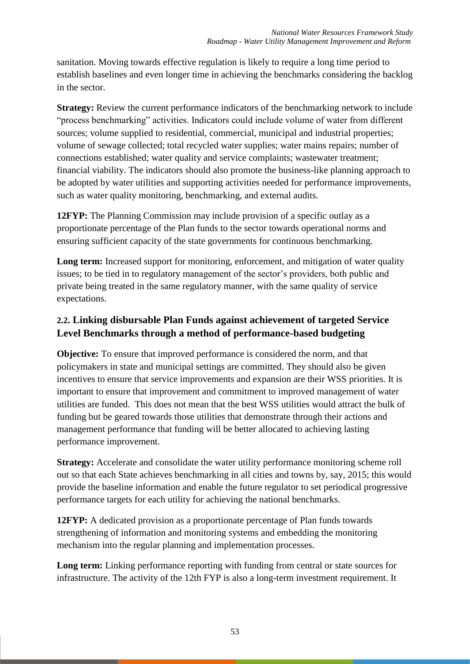sanitation. Moving towards effective regulation is likely to require a long time period to establish baselines and even longer time in achieving the benchmarks considering the backlog in the sector.

**Strategy:** Review the current performance indicators of the benchmarking network to include "process benchmarking" activities. Indicators could include volume of water from different sources; volume supplied to residential, commercial, municipal and industrial properties; volume of sewage collected; total recycled water supplies; water mains repairs; number of connections established; water quality and service complaints; wastewater treatment; financial viability. The indicators should also promote the business-like planning approach to be adopted by water utilities and supporting activities needed for performance improvements, such as water quality monitoring, benchmarking, and external audits.

**12FYP:** The Planning Commission may include provision of a specific outlay as a proportionate percentage of the Plan funds to the sector towards operational norms and ensuring sufficient capacity of the state governments for continuous benchmarking.

Long term: Increased support for monitoring, enforcement, and mitigation of water quality issues; to be tied in to regulatory management of the sector's providers, both public and private being treated in the same regulatory manner, with the same quality of service expectations.

# **2.2. Linking disbursable Plan Funds against achievement of targeted Service Level Benchmarks through a method of performance-based budgeting**

**Objective:** To ensure that improved performance is considered the norm, and that policymakers in state and municipal settings are committed. They should also be given incentives to ensure that service improvements and expansion are their WSS priorities. It is important to ensure that improvement and commitment to improved management of water utilities are funded. This does not mean that the best WSS utilities would attract the bulk of funding but be geared towards those utilities that demonstrate through their actions and management performance that funding will be better allocated to achieving lasting performance improvement.

**Strategy:** Accelerate and consolidate the water utility performance monitoring scheme roll out so that each State achieves benchmarking in all cities and towns by, say, 2015; this would provide the baseline information and enable the future regulator to set periodical progressive performance targets for each utility for achieving the national benchmarks.

**12FYP:** A dedicated provision as a proportionate percentage of Plan funds towards strengthening of information and monitoring systems and embedding the monitoring mechanism into the regular planning and implementation processes.

**Long term:** Linking performance reporting with funding from central or state sources for infrastructure. The activity of the 12th FYP is also a long-term investment requirement. It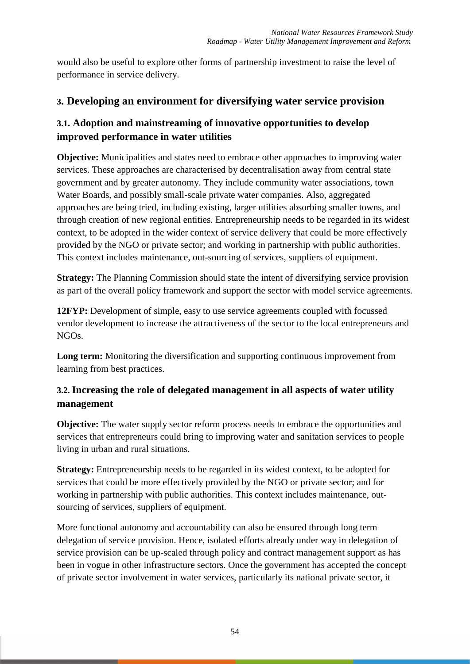would also be useful to explore other forms of partnership investment to raise the level of performance in service delivery.

# **3. Developing an environment for diversifying water service provision**

## **3.1. Adoption and mainstreaming of innovative opportunities to develop improved performance in water utilities**

**Objective:** Municipalities and states need to embrace other approaches to improving water services. These approaches are characterised by decentralisation away from central state government and by greater autonomy. They include community water associations, town Water Boards, and possibly small-scale private water companies. Also, aggregated approaches are being tried, including existing, larger utilities absorbing smaller towns, and through creation of new regional entities. Entrepreneurship needs to be regarded in its widest context, to be adopted in the wider context of service delivery that could be more effectively provided by the NGO or private sector; and working in partnership with public authorities. This context includes maintenance, out-sourcing of services, suppliers of equipment.

**Strategy:** The Planning Commission should state the intent of diversifying service provision as part of the overall policy framework and support the sector with model service agreements.

**12FYP:** Development of simple, easy to use service agreements coupled with focussed vendor development to increase the attractiveness of the sector to the local entrepreneurs and NGOs.

**Long term:** Monitoring the diversification and supporting continuous improvement from learning from best practices.

# **3.2. Increasing the role of delegated management in all aspects of water utility management**

**Objective:** The water supply sector reform process needs to embrace the opportunities and services that entrepreneurs could bring to improving water and sanitation services to people living in urban and rural situations.

**Strategy:** Entrepreneurship needs to be regarded in its widest context, to be adopted for services that could be more effectively provided by the NGO or private sector; and for working in partnership with public authorities. This context includes maintenance, outsourcing of services, suppliers of equipment.

More functional autonomy and accountability can also be ensured through long term delegation of service provision. Hence, isolated efforts already under way in delegation of service provision can be up-scaled through policy and contract management support as has been in vogue in other infrastructure sectors. Once the government has accepted the concept of private sector involvement in water services, particularly its national private sector, it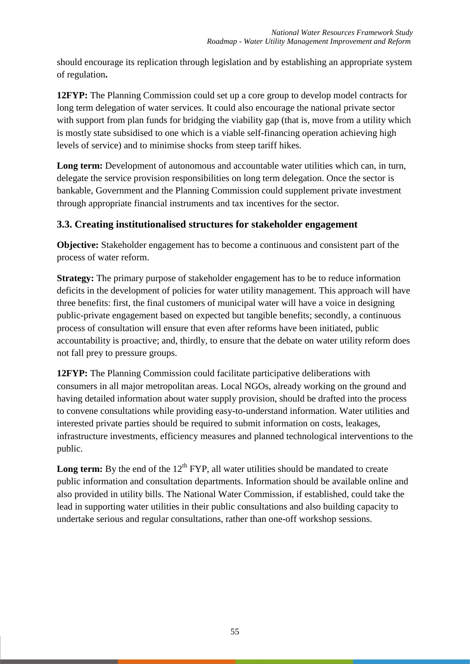should encourage its replication through legislation and by establishing an appropriate system of regulation**.**

**12FYP:** The Planning Commission could set up a core group to develop model contracts for long term delegation of water services. It could also encourage the national private sector with support from plan funds for bridging the viability gap (that is, move from a utility which is mostly state subsidised to one which is a viable self-financing operation achieving high levels of service) and to minimise shocks from steep tariff hikes.

Long term: Development of autonomous and accountable water utilities which can, in turn, delegate the service provision responsibilities on long term delegation. Once the sector is bankable, Government and the Planning Commission could supplement private investment through appropriate financial instruments and tax incentives for the sector.

## **3.3. Creating institutionalised structures for stakeholder engagement**

**Objective:** Stakeholder engagement has to become a continuous and consistent part of the process of water reform.

**Strategy:** The primary purpose of stakeholder engagement has to be to reduce information deficits in the development of policies for water utility management. This approach will have three benefits: first, the final customers of municipal water will have a voice in designing public-private engagement based on expected but tangible benefits; secondly, a continuous process of consultation will ensure that even after reforms have been initiated, public accountability is proactive; and, thirdly, to ensure that the debate on water utility reform does not fall prey to pressure groups.

**12FYP:** The Planning Commission could facilitate participative deliberations with consumers in all major metropolitan areas. Local NGOs, already working on the ground and having detailed information about water supply provision, should be drafted into the process to convene consultations while providing easy-to-understand information. Water utilities and interested private parties should be required to submit information on costs, leakages, infrastructure investments, efficiency measures and planned technological interventions to the public.

**Long term:** By the end of the  $12<sup>th</sup> FYP$ , all water utilities should be mandated to create public information and consultation departments. Information should be available online and also provided in utility bills. The National Water Commission, if established, could take the lead in supporting water utilities in their public consultations and also building capacity to undertake serious and regular consultations, rather than one-off workshop sessions.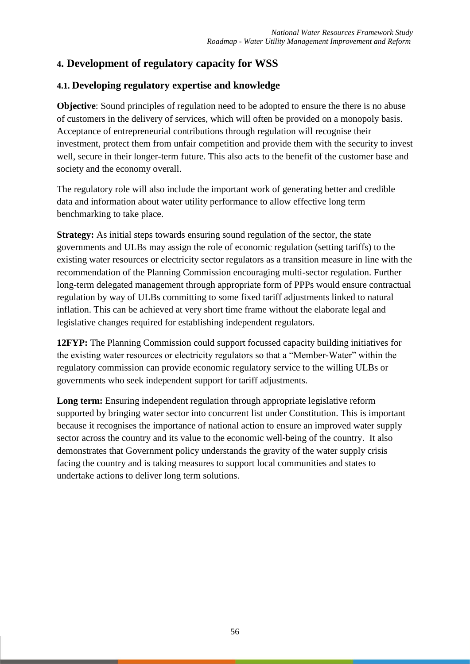# **4. Development of regulatory capacity for WSS**

## **4.1. Developing regulatory expertise and knowledge**

**Objective**: Sound principles of regulation need to be adopted to ensure the there is no abuse of customers in the delivery of services, which will often be provided on a monopoly basis. Acceptance of entrepreneurial contributions through regulation will recognise their investment, protect them from unfair competition and provide them with the security to invest well, secure in their longer-term future. This also acts to the benefit of the customer base and society and the economy overall.

The regulatory role will also include the important work of generating better and credible data and information about water utility performance to allow effective long term benchmarking to take place.

**Strategy:** As initial steps towards ensuring sound regulation of the sector, the state governments and ULBs may assign the role of economic regulation (setting tariffs) to the existing water resources or electricity sector regulators as a transition measure in line with the recommendation of the Planning Commission encouraging multi-sector regulation. Further long-term delegated management through appropriate form of PPPs would ensure contractual regulation by way of ULBs committing to some fixed tariff adjustments linked to natural inflation. This can be achieved at very short time frame without the elaborate legal and legislative changes required for establishing independent regulators.

**12FYP:** The Planning Commission could support focussed capacity building initiatives for the existing water resources or electricity regulators so that a "Member-Water" within the regulatory commission can provide economic regulatory service to the willing ULBs or governments who seek independent support for tariff adjustments.

Long term: Ensuring independent regulation through appropriate legislative reform supported by bringing water sector into concurrent list under Constitution. This is important because it recognises the importance of national action to ensure an improved water supply sector across the country and its value to the economic well-being of the country. It also demonstrates that Government policy understands the gravity of the water supply crisis facing the country and is taking measures to support local communities and states to undertake actions to deliver long term solutions.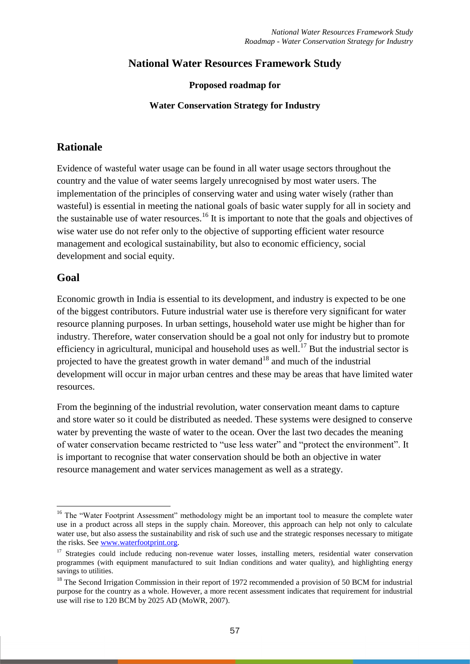## **National Water Resources Framework Study**

#### **Proposed roadmap for**

#### **Water Conservation Strategy for Industry**

## **Rationale**

Evidence of wasteful water usage can be found in all water usage sectors throughout the country and the value of water seems largely unrecognised by most water users. The implementation of the principles of conserving water and using water wisely (rather than wasteful) is essential in meeting the national goals of basic water supply for all in society and the sustainable use of water resources.<sup>16</sup> It is important to note that the goals and objectives of wise water use do not refer only to the objective of supporting efficient water resource management and ecological sustainability, but also to economic efficiency, social development and social equity.

## **Goal**

 $\overline{a}$ 

Economic growth in India is essential to its development, and industry is expected to be one of the biggest contributors. Future industrial water use is therefore very significant for water resource planning purposes. In urban settings, household water use might be higher than for industry. Therefore, water conservation should be a goal not only for industry but to promote efficiency in agricultural, municipal and household uses as well.<sup>17</sup> But the industrial sector is projected to have the greatest growth in water demand<sup>18</sup> and much of the industrial development will occur in major urban centres and these may be areas that have limited water resources.

From the beginning of the industrial revolution, water conservation meant dams to capture and store water so it could be distributed as needed. These systems were designed to conserve water by preventing the waste of water to the ocean. Over the last two decades the meaning of water conservation became restricted to "use less water" and "protect the environment". It is important to recognise that water conservation should be both an objective in water resource management and water services management as well as a strategy.

<sup>&</sup>lt;sup>16</sup> The "Water Footprint Assessment" methodology might be an important tool to measure the complete water use in a product across all steps in the supply chain. Moreover, this approach can help not only to calculate water use, but also assess the sustainability and risk of such use and the strategic responses necessary to mitigate the risks. See [www.waterfootprint.org.](http://www.waterfootprint.org/)

<sup>&</sup>lt;sup>17</sup> Strategies could include reducing non-revenue water losses, installing meters, residential water conservation programmes (with equipment manufactured to suit Indian conditions and water quality), and highlighting energy savings to utilities.

<sup>&</sup>lt;sup>18</sup> The Second Irrigation Commission in their report of 1972 recommended a provision of 50 BCM for industrial purpose for the country as a whole. However, a more recent assessment indicates that requirement for industrial use will rise to 120 BCM by 2025 AD (MoWR, 2007).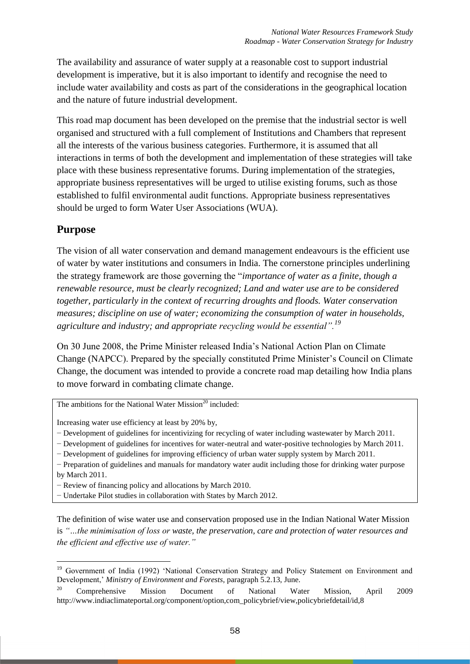The availability and assurance of water supply at a reasonable cost to support industrial development is imperative, but it is also important to identify and recognise the need to include water availability and costs as part of the considerations in the geographical location and the nature of future industrial development.

This road map document has been developed on the premise that the industrial sector is well organised and structured with a full complement of Institutions and Chambers that represent all the interests of the various business categories. Furthermore, it is assumed that all interactions in terms of both the development and implementation of these strategies will take place with these business representative forums. During implementation of the strategies, appropriate business representatives will be urged to utilise existing forums, such as those established to fulfil environmental audit functions. Appropriate business representatives should be urged to form Water User Associations (WUA).

## **Purpose**

-

The vision of all water conservation and demand management endeavours is the efficient use of water by water institutions and consumers in India. The cornerstone principles underlining the strategy framework are those governing the "*importance of water as a finite, though a renewable resource, must be clearly recognized; Land and water use are to be considered together, particularly in the context of recurring droughts and floods. Water conservation measures; discipline on use of water; economizing the consumption of water in households, agriculture and industry; and appropriate recycling would be essential".<sup>19</sup>*

On 30 June 2008, the Prime Minister released India"s National Action Plan on Climate Change (NAPCC). Prepared by the specially constituted Prime Minister"s Council on Climate Change, the document was intended to provide a concrete road map detailing how India plans to move forward in combating climate change.

The ambitions for the National Water Mission<sup>20</sup> included:

Increasing water use efficiency at least by 20% by,

- − Development of guidelines for incentivizing for recycling of water including wastewater by March 2011.
- − Development of guidelines for incentives for water-neutral and water-positive technologies by March 2011.
- − Development of guidelines for improving efficiency of urban water supply system by March 2011.
- − Preparation of guidelines and manuals for mandatory water audit including those for drinking water purpose by March 2011.
- − Review of financing policy and allocations by March 2010.
- − Undertake Pilot studies in collaboration with States by March 2012.

The definition of wise water use and conservation proposed use in the Indian National Water Mission is *"…the minimisation of loss or waste, the preservation, care and protection of water resources and the efficient and effective use of water."*

<sup>&</sup>lt;sup>19</sup> Government of India (1992) 'National Conservation Strategy and Policy Statement on Environment and Development," *Ministry of Environment and Forests*, paragraph 5.2.13, June.

<sup>&</sup>lt;sup>20</sup> Comprehensive Mission Document of National Water Mission, April 2009 http://www.indiaclimateportal.org/component/option,com\_policybrief/view,policybriefdetail/id,8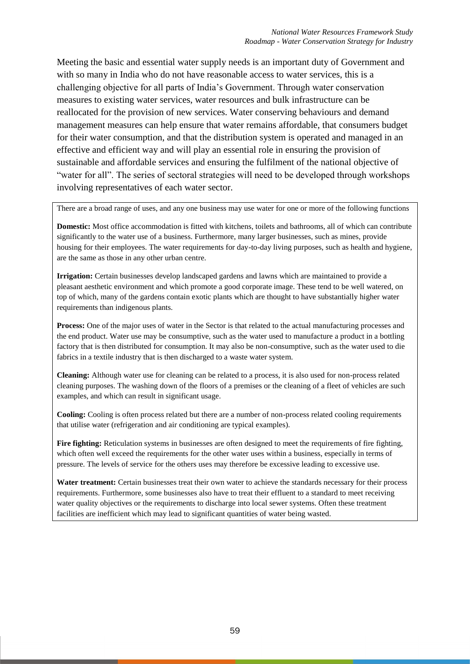Meeting the basic and essential water supply needs is an important duty of Government and with so many in India who do not have reasonable access to water services, this is a challenging objective for all parts of India"s Government. Through water conservation measures to existing water services, water resources and bulk infrastructure can be reallocated for the provision of new services. Water conserving behaviours and demand management measures can help ensure that water remains affordable, that consumers budget for their water consumption, and that the distribution system is operated and managed in an effective and efficient way and will play an essential role in ensuring the provision of sustainable and affordable services and ensuring the fulfilment of the national objective of "water for all". The series of sectoral strategies will need to be developed through workshops involving representatives of each water sector.

There are a broad range of uses, and any one business may use water for one or more of the following functions

**Domestic:** Most office accommodation is fitted with kitchens, toilets and bathrooms, all of which can contribute significantly to the water use of a business. Furthermore, many larger businesses, such as mines, provide housing for their employees. The water requirements for day-to-day living purposes, such as health and hygiene, are the same as those in any other urban centre.

**Irrigation:** Certain businesses develop landscaped gardens and lawns which are maintained to provide a pleasant aesthetic environment and which promote a good corporate image. These tend to be well watered, on top of which, many of the gardens contain exotic plants which are thought to have substantially higher water requirements than indigenous plants.

**Process:** One of the major uses of water in the Sector is that related to the actual manufacturing processes and the end product. Water use may be consumptive, such as the water used to manufacture a product in a bottling factory that is then distributed for consumption. It may also be non-consumptive, such as the water used to die fabrics in a textile industry that is then discharged to a waste water system.

**Cleaning:** Although water use for cleaning can be related to a process, it is also used for non-process related cleaning purposes. The washing down of the floors of a premises or the cleaning of a fleet of vehicles are such examples, and which can result in significant usage.

**Cooling:** Cooling is often process related but there are a number of non-process related cooling requirements that utilise water (refrigeration and air conditioning are typical examples).

**Fire fighting:** Reticulation systems in businesses are often designed to meet the requirements of fire fighting, which often well exceed the requirements for the other water uses within a business, especially in terms of pressure. The levels of service for the others uses may therefore be excessive leading to excessive use.

**Water treatment:** Certain businesses treat their own water to achieve the standards necessary for their process requirements. Furthermore, some businesses also have to treat their effluent to a standard to meet receiving water quality objectives or the requirements to discharge into local sewer systems. Often these treatment facilities are inefficient which may lead to significant quantities of water being wasted.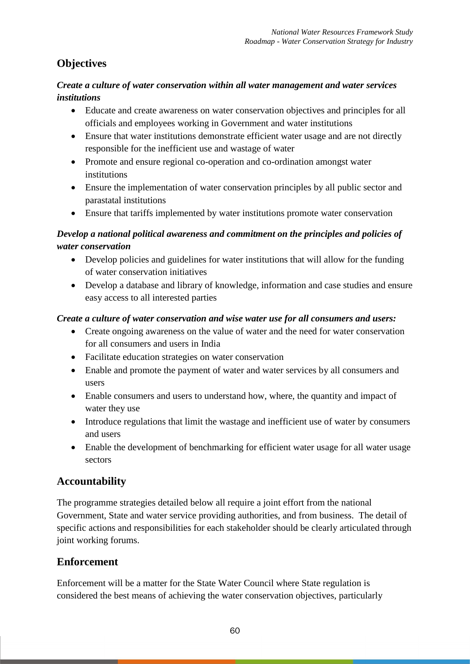# **Objectives**

## *Create a culture of water conservation within all water management and water services institutions*

- Educate and create awareness on water conservation objectives and principles for all officials and employees working in Government and water institutions
- Ensure that water institutions demonstrate efficient water usage and are not directly responsible for the inefficient use and wastage of water
- Promote and ensure regional co-operation and co-ordination amongst water institutions
- Ensure the implementation of water conservation principles by all public sector and parastatal institutions
- Ensure that tariffs implemented by water institutions promote water conservation

## *Develop a national political awareness and commitment on the principles and policies of water conservation*

- Develop policies and guidelines for water institutions that will allow for the funding of water conservation initiatives
- Develop a database and library of knowledge, information and case studies and ensure easy access to all interested parties

## *Create a culture of water conservation and wise water use for all consumers and users:*

- Create ongoing awareness on the value of water and the need for water conservation for all consumers and users in India
- Facilitate education strategies on water conservation
- Enable and promote the payment of water and water services by all consumers and users
- Enable consumers and users to understand how, where, the quantity and impact of water they use
- Introduce regulations that limit the wastage and inefficient use of water by consumers and users
- Enable the development of benchmarking for efficient water usage for all water usage sectors

# **Accountability**

The programme strategies detailed below all require a joint effort from the national Government, State and water service providing authorities, and from business. The detail of specific actions and responsibilities for each stakeholder should be clearly articulated through joint working forums.

# **Enforcement**

Enforcement will be a matter for the State Water Council where State regulation is considered the best means of achieving the water conservation objectives, particularly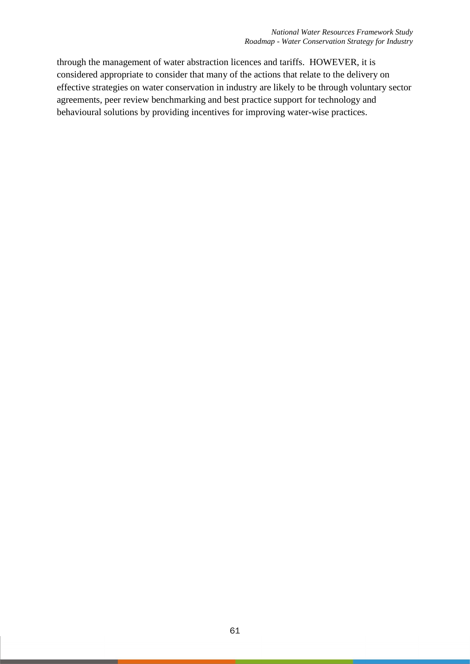through the management of water abstraction licences and tariffs. HOWEVER, it is considered appropriate to consider that many of the actions that relate to the delivery on effective strategies on water conservation in industry are likely to be through voluntary sector agreements, peer review benchmarking and best practice support for technology and behavioural solutions by providing incentives for improving water-wise practices.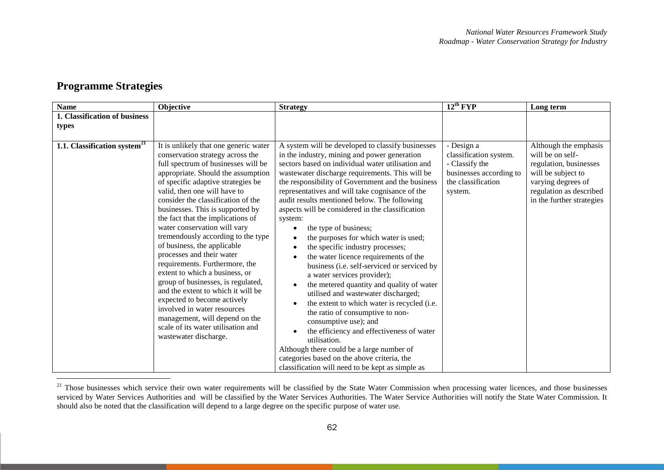# **Programme Strategies**

| <b>Name</b>                              | Objective                                                                                                                                                                                                                                                                                                                                                                                                                                                                                                                                                                                                                                                                                                                                                                                    | <b>Strategy</b>                                                                                                                                                                                                                                                                                                                                                                                                                                                                                                                                                                                                                                                                                                                                                                                                                                                                                                                                                                                                                                                                                                                     | $12^{th} FYP$                                                                                                      | Long term                                                                                                                                                               |
|------------------------------------------|----------------------------------------------------------------------------------------------------------------------------------------------------------------------------------------------------------------------------------------------------------------------------------------------------------------------------------------------------------------------------------------------------------------------------------------------------------------------------------------------------------------------------------------------------------------------------------------------------------------------------------------------------------------------------------------------------------------------------------------------------------------------------------------------|-------------------------------------------------------------------------------------------------------------------------------------------------------------------------------------------------------------------------------------------------------------------------------------------------------------------------------------------------------------------------------------------------------------------------------------------------------------------------------------------------------------------------------------------------------------------------------------------------------------------------------------------------------------------------------------------------------------------------------------------------------------------------------------------------------------------------------------------------------------------------------------------------------------------------------------------------------------------------------------------------------------------------------------------------------------------------------------------------------------------------------------|--------------------------------------------------------------------------------------------------------------------|-------------------------------------------------------------------------------------------------------------------------------------------------------------------------|
| 1. Classification of business<br>types   |                                                                                                                                                                                                                                                                                                                                                                                                                                                                                                                                                                                                                                                                                                                                                                                              |                                                                                                                                                                                                                                                                                                                                                                                                                                                                                                                                                                                                                                                                                                                                                                                                                                                                                                                                                                                                                                                                                                                                     |                                                                                                                    |                                                                                                                                                                         |
| 1.1. Classification system <sup>21</sup> | It is unlikely that one generic water<br>conservation strategy across the<br>full spectrum of businesses will be<br>appropriate. Should the assumption<br>of specific adaptive strategies be<br>valid, then one will have to<br>consider the classification of the<br>businesses. This is supported by<br>the fact that the implications of<br>water conservation will vary<br>tremendously according to the type<br>of business, the applicable<br>processes and their water<br>requirements. Furthermore, the<br>extent to which a business, or<br>group of businesses, is regulated,<br>and the extent to which it will be<br>expected to become actively<br>involved in water resources<br>management, will depend on the<br>scale of its water utilisation and<br>wastewater discharge. | A system will be developed to classify businesses<br>in the industry, mining and power generation<br>sectors based on individual water utilisation and<br>wastewater discharge requirements. This will be<br>the responsibility of Government and the business<br>representatives and will take cognisance of the<br>audit results mentioned below. The following<br>aspects will be considered in the classification<br>system:<br>the type of business;<br>$\bullet$<br>the purposes for which water is used;<br>$\bullet$<br>the specific industry processes;<br>٠<br>the water licence requirements of the<br>$\bullet$<br>business (i.e. self-serviced or serviced by<br>a water services provider);<br>the metered quantity and quality of water<br>$\bullet$<br>utilised and wastewater discharged;<br>the extent to which water is recycled (i.e.<br>the ratio of consumptive to non-<br>consumptive use); and<br>the efficiency and effectiveness of water<br>utilisation.<br>Although there could be a large number of<br>categories based on the above criteria, the<br>classification will need to be kept as simple as | - Design a<br>classification system.<br>- Classify the<br>businesses according to<br>the classification<br>system. | Although the emphasis<br>will be on self-<br>regulation, businesses<br>will be subject to<br>varying degrees of<br>regulation as described<br>in the further strategies |

<sup>&</sup>lt;sup>21</sup> Those businesses which service their own water requirements will be classified by the State Water Commission when processing water licences, and those businesses serviced by Water Services Authorities and will be classified by the Water Services Authorities. The Water Service Authorities will notify the State Water Commission. It should also be noted that the classification will depend to a large degree on the specific purpose of water use.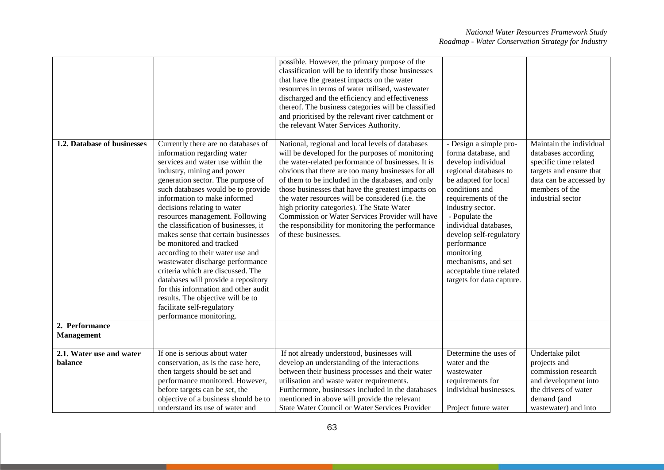|                                                                    |                                                                                                                                                                                                                                                                                                                                                                                                                                                                                                                                                                                                                                                                                                                         | possible. However, the primary purpose of the<br>classification will be to identify those businesses<br>that have the greatest impacts on the water<br>resources in terms of water utilised, wastewater<br>discharged and the efficiency and effectiveness<br>thereof. The business categories will be classified<br>and prioritised by the relevant river catchment or<br>the relevant Water Services Authority.                                                                                                                                             |                                                                                                                                                                                                                                                                                                                                                                     |                                                                                                                                                                      |
|--------------------------------------------------------------------|-------------------------------------------------------------------------------------------------------------------------------------------------------------------------------------------------------------------------------------------------------------------------------------------------------------------------------------------------------------------------------------------------------------------------------------------------------------------------------------------------------------------------------------------------------------------------------------------------------------------------------------------------------------------------------------------------------------------------|---------------------------------------------------------------------------------------------------------------------------------------------------------------------------------------------------------------------------------------------------------------------------------------------------------------------------------------------------------------------------------------------------------------------------------------------------------------------------------------------------------------------------------------------------------------|---------------------------------------------------------------------------------------------------------------------------------------------------------------------------------------------------------------------------------------------------------------------------------------------------------------------------------------------------------------------|----------------------------------------------------------------------------------------------------------------------------------------------------------------------|
| 1.2. Database of businesses<br>2. Performance<br><b>Management</b> | Currently there are no databases of<br>information regarding water<br>services and water use within the<br>industry, mining and power<br>generation sector. The purpose of<br>such databases would be to provide<br>information to make informed<br>decisions relating to water<br>resources management. Following<br>the classification of businesses, it<br>makes sense that certain businesses<br>be monitored and tracked<br>according to their water use and<br>wastewater discharge performance<br>criteria which are discussed. The<br>databases will provide a repository<br>for this information and other audit<br>results. The objective will be to<br>facilitate self-regulatory<br>performance monitoring. | National, regional and local levels of databases<br>will be developed for the purposes of monitoring<br>the water-related performance of businesses. It is<br>obvious that there are too many businesses for all<br>of them to be included in the databases, and only<br>those businesses that have the greatest impacts on<br>the water resources will be considered (i.e. the<br>high priority categories). The State Water<br>Commission or Water Services Provider will have<br>the responsibility for monitoring the performance<br>of these businesses. | - Design a simple pro-<br>forma database, and<br>develop individual<br>regional databases to<br>be adapted for local<br>conditions and<br>requirements of the<br>industry sector.<br>- Populate the<br>individual databases,<br>develop self-regulatory<br>performance<br>monitoring<br>mechanisms, and set<br>acceptable time related<br>targets for data capture. | Maintain the individual<br>databases according<br>specific time related<br>targets and ensure that<br>data can be accessed by<br>members of the<br>industrial sector |
| 2.1. Water use and water                                           | If one is serious about water                                                                                                                                                                                                                                                                                                                                                                                                                                                                                                                                                                                                                                                                                           | If not already understood, businesses will                                                                                                                                                                                                                                                                                                                                                                                                                                                                                                                    | Determine the uses of                                                                                                                                                                                                                                                                                                                                               | Undertake pilot                                                                                                                                                      |
| balance                                                            | conservation, as is the case here,                                                                                                                                                                                                                                                                                                                                                                                                                                                                                                                                                                                                                                                                                      | develop an understanding of the interactions                                                                                                                                                                                                                                                                                                                                                                                                                                                                                                                  | water and the                                                                                                                                                                                                                                                                                                                                                       | projects and                                                                                                                                                         |
|                                                                    | then targets should be set and                                                                                                                                                                                                                                                                                                                                                                                                                                                                                                                                                                                                                                                                                          | between their business processes and their water                                                                                                                                                                                                                                                                                                                                                                                                                                                                                                              | wastewater                                                                                                                                                                                                                                                                                                                                                          | commission research                                                                                                                                                  |
|                                                                    | performance monitored. However,                                                                                                                                                                                                                                                                                                                                                                                                                                                                                                                                                                                                                                                                                         | utilisation and waste water requirements.                                                                                                                                                                                                                                                                                                                                                                                                                                                                                                                     | requirements for                                                                                                                                                                                                                                                                                                                                                    | and development into                                                                                                                                                 |
|                                                                    | before targets can be set, the                                                                                                                                                                                                                                                                                                                                                                                                                                                                                                                                                                                                                                                                                          | Furthermore, businesses included in the databases                                                                                                                                                                                                                                                                                                                                                                                                                                                                                                             | individual businesses.                                                                                                                                                                                                                                                                                                                                              | the drivers of water                                                                                                                                                 |
|                                                                    | objective of a business should be to                                                                                                                                                                                                                                                                                                                                                                                                                                                                                                                                                                                                                                                                                    | mentioned in above will provide the relevant                                                                                                                                                                                                                                                                                                                                                                                                                                                                                                                  |                                                                                                                                                                                                                                                                                                                                                                     | demand (and                                                                                                                                                          |
|                                                                    | understand its use of water and                                                                                                                                                                                                                                                                                                                                                                                                                                                                                                                                                                                                                                                                                         | <b>State Water Council or Water Services Provider</b>                                                                                                                                                                                                                                                                                                                                                                                                                                                                                                         | Project future water                                                                                                                                                                                                                                                                                                                                                | wastewater) and into                                                                                                                                                 |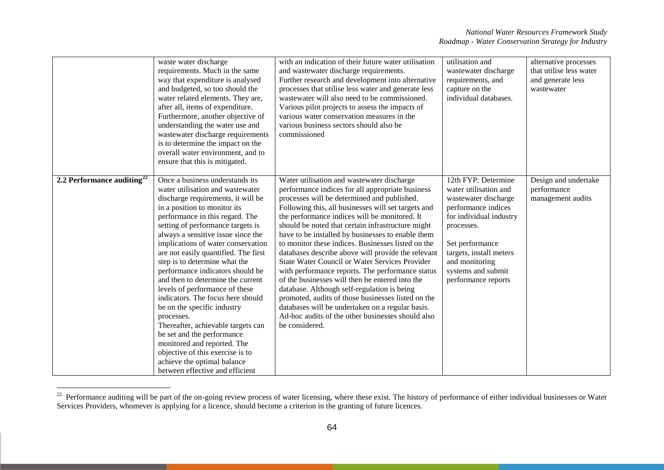|                                  | waste water discharge<br>requirements. Much in the same<br>way that expenditure is analysed<br>and budgeted, so too should the<br>water related elements. They are,<br>after all, items of expenditure.<br>Furthermore, another objective of<br>understanding the water use and<br>wastewater discharge requirements<br>is to determine the impact on the<br>overall water environment, and to<br>ensure that this is mitigated.                                                                                                                                                                                                                                                                                                                                             | with an indication of their future water utilisation<br>and wastewater discharge requirements.<br>Further research and development into alternative<br>processes that utilise less water and generate less<br>wastewater will also need to be commissioned.<br>Various pilot projects to assess the impacts of<br>various water conservation measures in the<br>various business sectors should also be<br>commissioned                                                                                                                                                                                                                                                                                                                                                                                                                                              | utilisation and<br>wastewater discharge<br>requirements, and<br>capture on the<br>individual databases.                                                                                                                                           | alternative processes<br>that utilise less water<br>and generate less<br>wastewater |
|----------------------------------|------------------------------------------------------------------------------------------------------------------------------------------------------------------------------------------------------------------------------------------------------------------------------------------------------------------------------------------------------------------------------------------------------------------------------------------------------------------------------------------------------------------------------------------------------------------------------------------------------------------------------------------------------------------------------------------------------------------------------------------------------------------------------|----------------------------------------------------------------------------------------------------------------------------------------------------------------------------------------------------------------------------------------------------------------------------------------------------------------------------------------------------------------------------------------------------------------------------------------------------------------------------------------------------------------------------------------------------------------------------------------------------------------------------------------------------------------------------------------------------------------------------------------------------------------------------------------------------------------------------------------------------------------------|---------------------------------------------------------------------------------------------------------------------------------------------------------------------------------------------------------------------------------------------------|-------------------------------------------------------------------------------------|
| 2.2 Performance auditing $^{22}$ | Once a business understands its<br>water utilisation and wastewater<br>discharge requirements, it will be<br>in a position to monitor its<br>performance in this regard. The<br>setting of performance targets is<br>always a sensitive issue since the<br>implications of water conservation<br>are not easily quantified. The first<br>step is to determine what the<br>performance indicators should be<br>and then to determine the current<br>levels of performance of these<br>indicators. The focus here should<br>be on the specific industry<br>processes.<br>Thereafter, achievable targets can<br>be set and the performance<br>monitored and reported. The<br>objective of this exercise is to<br>achieve the optimal balance<br>between effective and efficient | Water utilisation and wastewater discharge<br>performance indices for all appropriate business<br>processes will be determined and published.<br>Following this, all businesses will set targets and<br>the performance indices will be monitored. It<br>should be noted that certain infrastructure might<br>have to be installed by businesses to enable them<br>to monitor these indices. Businesses listed on the<br>databases describe above will provide the relevant<br>State Water Council or Water Services Provider<br>with performance reports. The performance status<br>of the businesses will then be entered into the<br>database. Although self-regulation is being<br>promoted, audits of those businesses listed on the<br>databases will be undertaken on a regular basis.<br>Ad-hoc audits of the other businesses should also<br>be considered. | 12th FYP: Determine<br>water utilisation and<br>wastewater discharge<br>performance indices<br>for individual industry<br>processes.<br>Set performance<br>targets, install meters<br>and monitoring<br>systems and submit<br>performance reports | Design and undertake<br>performance<br>management audits                            |

 $\frac{22}{2}$  Performance auditing will be part of the on-going review process of water licensing, where these exist. The history of performance of either individual businesses or Water Services Providers, whomever is applying for a licence, should become a criterion in the granting of future licences.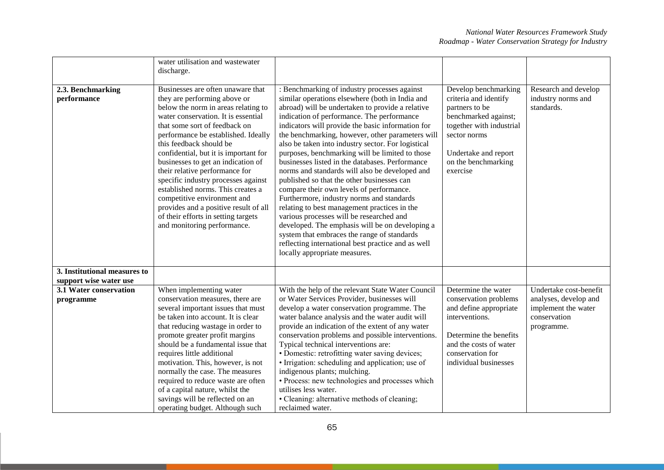|                               | water utilisation and wastewater                                     |                                                                                                       |                          |                        |
|-------------------------------|----------------------------------------------------------------------|-------------------------------------------------------------------------------------------------------|--------------------------|------------------------|
|                               | discharge.                                                           |                                                                                                       |                          |                        |
| 2.3. Benchmarking             | Businesses are often unaware that                                    | : Benchmarking of industry processes against                                                          | Develop benchmarking     | Research and develop   |
| performance                   | they are performing above or                                         | similar operations elsewhere (both in India and                                                       | criteria and identify    | industry norms and     |
|                               | below the norm in areas relating to                                  | abroad) will be undertaken to provide a relative                                                      | partners to be           | standards.             |
|                               | water conservation. It is essential                                  | indication of performance. The performance                                                            | benchmarked against;     |                        |
|                               | that some sort of feedback on                                        | indicators will provide the basic information for                                                     | together with industrial |                        |
|                               | performance be established. Ideally                                  | the benchmarking, however, other parameters will                                                      | sector norms             |                        |
|                               | this feedback should be                                              | also be taken into industry sector. For logistical                                                    |                          |                        |
|                               | confidential, but it is important for                                | purposes, benchmarking will be limited to those                                                       | Undertake and report     |                        |
|                               | businesses to get an indication of                                   | businesses listed in the databases. Performance                                                       | on the benchmarking      |                        |
|                               | their relative performance for                                       | norms and standards will also be developed and                                                        | exercise                 |                        |
|                               | specific industry processes against                                  | published so that the other businesses can                                                            |                          |                        |
|                               | established norms. This creates a                                    | compare their own levels of performance.                                                              |                          |                        |
|                               | competitive environment and<br>provides and a positive result of all | Furthermore, industry norms and standards<br>relating to best management practices in the             |                          |                        |
|                               | of their efforts in setting targets                                  | various processes will be researched and                                                              |                          |                        |
|                               | and monitoring performance.                                          | developed. The emphasis will be on developing a                                                       |                          |                        |
|                               |                                                                      | system that embraces the range of standards                                                           |                          |                        |
|                               |                                                                      | reflecting international best practice and as well                                                    |                          |                        |
|                               |                                                                      | locally appropriate measures.                                                                         |                          |                        |
|                               |                                                                      |                                                                                                       |                          |                        |
| 3. Institutional measures to  |                                                                      |                                                                                                       |                          |                        |
| support wise water use        |                                                                      |                                                                                                       |                          |                        |
| <b>3.1 Water conservation</b> | When implementing water                                              | With the help of the relevant State Water Council                                                     | Determine the water      | Undertake cost-benefit |
| programme                     | conservation measures, there are                                     | or Water Services Provider, businesses will                                                           | conservation problems    | analyses, develop and  |
|                               | several important issues that must                                   | develop a water conservation programme. The                                                           | and define appropriate   | implement the water    |
|                               | be taken into account. It is clear                                   | water balance analysis and the water audit will                                                       | interventions.           | conservation           |
|                               | that reducing wastage in order to                                    | provide an indication of the extent of any water<br>conservation problems and possible interventions. | Determine the benefits   | programme.             |
|                               | promote greater profit margins<br>should be a fundamental issue that | Typical technical interventions are:                                                                  | and the costs of water   |                        |
|                               | requires little additional                                           | • Domestic: retrofitting water saving devices;                                                        | conservation for         |                        |
|                               | motivation. This, however, is not                                    | · Irrigation: scheduling and application; use of                                                      | individual businesses    |                        |
|                               | normally the case. The measures                                      | indigenous plants; mulching.                                                                          |                          |                        |
|                               | required to reduce waste are often                                   | • Process: new technologies and processes which                                                       |                          |                        |
|                               | of a capital nature, whilst the                                      | utilises less water.                                                                                  |                          |                        |
|                               | savings will be reflected on an                                      | • Cleaning: alternative methods of cleaning;                                                          |                          |                        |
|                               | operating budget. Although such                                      | reclaimed water.                                                                                      |                          |                        |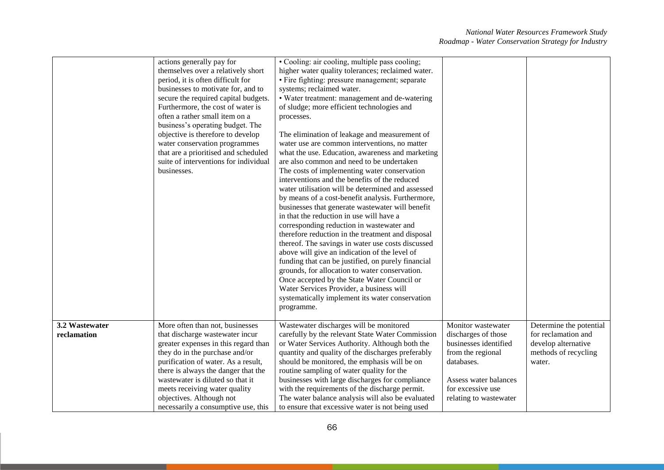|                               | actions generally pay for<br>themselves over a relatively short<br>period, it is often difficult for<br>businesses to motivate for, and to<br>secure the required capital budgets.<br>Furthermore, the cost of water is<br>often a rather small item on a<br>business's operating budget. The<br>objective is therefore to develop<br>water conservation programmes<br>that are a prioritised and scheduled<br>suite of interventions for individual<br>businesses. | • Cooling: air cooling, multiple pass cooling;<br>higher water quality tolerances; reclaimed water.<br>• Fire fighting: pressure management; separate<br>systems; reclaimed water.<br>• Water treatment: management and de-watering<br>of sludge; more efficient technologies and<br>processes.<br>The elimination of leakage and measurement of<br>water use are common interventions, no matter<br>what the use. Education, awareness and marketing<br>are also common and need to be undertaken<br>The costs of implementing water conservation<br>interventions and the benefits of the reduced<br>water utilisation will be determined and assessed<br>by means of a cost-benefit analysis. Furthermore,<br>businesses that generate wastewater will benefit<br>in that the reduction in use will have a<br>corresponding reduction in wastewater and<br>therefore reduction in the treatment and disposal<br>thereof. The savings in water use costs discussed<br>above will give an indication of the level of<br>funding that can be justified, on purely financial<br>grounds, for allocation to water conservation.<br>Once accepted by the State Water Council or<br>Water Services Provider, a business will<br>systematically implement its water conservation<br>programme. |                                                                                                                                                                               |                                                                                                         |
|-------------------------------|---------------------------------------------------------------------------------------------------------------------------------------------------------------------------------------------------------------------------------------------------------------------------------------------------------------------------------------------------------------------------------------------------------------------------------------------------------------------|-------------------------------------------------------------------------------------------------------------------------------------------------------------------------------------------------------------------------------------------------------------------------------------------------------------------------------------------------------------------------------------------------------------------------------------------------------------------------------------------------------------------------------------------------------------------------------------------------------------------------------------------------------------------------------------------------------------------------------------------------------------------------------------------------------------------------------------------------------------------------------------------------------------------------------------------------------------------------------------------------------------------------------------------------------------------------------------------------------------------------------------------------------------------------------------------------------------------------------------------------------------------------------------------|-------------------------------------------------------------------------------------------------------------------------------------------------------------------------------|---------------------------------------------------------------------------------------------------------|
| 3.2 Wastewater<br>reclamation | More often than not, businesses<br>that discharge wastewater incur<br>greater expenses in this regard than<br>they do in the purchase and/or<br>purification of water. As a result,<br>there is always the danger that the<br>wastewater is diluted so that it<br>meets receiving water quality<br>objectives. Although not<br>necessarily a consumptive use, this                                                                                                  | Wastewater discharges will be monitored<br>carefully by the relevant State Water Commission<br>or Water Services Authority. Although both the<br>quantity and quality of the discharges preferably<br>should be monitored, the emphasis will be on<br>routine sampling of water quality for the<br>businesses with large discharges for compliance<br>with the requirements of the discharge permit.<br>The water balance analysis will also be evaluated<br>to ensure that excessive water is not being used                                                                                                                                                                                                                                                                                                                                                                                                                                                                                                                                                                                                                                                                                                                                                                             | Monitor wastewater<br>discharges of those<br>businesses identified<br>from the regional<br>databases.<br>Assess water balances<br>for excessive use<br>relating to wastewater | Determine the potential<br>for reclamation and<br>develop alternative<br>methods of recycling<br>water. |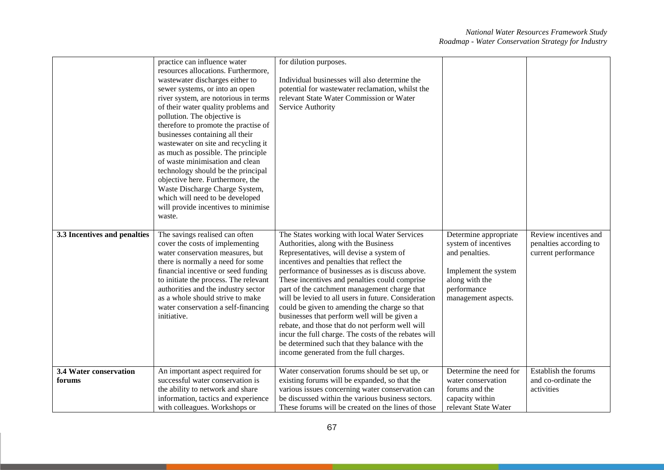|                                  | practice can influence water<br>resources allocations. Furthermore,<br>wastewater discharges either to<br>sewer systems, or into an open<br>river system, are notorious in terms<br>of their water quality problems and<br>pollution. The objective is<br>therefore to promote the practise of<br>businesses containing all their<br>wastewater on site and recycling it<br>as much as possible. The principle<br>of waste minimisation and clean<br>technology should be the principal<br>objective here. Furthermore, the<br>Waste Discharge Charge System,<br>which will need to be developed<br>will provide incentives to minimise<br>waste. | for dilution purposes.<br>Individual businesses will also determine the<br>potential for wastewater reclamation, whilst the<br>relevant State Water Commission or Water<br>Service Authority |                                               |                                                 |
|----------------------------------|---------------------------------------------------------------------------------------------------------------------------------------------------------------------------------------------------------------------------------------------------------------------------------------------------------------------------------------------------------------------------------------------------------------------------------------------------------------------------------------------------------------------------------------------------------------------------------------------------------------------------------------------------|----------------------------------------------------------------------------------------------------------------------------------------------------------------------------------------------|-----------------------------------------------|-------------------------------------------------|
| 3.3 Incentives and penalties     | The savings realised can often<br>cover the costs of implementing                                                                                                                                                                                                                                                                                                                                                                                                                                                                                                                                                                                 | The States working with local Water Services<br>Authorities, along with the Business                                                                                                         | Determine appropriate<br>system of incentives | Review incentives and<br>penalties according to |
|                                  | water conservation measures, but                                                                                                                                                                                                                                                                                                                                                                                                                                                                                                                                                                                                                  | Representatives, will devise a system of<br>incentives and penalties that reflect the                                                                                                        | and penalties.                                | current performance                             |
|                                  | there is normally a need for some<br>financial incentive or seed funding                                                                                                                                                                                                                                                                                                                                                                                                                                                                                                                                                                          | performance of businesses as is discuss above.                                                                                                                                               | Implement the system                          |                                                 |
|                                  | to initiate the process. The relevant<br>authorities and the industry sector                                                                                                                                                                                                                                                                                                                                                                                                                                                                                                                                                                      | These incentives and penalties could comprise<br>part of the catchment management charge that                                                                                                | along with the<br>performance                 |                                                 |
|                                  | as a whole should strive to make<br>water conservation a self-financing                                                                                                                                                                                                                                                                                                                                                                                                                                                                                                                                                                           | will be levied to all users in future. Consideration<br>could be given to amending the charge so that                                                                                        | management aspects.                           |                                                 |
|                                  | initiative.                                                                                                                                                                                                                                                                                                                                                                                                                                                                                                                                                                                                                                       | businesses that perform well will be given a<br>rebate, and those that do not perform well will                                                                                              |                                               |                                                 |
|                                  |                                                                                                                                                                                                                                                                                                                                                                                                                                                                                                                                                                                                                                                   | incur the full charge. The costs of the rebates will                                                                                                                                         |                                               |                                                 |
|                                  |                                                                                                                                                                                                                                                                                                                                                                                                                                                                                                                                                                                                                                                   | be determined such that they balance with the<br>income generated from the full charges.                                                                                                     |                                               |                                                 |
|                                  |                                                                                                                                                                                                                                                                                                                                                                                                                                                                                                                                                                                                                                                   |                                                                                                                                                                                              |                                               |                                                 |
| 3.4 Water conservation<br>forums | An important aspect required for<br>successful water conservation is                                                                                                                                                                                                                                                                                                                                                                                                                                                                                                                                                                              | Water conservation forums should be set up, or<br>existing forums will be expanded, so that the                                                                                              | Determine the need for<br>water conservation  | Establish the forums<br>and co-ordinate the     |
|                                  | the ability to network and share<br>information, tactics and experience                                                                                                                                                                                                                                                                                                                                                                                                                                                                                                                                                                           | various issues concerning water conservation can<br>be discussed within the various business sectors.                                                                                        | forums and the<br>capacity within             | activities                                      |
|                                  | with colleagues. Workshops or                                                                                                                                                                                                                                                                                                                                                                                                                                                                                                                                                                                                                     | These forums will be created on the lines of those                                                                                                                                           | relevant State Water                          |                                                 |